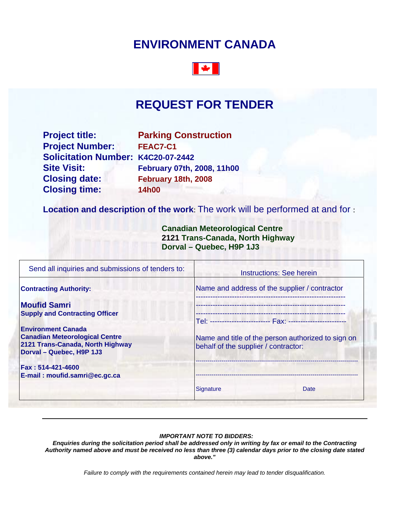# **ENVIRONMENT CANADA**



# **REQUEST FOR TENDER**

**Project title:** Parking Construction **Project Number: FEAC7-C1 Solicitation Number: K4C20-07-2442 Site Visit: February 07th, 2008, 11h00 Closing date: February 18th, 2008 Closing time: 14h00** 

**Location and description of the work**: The work will be performed at and for :

 **Canadian Meteorological Centre 2121 Trans-Canada, North Highway Dorval – Quebec, H9P 1J3** 

|                                                                                            | Instructions: See herein |  |
|--------------------------------------------------------------------------------------------|--------------------------|--|
| Name and address of the supplier / contractor                                              |                          |  |
|                                                                                            |                          |  |
| Name and title of the person authorized to sign on<br>behalf of the supplier / contractor: |                          |  |
|                                                                                            |                          |  |
| Signature                                                                                  | Date                     |  |
|                                                                                            |                          |  |

#### *IMPORTANT NOTE TO BIDDERS:*

*Enquiries during the solicitation period shall be addressed only in writing by fax or email to the Contracting Authority named above and must be received no less than three (3) calendar days prior to the closing date stated above."* 

*Failure to comply with the requirements contained herein may lead to tender disqualification.*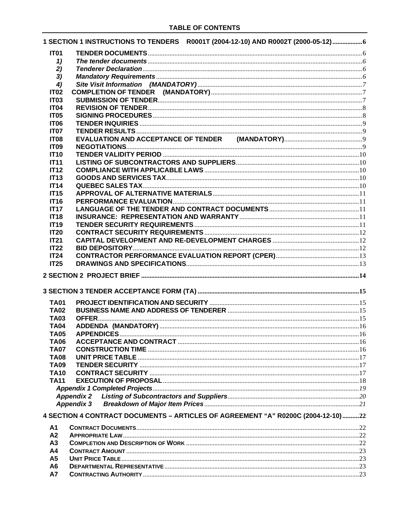|                            | 1 SECTION 1 INSTRUCTIONS TO TENDERS R0001T (2004-12-10) AND R0002T (2000-05-12)6 |  |
|----------------------------|----------------------------------------------------------------------------------|--|
| IT <sub>01</sub>           |                                                                                  |  |
| 1)                         |                                                                                  |  |
| 2)                         |                                                                                  |  |
| 3)                         |                                                                                  |  |
| 4)                         |                                                                                  |  |
| <b>IT02</b>                |                                                                                  |  |
| <b>IT03</b>                |                                                                                  |  |
| <b>IT04</b>                |                                                                                  |  |
| <b>IT05</b>                |                                                                                  |  |
| <b>IT06</b>                |                                                                                  |  |
| <b>IT07</b>                |                                                                                  |  |
| <b>IT08</b>                |                                                                                  |  |
| <b>IT09</b>                |                                                                                  |  |
| <b>IT10</b>                |                                                                                  |  |
| <b>IT11</b>                |                                                                                  |  |
| <b>IT12</b>                |                                                                                  |  |
| IT13                       |                                                                                  |  |
| <b>IT14</b><br><b>IT15</b> |                                                                                  |  |
|                            |                                                                                  |  |
| <b>IT16</b><br>IT17        |                                                                                  |  |
| <b>IT18</b>                |                                                                                  |  |
| <b>IT19</b>                |                                                                                  |  |
| <b>IT20</b>                |                                                                                  |  |
| <b>IT21</b>                |                                                                                  |  |
| IT22                       |                                                                                  |  |
| IT24                       |                                                                                  |  |
|                            |                                                                                  |  |
|                            |                                                                                  |  |
| IT25                       |                                                                                  |  |
|                            |                                                                                  |  |
|                            |                                                                                  |  |
|                            |                                                                                  |  |
| <b>TA01</b>                |                                                                                  |  |
| <b>TA02</b>                |                                                                                  |  |
| <b>TA03</b><br><b>TA04</b> |                                                                                  |  |
| <b>TA05</b>                |                                                                                  |  |
| <b>TA06</b>                |                                                                                  |  |
| <b>TA07</b>                |                                                                                  |  |
| <b>TA08</b>                |                                                                                  |  |
| <b>TA09</b>                |                                                                                  |  |
| <b>TA10</b>                |                                                                                  |  |
| <b>TA11</b>                |                                                                                  |  |
|                            |                                                                                  |  |
|                            |                                                                                  |  |
|                            |                                                                                  |  |
|                            |                                                                                  |  |
|                            | 4 SECTION 4 CONTRACT DOCUMENTS - ARTICLES OF AGREEMENT "A" R0200C (2004-12-10)22 |  |
| А1                         |                                                                                  |  |
| A <sub>2</sub>             |                                                                                  |  |
| A <sub>3</sub>             |                                                                                  |  |
| A4                         |                                                                                  |  |
| A5<br>A <sub>6</sub>       |                                                                                  |  |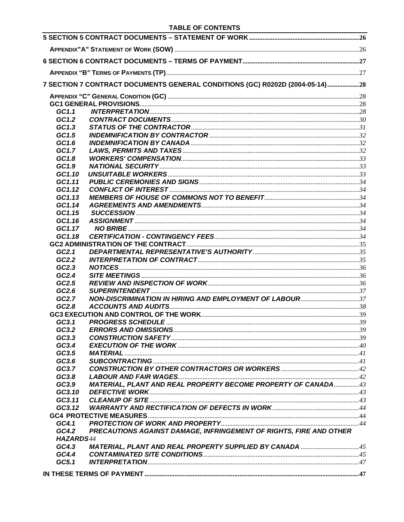|                  | 7 SECTION 7 CONTRACT DOCUMENTS GENERAL CONDITIONS (GC) R0202D (2004-05-14)28 |  |
|------------------|------------------------------------------------------------------------------|--|
|                  |                                                                              |  |
|                  |                                                                              |  |
| GC1.1            |                                                                              |  |
| GC1.2            |                                                                              |  |
| GC1.3            |                                                                              |  |
| GC1.5            |                                                                              |  |
| GC1.6            |                                                                              |  |
| GC1.7            |                                                                              |  |
| GC1.8            |                                                                              |  |
| GC1.9            |                                                                              |  |
| GC1.10           |                                                                              |  |
| GC1.11           |                                                                              |  |
| GC1.12           |                                                                              |  |
| GC1.13           |                                                                              |  |
| GC1.14           |                                                                              |  |
| GC1.15           |                                                                              |  |
| GC1.16           |                                                                              |  |
| GC1.17           |                                                                              |  |
| GC1.18           |                                                                              |  |
|                  |                                                                              |  |
| GC2.1            |                                                                              |  |
| GC2.2            |                                                                              |  |
| GC2.3            |                                                                              |  |
| GC2.4            |                                                                              |  |
| GC2.5            |                                                                              |  |
| GC2.6<br>GC2.7   | NON-DISCRIMINATION IN HIRING AND EMPLOYMENT OF LABOUR37                      |  |
| GC2.8            |                                                                              |  |
|                  |                                                                              |  |
| GC3.1            |                                                                              |  |
| GC3.2            |                                                                              |  |
| GC3.3            |                                                                              |  |
| GC3.4            |                                                                              |  |
| GC3.5            |                                                                              |  |
| GC3.6            |                                                                              |  |
| GC3.7            |                                                                              |  |
| GC3.8            |                                                                              |  |
| GC3.9            | <b>MATERIAL, PLANT AND REAL PROPERTY BECOME PROPERTY OF CANADA43</b>         |  |
| GC3.10           |                                                                              |  |
| GC3.11           |                                                                              |  |
| GC3.12           |                                                                              |  |
|                  |                                                                              |  |
| GC4.1            |                                                                              |  |
| GC4.2            | PRECAUTIONS AGAINST DAMAGE, INFRINGEMENT OF RIGHTS, FIRE AND OTHER           |  |
| <b>HAZARDS44</b> |                                                                              |  |
| GC4.3            | MATERIAL, PLANT AND REAL PROPERTY SUPPLIED BY CANADA 45                      |  |
| GC4.4            |                                                                              |  |
| GC5.1            |                                                                              |  |
|                  |                                                                              |  |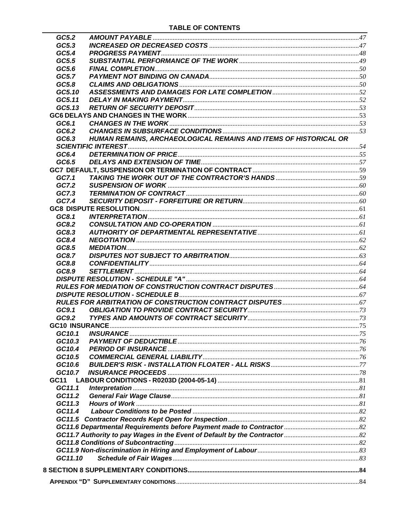| GC5.2                 |                                                                  |  |
|-----------------------|------------------------------------------------------------------|--|
| GC5.3                 |                                                                  |  |
| GC5.4                 |                                                                  |  |
| GC5.5                 |                                                                  |  |
| GC5.6                 |                                                                  |  |
| GC5.7                 |                                                                  |  |
| GC5.8                 |                                                                  |  |
| GC5.10                |                                                                  |  |
| GC5.11                |                                                                  |  |
| GC5.13                |                                                                  |  |
|                       |                                                                  |  |
| GC6.1                 |                                                                  |  |
| GC6.2                 |                                                                  |  |
| GC6.3                 | HUMAN REMAINS, ARCHAEOLOGICAL REMAINS AND ITEMS OF HISTORICAL OR |  |
|                       |                                                                  |  |
| GC6.4                 |                                                                  |  |
| GC6.5                 |                                                                  |  |
|                       |                                                                  |  |
| GC7.1                 |                                                                  |  |
| GC7.2                 |                                                                  |  |
| GC7.3                 |                                                                  |  |
| GC7.4                 |                                                                  |  |
|                       |                                                                  |  |
| GC8.1                 |                                                                  |  |
| GC8.2                 |                                                                  |  |
| GC8.3                 |                                                                  |  |
| GC8.4                 |                                                                  |  |
| GC8.5                 |                                                                  |  |
| GC8.7                 |                                                                  |  |
| GC8.8                 |                                                                  |  |
| GC8.9                 |                                                                  |  |
|                       |                                                                  |  |
|                       |                                                                  |  |
|                       |                                                                  |  |
|                       |                                                                  |  |
| GC9.1                 |                                                                  |  |
| GC9.2                 |                                                                  |  |
| <b>GC10 INSURANCE</b> |                                                                  |  |
| GC10.1                |                                                                  |  |
| GC10.3                |                                                                  |  |
| GC10.4                |                                                                  |  |
| GC10.5                |                                                                  |  |
| GC10.6                |                                                                  |  |
| GC10.7                |                                                                  |  |
| GC11                  |                                                                  |  |
| GC11.1                |                                                                  |  |
| GC11.2                |                                                                  |  |
| GC11.3                |                                                                  |  |
| GC11.4                |                                                                  |  |
|                       |                                                                  |  |
|                       |                                                                  |  |
|                       |                                                                  |  |
|                       |                                                                  |  |
|                       |                                                                  |  |
| GC11.10               |                                                                  |  |
|                       |                                                                  |  |
|                       |                                                                  |  |
|                       |                                                                  |  |
|                       |                                                                  |  |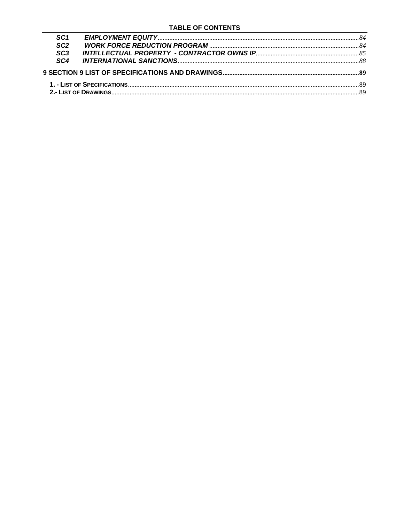| SC <sub>1</sub> |  |
|-----------------|--|
| SC <sub>2</sub> |  |
| SC3             |  |
| SC4             |  |
|                 |  |
|                 |  |
|                 |  |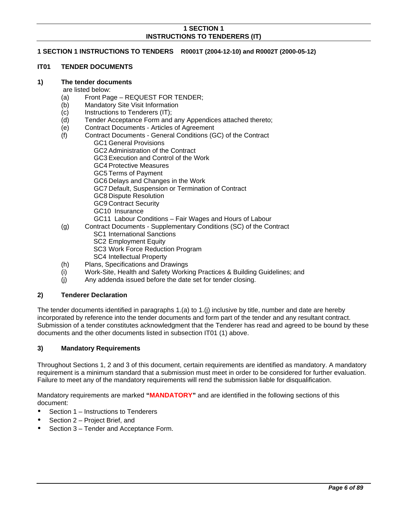# <span id="page-5-0"></span>**1 SECTION 1 INSTRUCTIONS TO TENDERS R0001T (2004-12-10) and R0002T (2000-05-12)**

#### <span id="page-5-1"></span>**IT01 TENDER DOCUMENTS**

#### <span id="page-5-2"></span>**1) The tender documents**

#### are listed below:

- (a) Front Page REQUEST FOR TENDER;<br>(b) Mandatory Site Visit Information
- Mandatory Site Visit Information
- (c) Instructions to Tenderers (IT);
- (d) Tender Acceptance Form and any Appendices attached thereto;
- (e) Contract Documents Articles of Agreement
- (f) Contract Documents General Conditions (GC) of the Contract GC1 General Provisions GC2 Administration of the Contract
	- GC3 Execution and Control of the Work
	- GC4 Protective Measures
	- GC5 Terms of Payment
	- GC6 Delays and Changes in the Work
	- GC7 Default, Suspension or Termination of Contract
	- GC8 Dispute Resolution
	- GC9 Contract Security
	- GC10 Insurance
	- GC11 Labour Conditions Fair Wages and Hours of Labour
- (g) Contract Documents Supplementary Conditions (SC) of the Contract
	- SC1 International Sanctions
	- SC2 Employment Equity
	- SC3 Work Force Reduction Program
	- SC4 Intellectual Property
- (h) Plans, Specifications and Drawings
- (i) Work-Site, Health and Safety Working Practices & Building Guidelines; and
- (j) Any addenda issued before the date set for tender closing.

#### <span id="page-5-3"></span>**2) Tenderer Declaration**

The tender documents identified in paragraphs 1.(a) to 1.(j) inclusive by title, number and date are hereby incorporated by reference into the tender documents and form part of the tender and any resultant contract. Submission of a tender constitutes acknowledgment that the Tenderer has read and agreed to be bound by these documents and the other documents listed in subsection IT01 (1) above.

#### <span id="page-5-4"></span>**3) Mandatory Requirements**

Throughout Sections 1, 2 and 3 of this document, certain requirements are identified as mandatory. A mandatory requirement is a minimum standard that a submission must meet in order to be considered for further evaluation. Failure to meet any of the mandatory requirements will rend the submission liable for disqualification.

Mandatory requirements are marked **"MANDATORY"** and are identified in the following sections of this document:

- Section 1 Instructions to Tenderers
- Section 2 Project Brief, and
- Section 3 Tender and Acceptance Form.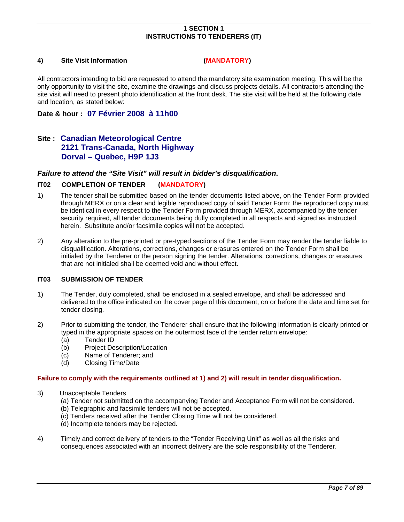#### <span id="page-6-0"></span>**4) Site Visit Information (MANDATORY)**

All contractors intending to bid are requested to attend the mandatory site examination meeting. This will be the only opportunity to visit the site, examine the drawings and discuss projects details. All contractors attending the site visit will need to present photo identification at the front desk. The site visit will be held at the following date and location, as stated below:

# **Date & hour : 07 Février 2008 à 11h00**

# **Site : Canadian Meteorological Centre 2121 Trans-Canada, North Highway Dorval – Quebec, H9P 1J3**

# *Failure to attend the "Site Visit" will result in bidder's disqualification***.**

#### <span id="page-6-1"></span>**IT02 COMPLETION OF TENDER (MANDATORY)**

- 1) The tender shall be submitted based on the tender documents listed above, on the Tender Form provided through MERX or on a clear and legible reproduced copy of said Tender Form; the reproduced copy must be identical in every respect to the Tender Form provided through MERX, accompanied by the tender security required, all tender documents being dully completed in all respects and signed as instructed herein. Substitute and/or facsimile copies will not be accepted.
- 2) Any alteration to the pre-printed or pre-typed sections of the Tender Form may render the tender liable to disqualification. Alterations, corrections, changes or erasures entered on the Tender Form shall be initialed by the Tenderer or the person signing the tender. Alterations, corrections, changes or erasures that are not initialed shall be deemed void and without effect.

# <span id="page-6-2"></span>**IT03 SUBMISSION OF TENDER**

- 1) The Tender, duly completed, shall be enclosed in a sealed envelope, and shall be addressed and delivered to the office indicated on the cover page of this document, on or before the date and time set for tender closing.
- 2) Prior to submitting the tender, the Tenderer shall ensure that the following information is clearly printed or typed in the appropriate spaces on the outermost face of the tender return envelope:
	- (a) Tender ID
	- (b) Project Description/Location
	- (c) Name of Tenderer; and
	- (d) Closing Time/Date

#### **Failure to comply with the requirements outlined at 1) and 2) will result in tender disqualification.**

- 3) Unacceptable Tenders
	- (a) Tender not submitted on the accompanying Tender and Acceptance Form will not be considered.
	- (b) Telegraphic and facsimile tenders will not be accepted.
	- (c) Tenders received after the Tender Closing Time will not be considered.
	- (d) Incomplete tenders may be rejected.
- 4) Timely and correct delivery of tenders to the "Tender Receiving Unit" as well as all the risks and consequences associated with an incorrect delivery are the sole responsibility of the Tenderer.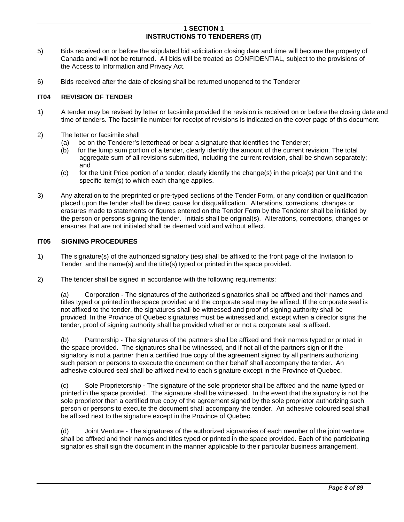- 5) Bids received on or before the stipulated bid solicitation closing date and time will become the property of Canada and will not be returned. All bids will be treated as CONFIDENTIAL, subject to the provisions of the Access to Information and Privacy Act.
- 6) Bids received after the date of closing shall be returned unopened to the Tenderer

# <span id="page-7-0"></span>**IT04 REVISION OF TENDER**

- 1) A tender may be revised by letter or facsimile provided the revision is received on or before the closing date and time of tenders. The facsimile number for receipt of revisions is indicated on the cover page of this document.
- 2) The letter or facsimile shall
	- (a) be on the Tenderer's letterhead or bear a signature that identifies the Tenderer;
	- (b) for the lump sum portion of a tender, clearly identify the amount of the current revision. The total aggregate sum of all revisions submitted, including the current revision, shall be shown separately; and
	- (c) for the Unit Price portion of a tender, clearly identify the change(s) in the price(s) per Unit and the specific item(s) to which each change applies.
- 3) Any alteration to the preprinted or pre-typed sections of the Tender Form, or any condition or qualification placed upon the tender shall be direct cause for disqualification. Alterations, corrections, changes or erasures made to statements or figures entered on the Tender Form by the Tenderer shall be initialed by the person or persons signing the tender. Initials shall be original(s). Alterations, corrections, changes or erasures that are not initialed shall be deemed void and without effect.

# <span id="page-7-1"></span>**IT05 SIGNING PROCEDURES**

- 1) The signature(s) of the authorized signatory (ies) shall be affixed to the front page of the Invitation to Tender and the name(s) and the title(s) typed or printed in the space provided.
- 2) The tender shall be signed in accordance with the following requirements:

 (a) Corporation - The signatures of the authorized signatories shall be affixed and their names and titles typed or printed in the space provided and the corporate seal may be affixed. If the corporate seal is not affixed to the tender, the signatures shall be witnessed and proof of signing authority shall be provided. In the Province of Quebec signatures must be witnessed and, except when a director signs the tender, proof of signing authority shall be provided whether or not a corporate seal is affixed.

(b) Partnership - The signatures of the partners shall be affixed and their names typed or printed in the space provided. The signatures shall be witnessed, and if not all of the partners sign or if the signatory is not a partner then a certified true copy of the agreement signed by all partners authorizing such person or persons to execute the document on their behalf shall accompany the tender. An adhesive coloured seal shall be affixed next to each signature except in the Province of Quebec.

(c) Sole Proprietorship - The signature of the sole proprietor shall be affixed and the name typed or printed in the space provided. The signature shall be witnessed. In the event that the signatory is not the sole proprietor then a certified true copy of the agreement signed by the sole proprietor authorizing such person or persons to execute the document shall accompany the tender. An adhesive coloured seal shall be affixed next to the signature except in the Province of Quebec.

(d) Joint Venture - The signatures of the authorized signatories of each member of the joint venture shall be affixed and their names and titles typed or printed in the space provided. Each of the participating signatories shall sign the document in the manner applicable to their particular business arrangement.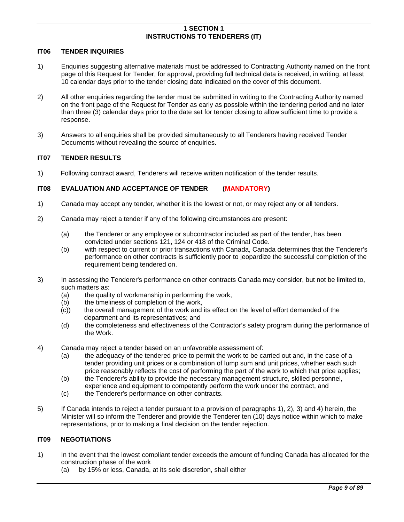#### <span id="page-8-0"></span>**IT06 TENDER INQUIRIES**

- 1) Enquiries suggesting alternative materials must be addressed to Contracting Authority named on the front page of this Request for Tender, for approval, providing full technical data is received, in writing, at least 10 calendar days prior to the tender closing date indicated on the cover of this document.
- 2) All other enquiries regarding the tender must be submitted in writing to the Contracting Authority named on the front page of the Request for Tender as early as possible within the tendering period and no later than three (3) calendar days prior to the date set for tender closing to allow sufficient time to provide a response.
- 3) Answers to all enquiries shall be provided simultaneously to all Tenderers having received Tender Documents without revealing the source of enquiries.

# <span id="page-8-1"></span>**IT07 TENDER RESULTS**

1) Following contract award, Tenderers will receive written notification of the tender results.

# <span id="page-8-2"></span>**IT08 EVALUATION AND ACCEPTANCE OF TENDER (MANDATORY)**

- 1) Canada may accept any tender, whether it is the lowest or not, or may reject any or all tenders.
- 2) Canada may reject a tender if any of the following circumstances are present:
	- (a) the Tenderer or any employee or subcontractor included as part of the tender, has been convicted under sections 121, 124 or 418 of the Criminal Code.
	- (b) with respect to current or prior transactions with Canada, Canada determines that the Tenderer's performance on other contracts is sufficiently poor to jeopardize the successful completion of the requirement being tendered on.
- 3) In assessing the Tenderer's performance on other contracts Canada may consider, but not be limited to, such matters as:
	- (a) the quality of workmanship in performing the work,
	- (b) the timeliness of completion of the work,
	- (c)) the overall management of the work and its effect on the level of effort demanded of the department and its representatives; and
	- (d) the completeness and effectiveness of the Contractor's safety program during the performance of the Work.
- 4) Canada may reject a tender based on an unfavorable assessment of:
	- (a) the adequacy of the tendered price to permit the work to be carried out and, in the case of a tender providing unit prices or a combination of lump sum and unit prices, whether each such price reasonably reflects the cost of performing the part of the work to which that price applies;
	- (b) the Tenderer's ability to provide the necessary management structure, skilled personnel, experience and equipment to competently perform the work under the contract, and
	- (c) the Tenderer's performance on other contracts.
- 5) If Canada intends to reject a tender pursuant to a provision of paragraphs 1), 2), 3) and 4) herein, the Minister will so inform the Tenderer and provide the Tenderer ten (10) days notice within which to make representations, prior to making a final decision on the tender rejection.

# <span id="page-8-3"></span>**IT09 NEGOTIATIONS**

- 1) In the event that the lowest compliant tender exceeds the amount of funding Canada has allocated for the construction phase of the work
	- (a) by 15% or less, Canada, at its sole discretion, shall either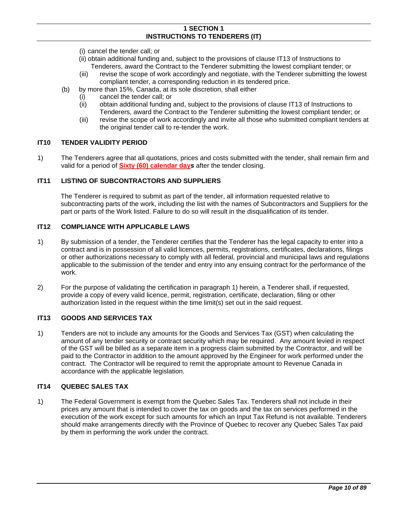- (i) cancel the tender call; or
- (ii) obtain additional funding and, subject to the provisions of clause IT13 of Instructions to Tenderers, award the Contract to the Tenderer submitting the lowest compliant tender; or
- (iii) revise the scope of work accordingly and negotiate, with the Tenderer submitting the lowest compliant tender, a corresponding reduction in its tendered price.
- (b) by more than 15%, Canada, at its sole discretion, shall either
	- (i) cancel the tender call; or
	- (ii) obtain additional funding and, subject to the provisions of clause IT13 of Instructions to Tenderers, award the Contract to the Tenderer submitting the lowest compliant tender; or
	- (iii) revise the scope of work accordingly and invite all those who submitted compliant tenders at the original tender call to re-tender the work.

#### <span id="page-9-0"></span>**IT10 TENDER VALIDITY PERIOD**

1) The Tenderers agree that all quotations, prices and costs submitted with the tender, shall remain firm and valid for a period of **Sixty (60) calendar day***s* after the tender closing.

#### <span id="page-9-1"></span>**IT11 LISTING OF SUBCONTRACTORS AND SUPPLIERS**

The Tenderer is required to submit as part of the tender, all information requested relative to subcontracting parts of the work, including the list with the names of Subcontractors and Suppliers for the part or parts of the Work listed. Failure to do so will result in the disqualification of its tender.

#### <span id="page-9-2"></span>**IT12 COMPLIANCE WITH APPLICABLE LAWS**

- 1) By submission of a tender, the Tenderer certifies that the Tenderer has the legal capacity to enter into a contract and is in possession of all valid licences, permits, registrations, certificates, declarations, filings or other authorizations necessary to comply with all federal, provincial and municipal laws and regulations applicable to the submission of the tender and entry into any ensuing contract for the performance of the work.
- 2) For the purpose of validating the certification in paragraph 1) herein, a Tenderer shall, if requested, provide a copy of every valid licence, permit, registration, certificate, declaration, filing or other authorization listed in the request within the time limit(s) set out in the said request.

#### <span id="page-9-3"></span>**IT13 GOODS AND SERVICES TAX**

1) Tenders are not to include any amounts for the Goods and Services Tax (GST) when calculating the amount of any tender security or contract security which may be required. Any amount levied in respect of the GST will be billed as a separate item in a progress claim submitted by the Contractor, and will be paid to the Contractor in addition to the amount approved by the Engineer for work performed under the contract. The Contractor will be required to remit the appropriate amount to Revenue Canada in accordance with the applicable legislation.

#### <span id="page-9-4"></span>**IT14 QUEBEC SALES TAX**

1) The Federal Government is exempt from the Quebec Sales Tax. Tenderers shall not include in their prices any amount that is intended to cover the tax on goods and the tax on services performed in the execution of the work except for such amounts for which an Input Tax Refund is not available. Tenderers should make arrangements directly with the Province of Quebec to recover any Quebec Sales Tax paid by them in performing the work under the contract.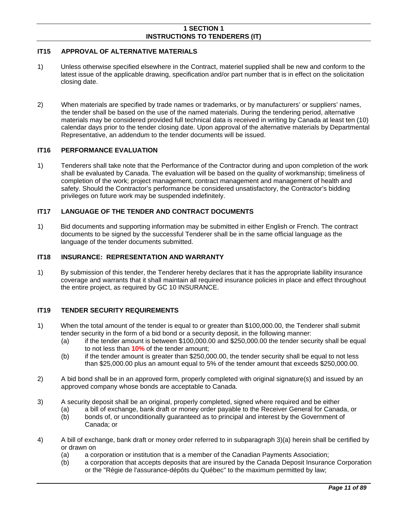# <span id="page-10-0"></span>**IT15 APPROVAL OF ALTERNATIVE MATERIALS**

- 1) Unless otherwise specified elsewhere in the Contract, materiel supplied shall be new and conform to the latest issue of the applicable drawing, specification and/or part number that is in effect on the solicitation closing date.
- 2) When materials are specified by trade names or trademarks, or by manufacturers' or suppliers' names, the tender shall be based on the use of the named materials. During the tendering period, alternative materials may be considered provided full technical data is received in writing by Canada at least ten (10) calendar days prior to the tender closing date. Upon approval of the alternative materials by Departmental Representative, an addendum to the tender documents will be issued.

# <span id="page-10-1"></span>**IT16 PERFORMANCE EVALUATION**

1) Tenderers shall take note that the Performance of the Contractor during and upon completion of the work shall be evaluated by Canada. The evaluation will be based on the quality of workmanship; timeliness of completion of the work; project management, contract management and management of health and safety. Should the Contractor's performance be considered unsatisfactory, the Contractor's bidding privileges on future work may be suspended indefinitely.

# <span id="page-10-2"></span>**IT17 LANGUAGE OF THE TENDER AND CONTRACT DOCUMENTS**

1) Bid documents and supporting information may be submitted in either English or French. The contract documents to be signed by the successful Tenderer shall be in the same official language as the language of the tender documents submitted.

### <span id="page-10-3"></span>**IT18 INSURANCE: REPRESENTATION AND WARRANTY**

1) By submission of this tender, the Tenderer hereby declares that it has the appropriate liability insurance coverage and warrants that it shall maintain all required insurance policies in place and effect throughout the entire project, as required by GC 10 INSURANCE.

#### <span id="page-10-4"></span>**IT19 TENDER SECURITY REQUIREMENTS**

- 1) When the total amount of the tender is equal to or greater than \$100,000.00, the Tenderer shall submit tender security in the form of a bid bond or a security deposit, in the following manner:
	- (a) if the tender amount is between \$100,000.00 and \$250,000.00 the tender security shall be equal to not less than **10%** of the tender amount;
	- (b) if the tender amount is greater than \$250,000.00, the tender security shall be equal to not less than \$25,000.00 plus an amount equal to 5% of the tender amount that exceeds \$250,000.00.
- 2) A bid bond shall be in an approved form, properly completed with original signature(s) and issued by an approved company whose bonds are acceptable to Canada.
- 3) A security deposit shall be an original, properly completed, signed where required and be either
	- (a) a bill of exchange, bank draft or money order payable to the Receiver General for Canada, or<br>(b) bonds of, or unconditionally guaranteed as to principal and interest by the Government of
		- bonds of, or unconditionally guaranteed as to principal and interest by the Government of Canada; or
- 4) A bill of exchange, bank draft or money order referred to in subparagraph 3)(a) herein shall be certified by or drawn on
	- (a) a corporation or institution that is a member of the Canadian Payments Association;
	- (b) a corporation that accepts deposits that are insured by the Canada Deposit Insurance Corporation or the "Régie de l'assurance-dépôts du Québec" to the maximum permitted by law;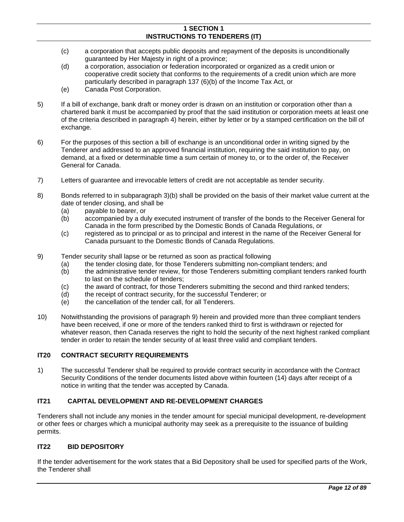- (c) a corporation that accepts public deposits and repayment of the deposits is unconditionally guaranteed by Her Majesty in right of a province;
- (d) a corporation, association or federation incorporated or organized as a credit union or cooperative credit society that conforms to the requirements of a credit union which are more particularly described in paragraph 137 (6)(b) of the Income Tax Act, or
- (e) Canada Post Corporation.
- 5) If a bill of exchange, bank draft or money order is drawn on an institution or corporation other than a chartered bank it must be accompanied by proof that the said institution or corporation meets at least one of the criteria described in paragraph 4) herein, either by letter or by a stamped certification on the bill of exchange.
- 6) For the purposes of this section a bill of exchange is an unconditional order in writing signed by the Tenderer and addressed to an approved financial institution, requiring the said institution to pay, on demand, at a fixed or determinable time a sum certain of money to, or to the order of, the Receiver General for Canada.
- 7) Letters of guarantee and irrevocable letters of credit are not acceptable as tender security.
- 8) Bonds referred to in subparagraph 3)(b) shall be provided on the basis of their market value current at the date of tender closing, and shall be
	- (a) payable to bearer, or
	- (b) accompanied by a duly executed instrument of transfer of the bonds to the Receiver General for Canada in the form prescribed by the Domestic Bonds of Canada Regulations, or
	- (c) registered as to principal or as to principal and interest in the name of the Receiver General for Canada pursuant to the Domestic Bonds of Canada Regulations.
- 9) Tender security shall lapse or be returned as soon as practical following
	- (a) the tender closing date, for those Tenderers submitting non-compliant tenders; and
	- (b) the administrative tender review, for those Tenderers submitting compliant tenders ranked fourth to last on the schedule of tenders;
	- (c) the award of contract, for those Tenderers submitting the second and third ranked tenders;
	- (d) the receipt of contract security, for the successful Tenderer; or
	- (e) the cancellation of the tender call, for all Tenderers.
- 10) Notwithstanding the provisions of paragraph 9) herein and provided more than three compliant tenders have been received, if one or more of the tenders ranked third to first is withdrawn or rejected for whatever reason, then Canada reserves the right to hold the security of the next highest ranked compliant tender in order to retain the tender security of at least three valid and compliant tenders.

# <span id="page-11-0"></span>**IT20 CONTRACT SECURITY REQUIREMENTS**

1) The successful Tenderer shall be required to provide contract security in accordance with the Contract Security Conditions of the tender documents listed above within fourteen (14) days after receipt of a notice in writing that the tender was accepted by Canada.

# <span id="page-11-1"></span>**IT21 CAPITAL DEVELOPMENT AND RE-DEVELOPMENT CHARGES**

Tenderers shall not include any monies in the tender amount for special municipal development, re-development or other fees or charges which a municipal authority may seek as a prerequisite to the issuance of building permits.

#### <span id="page-11-2"></span>**IT22 BID DEPOSITORY**

If the tender advertisement for the work states that a Bid Depository shall be used for specified parts of the Work, the Tenderer shall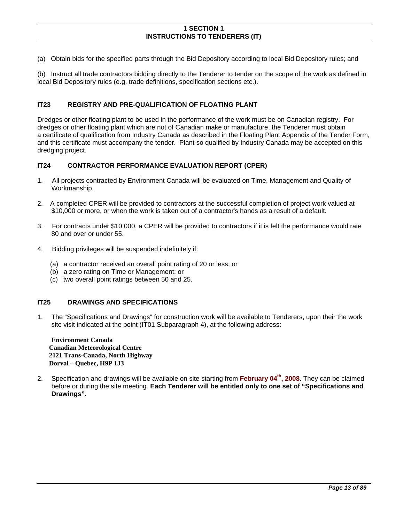(a) Obtain bids for the specified parts through the Bid Depository according to local Bid Depository rules; and

(b) Instruct all trade contractors bidding directly to the Tenderer to tender on the scope of the work as defined in local Bid Depository rules (e.g. trade definitions, specification sections etc.).

#### **IT23 REGISTRY AND PRE-QUALIFICATION OF FLOATING PLANT**

Dredges or other floating plant to be used in the performance of the work must be on Canadian registry. For dredges or other floating plant which are not of Canadian make or manufacture, the Tenderer must obtain a certificate of qualification from Industry Canada as described in the Floating Plant Appendix of the Tender Form, and this certificate must accompany the tender. Plant so qualified by Industry Canada may be accepted on this dredging project.

#### <span id="page-12-0"></span>**IT24 CONTRACTOR PERFORMANCE EVALUATION REPORT (CPER)**

- 1. All projects contracted by Environment Canada will be evaluated on Time, Management and Quality of Workmanship.
- 2. A completed CPER will be provided to contractors at the successful completion of project work valued at \$10,000 or more, or when the work is taken out of a contractor's hands as a result of a default.
- 3. For contracts under \$10,000, a CPER will be provided to contractors if it is felt the performance would rate 80 and over or under 55.
- 4. Bidding privileges will be suspended indefinitely if:
	- (a) a contractor received an overall point rating of 20 or less; or
	- (b) a zero rating on Time or Management; or
	- (c) two overall point ratings between 50 and 25.

# <span id="page-12-1"></span>**IT25 DRAWINGS AND SPECIFICATIONS**

1. The "Specifications and Drawings" for construction work will be available to Tenderers, upon their the work site visit indicated at the point (IT01 Subparagraph 4), at the following address:

**Environment Canada Canadian Meteorological Centre 2121 Trans-Canada, North Highway Dorval – Quebec, H9P 1J3** 

2. Specification and drawings will be available on site starting from **February 04th, 2008**. They can be claimed before or during the site meeting. **Each Tenderer will be entitled only to one set of "Specifications and Drawings".**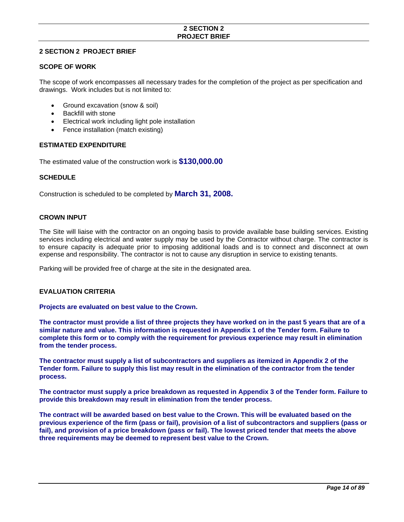# **2 SECTION 2 PROJECT BRIEF**

# <span id="page-13-0"></span>**2 SECTION 2 PROJECT BRIEF**

#### **SCOPE OF WORK**

The scope of work encompasses all necessary trades for the completion of the project as per specification and drawings. Work includes but is not limited to:

- Ground excavation (snow & soil)
- Backfill with stone
- Electrical work including light pole installation
- Fence installation (match existing)

# **ESTIMATED EXPENDITURE**

The estimated value of the construction work is **\$130,000.00**

# **SCHEDULE**

Construction is scheduled to be completed by **March 31, 2008.**

# **CROWN INPUT**

The Site will liaise with the contractor on an ongoing basis to provide available base building services. Existing services including electrical and water supply may be used by the Contractor without charge. The contractor is to ensure capacity is adequate prior to imposing additional loads and is to connect and disconnect at own expense and responsibility. The contractor is not to cause any disruption in service to existing tenants.

Parking will be provided free of charge at the site in the designated area.

#### **EVALUATION CRITERIA**

#### **Projects are evaluated on best value to the Crown.**

**The contractor must provide a list of three projects they have worked on in the past 5 years that are of a similar nature and value. This information is requested in Appendix 1 of the Tender form. Failure to complete this form or to comply with the requirement for previous experience may result in elimination from the tender process.** 

**The contractor must supply a list of subcontractors and suppliers as itemized in Appendix 2 of the Tender form. Failure to supply this list may result in the elimination of the contractor from the tender process.** 

**The contractor must supply a price breakdown as requested in Appendix 3 of the Tender form. Failure to provide this breakdown may result in elimination from the tender process.** 

**The contract will be awarded based on best value to the Crown. This will be evaluated based on the previous experience of the firm (pass or fail), provision of a list of subcontractors and suppliers (pass or fail), and provision of a price breakdown (pass or fail). The lowest priced tender that meets the above three requirements may be deemed to represent best value to the Crown.**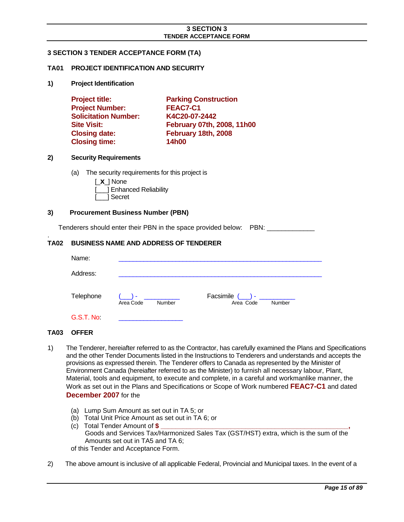# <span id="page-14-0"></span>**3 SECTION 3 TENDER ACCEPTANCE FORM (TA)**

#### <span id="page-14-1"></span>**TA01 PROJECT IDENTIFICATION AND SECURITY**

**1) Project Identification** 

| <b>Project title:</b>       | <b>Parking Construction</b> |
|-----------------------------|-----------------------------|
| <b>Project Number:</b>      | FEAC7-C1                    |
| <b>Solicitation Number:</b> | K4C20-07-2442               |
| <b>Site Visit:</b>          | February 07th, 2008, 11h00  |
| <b>Closing date:</b>        | February 18th, 2008         |
| <b>Closing time:</b>        | <b>14h00</b>                |

#### **2) Security Requirements**

(a) The security requirements for this project is

| $\lfloor x \rfloor$ None |
|--------------------------|
| [ ] Enhanced Reliability |
| [___] Secret             |

#### **3) Procurement Business Number (PBN)**

Tenderers should enter their PBN in the space provided below: PBN:

# <span id="page-14-2"></span>**TA02 BUSINESS NAME AND ADDRESS OF TENDERER**

| Name:     |                            |                                           |
|-----------|----------------------------|-------------------------------------------|
| Address:  |                            |                                           |
| Telephone | - ۱<br>Area Code<br>Number | Facsimile $(\_)$ -<br>Area Code<br>Number |
| G.S.T. No |                            |                                           |

#### <span id="page-14-3"></span>**TA03 OFFER**

.

- 1) The Tenderer, hereiafter referred to as the Contractor, has carefully examined the Plans and Specifications and the other Tender Documents listed in the Instructions to Tenderers and understands and accepts the provisions as expressed therein. The Tenderer offers to Canada as represented by the Minister of Environment Canada (hereiafter referred to as the Minister) to furnish all necessary labour, Plant, Material, tools and equipment, to execute and complete, in a careful and workmanlike manner, the Work as set out in the Plans and Specifications or Scope of Work numbered **FEAC7-C1** and dated **December 2007** for the
	- (a) Lump Sum Amount as set out in TA 5; or
	- (b) Total Unit Price Amount as set out in TA 6; or
	- (c) Total Tender Amount of **\$ \_\_\_\_\_\_\_\_\_\_\_\_\_\_\_\_\_\_\_\_\_\_\_\_\_\_\_\_\_\_\_\_\_\_\_\_\_\_\_\_\_\_\_\_\_\_\_\_\_\_\_,** Goods and Services Tax/Harmonized Sales Tax (GST/HST) extra, which is the sum of the Amounts set out in TA5 and TA 6; of this Tender and Acceptance Form.
- 2) The above amount is inclusive of all applicable Federal, Provincial and Municipal taxes. In the event of a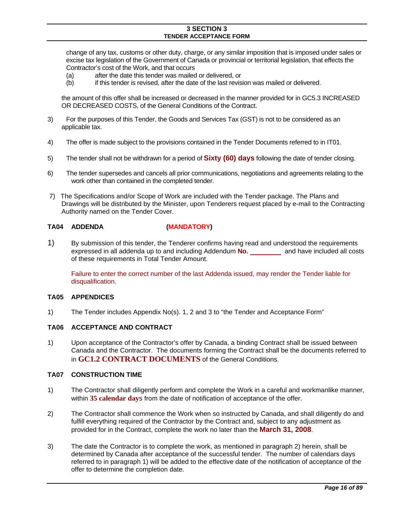change of any tax, customs or other duty, charge, or any similar imposition that is imposed under sales or excise tax legislation of the Government of Canada or provincial or territorial legislation, that effects the Contractor's cost of the Work, and that occurs

- (a) after the date this tender was mailed or delivered, or
- (b) if this tender is revised, after the date of the last revision was mailed or delivered.

 the amount of this offer shall be increased or decreased in the manner provided for in GC5.3 INCREASED OR DECREASED COSTS, of the General Conditions of the Contract.

- 3) For the purposes of this Tender, the Goods and Services Tax (GST) is not to be considered as an applicable tax.
- 4) The offer is made subject to the provisions contained in the Tender Documents referred to in IT01.
- 5) The tender shall not be withdrawn for a period of **Sixty (60) days** following the date of tender closing.
- 6) The tender supersedes and cancels all prior communications, negotiations and agreements relating to the work other than contained in the completed tender.
- 7) The Specifications and/or Scope of Work are included with the Tender package. The Plans and Drawings will be distributed by the Minister, upon Tenderers request placed by e-mail to the Contracting Authority named on the Tender Cover.

#### <span id="page-15-0"></span>**TA04 ADDENDA (MANDATORY)**

1) By submission of this tender, the Tenderer confirms having read and understood the requirements expressed in all addenda up to and including Addendum **No.** and have included all costs of these requirements in Total Tender Amount.

Failure to enter the correct number of the last Addenda issued, may render the Tender liable for disqualification.

#### <span id="page-15-1"></span>**TA05 APPENDICES**

1) The Tender includes Appendix No(s). 1, 2 and 3 to "the Tender and Acceptance Form"

#### <span id="page-15-2"></span>**TA06 ACCEPTANCE AND CONTRACT**

1) Upon acceptance of the Contractor's offer by Canada, a binding Contract shall be issued between Canada and the Contractor. The documents forming the Contract shall be the documents referred to in **GC1.2 CONTRACT DOCUMENTS** of the General Conditions.

#### <span id="page-15-3"></span>**TA07 CONSTRUCTION TIME**

- 1) The Contractor shall diligently perform and complete the Work in a careful and workmanlike manner, within **35 calendar day**s from the date of notification of acceptance of the offer.
- 2) The Contractor shall commence the Work when so instructed by Canada, and shall diligently do and fulfill everything required of the Contractor by the Contract and, subject to any adjustment as provided for in the Contract, complete the work no later than the **March 31, 2008**.
- 3) The date the Contractor is to complete the work, as mentioned in paragraph 2) herein, shall be determined by Canada after acceptance of the successful tender. The number of calendars days referred to in paragraph 1) will be added to the effective date of the notification of acceptance of the offer to determine the completion date.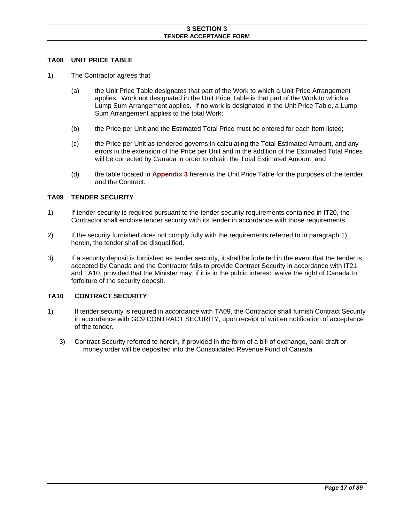#### <span id="page-16-0"></span>**TA08 UNIT PRICE TABLE**

- 1) The Contractor agrees that
	- (a) the Unit Price Table designates that part of the Work to which a Unit Price Arrangement applies. Work not designated in the Unit Price Table is that part of the Work to which a Lump Sum Arrangement applies. If no work is designated in the Unit Price Table, a Lump Sum Arrangement applies to the total Work;
	- (b) the Price per Unit and the Estimated Total Price must be entered for each Item listed;
	- (c) the Price per Unit as tendered governs in calculating the Total Estimated Amount, and any errors in the extension of the Price per Unit and in the addition of the Estimated Total Prices will be corrected by Canada in order to obtain the Total Estimated Amount; and
	- (d) the table located in **Appendix 3** herein is the Unit Price Table for the purposes of the tender and the Contract:

#### <span id="page-16-1"></span>**TA09 TENDER SECURITY**

- 1) If tender security is required pursuant to the tender security requirements contained in IT20, the Contractor shall enclose tender security with its tender in accordance with those requirements.
- 2) If the security furnished does not comply fully with the requirements referred to in paragraph 1) herein, the tender shall be disqualified.
- 3) If a security deposit is furnished as tender security, it shall be forfeited in the event that the tender is accepted by Canada and the Contractor fails to provide Contract Security in accordance with IT21 and TA10, provided that the Minister may, if it is in the public interest, waive the right of Canada to forfeiture of the security deposit.

#### <span id="page-16-2"></span>**TA10 CONTRACT SECURITY**

- 1) If tender security is required in accordance with TA09, the Contractor shall furnish Contract Security in accordance with GC9 CONTRACT SECURITY, upon receipt of written notification of acceptance of the tender.
	- 3) Contract Security referred to herein, if provided in the form of a bill of exchange, bank draft or money order will be deposited into the Consolidated Revenue Fund of Canada.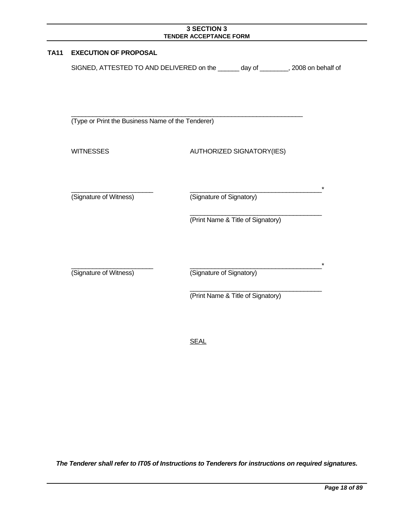<span id="page-17-0"></span>

| <b>TA11</b> | <b>EXECUTION OF PROPOSAL</b>                                                      |                                   |  |
|-------------|-----------------------------------------------------------------------------------|-----------------------------------|--|
|             | SIGNED, ATTESTED TO AND DELIVERED on the ______ day of _______, 2008 on behalf of |                                   |  |
|             |                                                                                   |                                   |  |
|             |                                                                                   |                                   |  |
|             | (Type or Print the Business Name of the Tenderer)                                 |                                   |  |
|             | <b>WITNESSES</b>                                                                  | AUTHORIZED SIGNATORY(IES)         |  |
|             |                                                                                   |                                   |  |
|             | (Signature of Witness)                                                            | (Signature of Signatory)          |  |
|             |                                                                                   | (Print Name & Title of Signatory) |  |
|             |                                                                                   |                                   |  |
|             | (Signature of Witness)                                                            | (Signature of Signatory)          |  |
|             |                                                                                   | (Print Name & Title of Signatory) |  |

SEAL

*The Tenderer shall refer to IT05 of Instructions to Tenderers for instructions on required signatures.*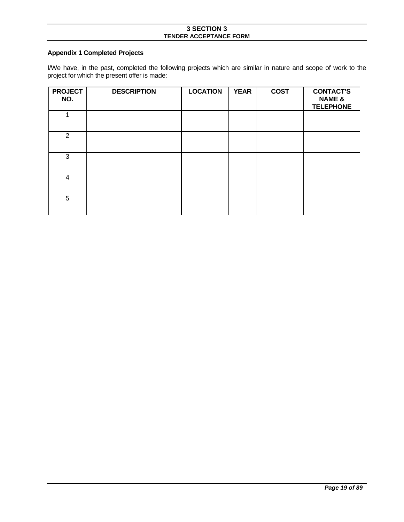# <span id="page-18-0"></span>**Appendix 1 Completed Projects**

I/We have, in the past, completed the following projects which are similar in nature and scope of work to the project for which the present offer is made:

| <b>PROJECT</b><br>NO. | <b>DESCRIPTION</b> | <b>LOCATION</b> | <b>YEAR</b> | <b>COST</b> | <b>CONTACT'S</b><br><b>NAME &amp;</b><br><b>TELEPHONE</b> |
|-----------------------|--------------------|-----------------|-------------|-------------|-----------------------------------------------------------|
| 4                     |                    |                 |             |             |                                                           |
| $\overline{2}$        |                    |                 |             |             |                                                           |
| 3                     |                    |                 |             |             |                                                           |
| 4                     |                    |                 |             |             |                                                           |
| 5                     |                    |                 |             |             |                                                           |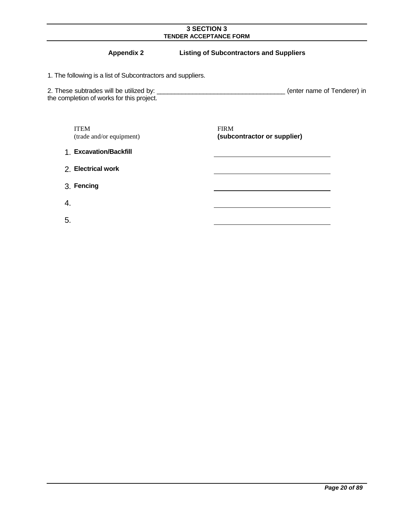# **Appendix 2 Listing of Subcontractors and Suppliers**

<span id="page-19-0"></span>1. The following is a list of Subcontractors and suppliers.

2. These subtrades will be utilized by: \_\_\_\_\_\_\_\_\_\_\_\_\_\_\_\_\_\_\_\_\_\_\_\_\_\_\_\_\_\_\_\_\_\_\_\_ (enter name of Tenderer) in the completion of works for this project.

 ITEM (trade and/or equipment)  FIRM **(subcontractor or supplier)** 

1. **Excavation/Backfill** 

2. **Electrical work** 

3. **Fencing** 

4.

5.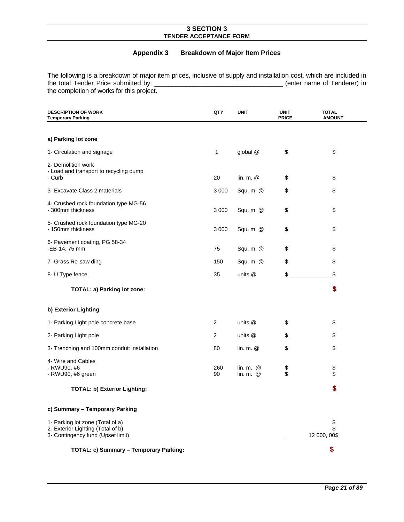# **Appendix 3 Breakdown of Major Item Prices**

<span id="page-20-0"></span>The following is a breakdown of major item prices, inclusive of supply and installation cost, which are included in the total Tender Price submitted by: \_\_\_\_\_\_\_\_\_\_\_\_\_\_\_\_\_\_\_\_\_\_\_\_\_\_\_\_\_\_\_\_\_\_\_\_ (enter name of Tenderer) in the completion of works for this project.

| <b>DESCRIPTION OF WORK</b><br><b>Temporary Parking</b>                                                     | QTY       | <b>UNIT</b>                                  | <b>UNIT</b><br><b>PRICE</b> | TOTAL<br><b>AMOUNT</b>   |
|------------------------------------------------------------------------------------------------------------|-----------|----------------------------------------------|-----------------------------|--------------------------|
|                                                                                                            |           |                                              |                             |                          |
| a) Parking lot zone                                                                                        |           |                                              |                             |                          |
| 1- Circulation and signage                                                                                 | 1         | global @                                     | \$                          | \$                       |
| 2- Demolition work<br>- Load and transport to recycling dump<br>- Curb                                     | 20        | lin. m. @                                    | \$                          | \$                       |
| 3- Excavate Class 2 materials                                                                              | 3 0 0 0   | Squ. m. @                                    | \$                          | \$                       |
| 4- Crushed rock foundation type MG-56<br>- 300mm thickness                                                 | 3 0 0 0   | Squ. m. @                                    | \$                          | \$                       |
| 5- Crushed rock foundation type MG-20<br>- 150mm thickness                                                 | 3 0 0 0   | Squ. m. @                                    | \$                          | \$                       |
| 6- Pavement coating, PG 58-34<br>-EB-14, 75 mm                                                             | 75        | Squ. m. @                                    | \$                          | \$                       |
| 7- Grass Re-saw ding                                                                                       | 150       | Squ. m. @                                    | \$                          | \$                       |
| 8- U Type fence                                                                                            | 35        | units @                                      | \$                          | \$                       |
| TOTAL: a) Parking lot zone:                                                                                |           |                                              |                             | \$                       |
| b) Exterior Lighting                                                                                       |           |                                              |                             |                          |
| 1- Parking Light pole concrete base                                                                        | 2         | units @                                      | \$                          | \$                       |
| 2- Parking Light pole                                                                                      | 2         | units @                                      | \$                          | \$                       |
| 3- Trenching and 100mm conduit installation                                                                | 80        | lin. $m.$ $@$                                | \$                          | \$                       |
| 4- Wire and Cables<br>- RWU90, #6<br>- RWU90, #6 green                                                     | 260<br>90 | $\mathsf{lin. m.}$ $\mathsf{Q}$<br>lin. m. @ | \$<br>\$                    | \$<br>\$                 |
| <b>TOTAL: b) Exterior Lighting:</b>                                                                        |           |                                              |                             | \$                       |
| c) Summary - Temporary Parking                                                                             |           |                                              |                             |                          |
| 1- Parking lot zone (Total of a)<br>2- Exterior Lighting (Total of b)<br>3- Contingency fund (Upset limit) |           |                                              |                             | \$<br>\$<br>12 000, 00\$ |
| TOTAL: c) Summary - Temporary Parking:                                                                     |           |                                              |                             | \$                       |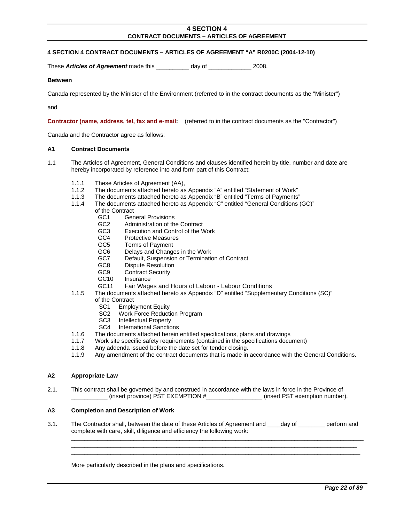#### <span id="page-21-0"></span>**4 SECTION 4 CONTRACT DOCUMENTS – ARTICLES OF AGREEMENT "A" R0200C (2004-12-10)**

These **Articles of Agreement** made this day of 2008,

#### **Between**

Canada represented by the Minister of the Environment (referred to in the contract documents as the "Minister")

and

**Contractor (name, address, tel, fax and e-mail:** (referred to in the contract documents as the "Contractor")

Canada and the Contractor agree as follows:

#### <span id="page-21-1"></span>**A1 Contract Documents**

- 1.1 The Articles of Agreement, General Conditions and clauses identified herein by title, number and date are hereby incorporated by reference into and form part of this Contract:
	- 1.1.1 These Articles of Agreement (AA),
	- 1.1.2 The documents attached hereto as Appendix "A" entitled "Statement of Work"
	- 1.1.3 The documents attached hereto as Appendix "B" entitled "Terms of Payments"
	- 1.1.4 The documents attached hereto as Appendix "C" entitled "General Conditions (GC)"
		- of the Contract
			- GC1 General Provisions
			- GC2 Administration of the Contract
			- GC3 Execution and Control of the Work
			- GC4 Protective Measures
			- GC5 Terms of Payment
			- GC6 Delays and Changes in the Work
			- GC7 Default, Suspension or Termination of Contract
			- GC8 Dispute Resolution
			- GC9 Contract Security<br>GC10 Insurance
			- Insurance
			- GC11 Fair Wages and Hours of Labour Labour Conditions
	- 1.1.5 The documents attached hereto as Appendix "D" entitled "Supplementary Conditions (SC)"
		- of the Contract
			- SC1 Employment Equity<br>SC2 Work Force Reducti
			- Work Force Reduction Program
			- SC3 Intellectual Property
			- SC4 International Sanctions
	- 1.1.6 The documents attached herein entitled specifications, plans and drawings
	- 1.1.7 Work site specific safety requirements (contained in the specifications document)
	- 1.1.8 Any addenda issued before the date set for tender closing.
	- 1.1.9 Any amendment of the contract documents that is made in accordance with the General Conditions.

#### <span id="page-21-2"></span>**A2 Appropriate Law**

2.1. This contract shall be governed by and construed in accordance with the laws in force in the Province of \_\_\_\_\_\_\_\_\_\_\_ (insert province) PST EXEMPTION #\_\_\_\_\_\_\_\_\_\_\_\_\_\_\_\_\_ (insert PST exemption number).

#### <span id="page-21-3"></span>**A3 Completion and Description of Work**

3.1. The Contractor shall, between the date of these Articles of Agreement and \_\_\_\_day of \_\_\_\_\_\_\_\_ perform and complete with care, skill, diligence and efficiency the following work:

\_\_\_\_\_\_\_\_\_\_\_\_\_\_\_\_\_\_\_\_\_\_\_\_\_\_\_\_\_\_\_\_\_\_\_\_\_\_\_\_\_\_\_\_\_\_\_\_\_\_\_\_\_\_\_\_\_\_\_\_\_\_\_\_\_\_\_\_\_\_\_\_\_\_\_\_\_\_\_\_\_\_\_\_\_\_\_\_\_  $\_$  , and the set of the set of the set of the set of the set of the set of the set of the set of the set of the set of the set of the set of the set of the set of the set of the set of the set of the set of the set of th \_\_\_\_\_\_\_\_\_\_\_\_\_\_\_\_\_\_\_\_\_\_\_\_\_\_\_\_\_\_\_\_\_\_\_\_\_\_\_\_\_\_\_\_\_\_\_\_\_\_\_\_\_\_\_\_\_\_\_\_\_\_\_\_\_\_\_\_\_\_\_\_\_\_\_\_\_\_\_\_\_\_\_\_\_\_\_\_

More particularly described in the plans and specifications.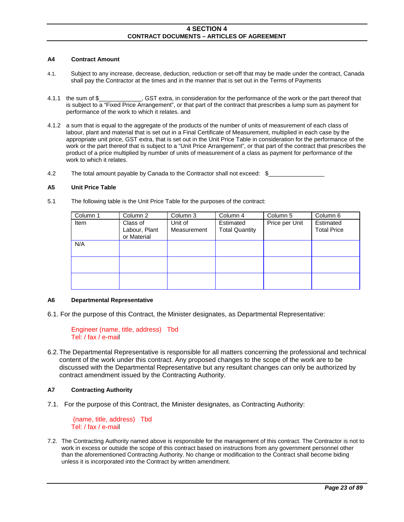#### <span id="page-22-0"></span>**A4 Contract Amount**

- 4.1. Subject to any increase, decrease, deduction, reduction or set-off that may be made under the contract, Canada shall pay the Contractor at the times and in the manner that is set out in the Terms of Payments
- 4.1.1 the sum of \$\_\_\_\_\_\_\_\_\_\_\_\_\_, GST extra, in consideration for the performance of the work or the part thereof that is subject to a "Fixed Price Arrangement", or that part of the contract that prescribes a lump sum as payment for performance of the work to which it relates. and
- 4.1.2 a sum that is equal to the aggregate of the products of the number of units of measurement of each class of labour, plant and material that is set out in a Final Certificate of Measurement, multiplied in each case by the appropriate unit price, GST extra, that is set out in the Unit Price Table in consideration for the performance of the work or the part thereof that is subject to a "Unit Price Arrangement", or that part of the contract that prescribes the product of a price multiplied by number of units of measurement of a class as payment for performance of the work to which it relates.
- 4.2 The total amount payable by Canada to the Contractor shall not exceed: \$

#### <span id="page-22-1"></span>**A5 Unit Price Table**

5.1 The following table is the Unit Price Table for the purposes of the contract:

| Column 1 | Column 2                                 | Column 3               | Column 4                           | Column 5       | Column 6                        |
|----------|------------------------------------------|------------------------|------------------------------------|----------------|---------------------------------|
| Item     | Class of<br>Labour, Plant<br>or Material | Unit of<br>Measurement | Estimated<br><b>Total Quantity</b> | Price per Unit | Estimated<br><b>Total Price</b> |
| N/A      |                                          |                        |                                    |                |                                 |
|          |                                          |                        |                                    |                |                                 |
|          |                                          |                        |                                    |                |                                 |

#### <span id="page-22-2"></span>**A6 Departmental Representative**

6.1. For the purpose of this Contract, the Minister designates, as Departmental Representative:

```
Engineer (name, title, address) Tbd 
Tel: / fax / e-mail
```
6.2. The Departmental Representative is responsible for all matters concerning the professional and technical content of the work under this contract. Any proposed changes to the scope of the work are to be discussed with the Departmental Representative but any resultant changes can only be authorized by contract amendment issued by the Contracting Authority.

#### <span id="page-22-3"></span>**A7 Contracting Authority**

7.1. For the purpose of this Contract, the Minister designates, as Contracting Authority:

 (name, title, address) Tbd Tel: / fax / e-mail

7.2. The Contracting Authority named above is responsible for the management of this contract. The Contractor is not to work in excess or outside the scope of this contract based on instructions from any government personnel other than the aforementioned Contracting Authority. No change or modification to the Contract shall become biding unless it is incorporated into the Contract by written amendment.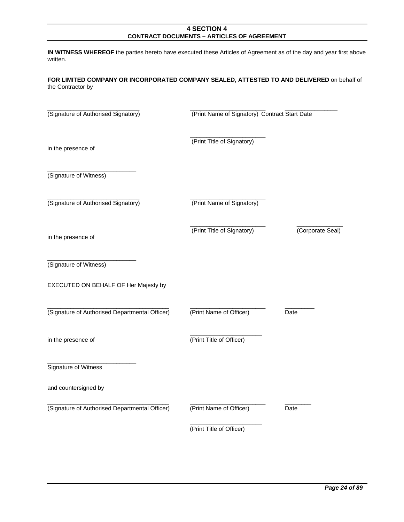**IN WITNESS WHEREOF** the parties hereto have executed these Articles of Agreement as of the day and year first above written.

| FOR LIMITED COMPANY OR INCORPORATED COMPANY SEALED, ATTESTED TO AND DELIVERED on behalf of |  |  |  |
|--------------------------------------------------------------------------------------------|--|--|--|
| the Contractor by                                                                          |  |  |  |

| (Signature of Authorised Signatory)            | (Print Name of Signatory) Contract Start Date |                  |  |  |
|------------------------------------------------|-----------------------------------------------|------------------|--|--|
| in the presence of                             | (Print Title of Signatory)                    |                  |  |  |
| (Signature of Witness)                         |                                               |                  |  |  |
| (Signature of Authorised Signatory)            | (Print Name of Signatory)                     |                  |  |  |
| in the presence of                             | (Print Title of Signatory)                    | (Corporate Seal) |  |  |
| (Signature of Witness)                         |                                               |                  |  |  |
| EXECUTED ON BEHALF OF Her Majesty by           |                                               |                  |  |  |
| (Signature of Authorised Departmental Officer) | (Print Name of Officer)                       | Date             |  |  |
| in the presence of                             | (Print Title of Officer)                      |                  |  |  |
| Signature of Witness                           |                                               |                  |  |  |
| and countersigned by                           |                                               |                  |  |  |
| (Signature of Authorised Departmental Officer) | (Print Name of Officer)                       | Date             |  |  |
|                                                | (Print Title of Officer)                      |                  |  |  |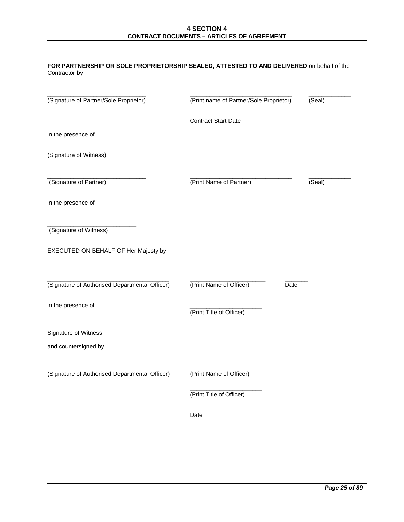| FOR PARTNERSHIP OR SOLE PROPRIETORSHIP SEALED, ATTESTED TO AND DELIVERED on behalf of the<br>Contractor by |                                         |        |
|------------------------------------------------------------------------------------------------------------|-----------------------------------------|--------|
| (Signature of Partner/Sole Proprietor)                                                                     | (Print name of Partner/Sole Proprietor) | (Seal) |
|                                                                                                            | <b>Contract Start Date</b>              |        |
| in the presence of                                                                                         |                                         |        |
| (Signature of Witness)                                                                                     |                                         |        |
| (Signature of Partner)                                                                                     | (Print Name of Partner)                 | (Seal) |
| in the presence of                                                                                         |                                         |        |
| (Signature of Witness)                                                                                     |                                         |        |
| EXECUTED ON BEHALF OF Her Majesty by                                                                       |                                         |        |
| (Signature of Authorised Departmental Officer)                                                             | (Print Name of Officer)<br>Date         |        |
| in the presence of                                                                                         | (Print Title of Officer)                |        |
| Signature of Witness                                                                                       |                                         |        |
| and countersigned by                                                                                       |                                         |        |
| (Signature of Authorised Departmental Officer)                                                             | (Print Name of Officer)                 |        |
|                                                                                                            | (Print Title of Officer)                |        |
|                                                                                                            | Date                                    |        |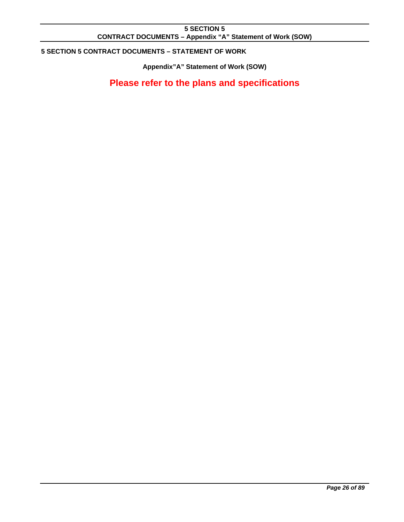# **5 SECTION 5 CONTRACT DOCUMENTS – Appendix "A" Statement of Work (SOW)**

# <span id="page-25-1"></span><span id="page-25-0"></span>**5 SECTION 5 CONTRACT DOCUMENTS – STATEMENT OF WORK**

**Appendix"A" Statement of Work (SOW)**

**Please refer to the plans and specifications**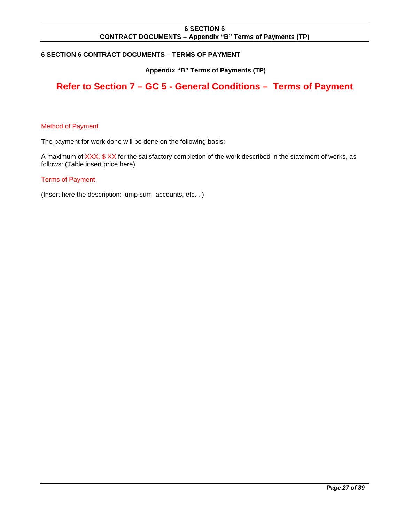# **6 SECTION 6 CONTRACT DOCUMENTS – Appendix "B" Terms of Payments (TP)**

# <span id="page-26-1"></span><span id="page-26-0"></span>**6 SECTION 6 CONTRACT DOCUMENTS – TERMS OF PAYMENT**

# **Appendix "B" Terms of Payments (TP)**

# **Refer to Section 7 – GC 5 - General Conditions – Terms of Payment**

#### Method of Payment

The payment for work done will be done on the following basis:

A maximum of XXX, \$ XX for the satisfactory completion of the work described in the statement of works, as follows: (Table insert price here)

#### Terms of Payment

(Insert here the description: lump sum, accounts, etc. ..)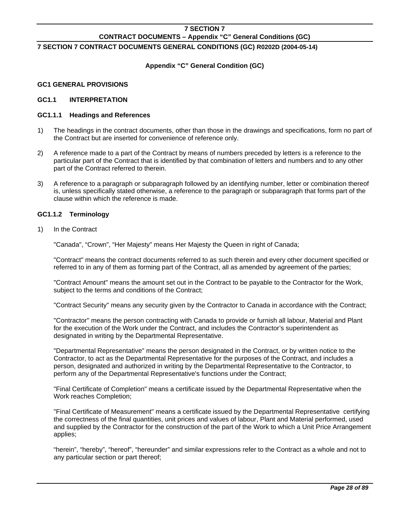# <span id="page-27-1"></span><span id="page-27-0"></span>**7 SECTION 7 CONTRACT DOCUMENTS GENERAL CONDITIONS (GC) R0202D (2004-05-14)**

# **Appendix "C" General Condition (GC)**

#### <span id="page-27-2"></span>**GC1 GENERAL PROVISIONS**

#### <span id="page-27-3"></span>**GC1.1 INTERPRETATION**

## **GC1.1.1 Headings and References**

- 1) The headings in the contract documents, other than those in the drawings and specifications, form no part of the Contract but are inserted for convenience of reference only.
- 2) A reference made to a part of the Contract by means of numbers preceded by letters is a reference to the particular part of the Contract that is identified by that combination of letters and numbers and to any other part of the Contract referred to therein.
- 3) A reference to a paragraph or subparagraph followed by an identifying number, letter or combination thereof is, unless specifically stated otherwise, a reference to the paragraph or subparagraph that forms part of the clause within which the reference is made.

#### **GC1.1.2 Terminology**

1) In the Contract

"Canada", "Crown", "Her Majesty" means Her Majesty the Queen in right of Canada;

 "Contract" means the contract documents referred to as such therein and every other document specified or referred to in any of them as forming part of the Contract, all as amended by agreement of the parties;

 "Contract Amount" means the amount set out in the Contract to be payable to the Contractor for the Work, subject to the terms and conditions of the Contract;

"Contract Security" means any security given by the Contractor to Canada in accordance with the Contract;

 "Contractor" means the person contracting with Canada to provide or furnish all labour, Material and Plant for the execution of the Work under the Contract, and includes the Contractor's superintendent as designated in writing by the Departmental Representative.

 "Departmental Representative" means the person designated in the Contract, or by written notice to the Contractor, to act as the Departmental Representative for the purposes of the Contract, and includes a person, designated and authorized in writing by the Departmental Representative to the Contractor, to perform any of the Departmental Representative's functions under the Contract;

 "Final Certificate of Completion" means a certificate issued by the Departmental Representative when the Work reaches Completion;

 "Final Certificate of Measurement" means a certificate issued by the Departmental Representative certifying the correctness of the final quantities, unit prices and values of labour, Plant and Material performed, used and supplied by the Contractor for the construction of the part of the Work to which a Unit Price Arrangement applies;

 "herein", "hereby", "hereof", "hereunder" and similar expressions refer to the Contract as a whole and not to any particular section or part thereof;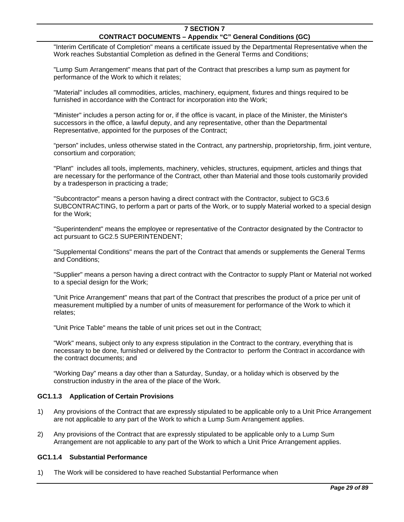"Interim Certificate of Completion" means a certificate issued by the Departmental Representative when the Work reaches Substantial Completion as defined in the General Terms and Conditions;

 "Lump Sum Arrangement" means that part of the Contract that prescribes a lump sum as payment for performance of the Work to which it relates;

 "Material" includes all commodities, articles, machinery, equipment, fixtures and things required to be furnished in accordance with the Contract for incorporation into the Work;

 "Minister" includes a person acting for or, if the office is vacant, in place of the Minister, the Minister's successors in the office, a lawful deputy, and any representative, other than the Departmental Representative, appointed for the purposes of the Contract;

 "person" includes, unless otherwise stated in the Contract, any partnership, proprietorship, firm, joint venture, consortium and corporation;

 "Plant" includes all tools, implements, machinery, vehicles, structures, equipment, articles and things that are necessary for the performance of the Contract, other than Material and those tools customarily provided by a tradesperson in practicing a trade;

 "Subcontractor" means a person having a direct contract with the Contractor, subject to GC3.6 SUBCONTRACTING, to perform a part or parts of the Work, or to supply Material worked to a special design for the Work;

 "Superintendent" means the employee or representative of the Contractor designated by the Contractor to act pursuant to GC2.5 SUPERINTENDENT;

 "Supplemental Conditions" means the part of the Contract that amends or supplements the General Terms and Conditions;

 "Supplier" means a person having a direct contract with the Contractor to supply Plant or Material not worked to a special design for the Work;

 "Unit Price Arrangement" means that part of the Contract that prescribes the product of a price per unit of measurement multiplied by a number of units of measurement for performance of the Work to which it relates;

"Unit Price Table" means the table of unit prices set out in the Contract;

 "Work" means, subject only to any express stipulation in the Contract to the contrary, everything that is necessary to be done, furnished or delivered by the Contractor to perform the Contract in accordance with the contract documents; and

 "Working Day" means a day other than a Saturday, Sunday, or a holiday which is observed by the construction industry in the area of the place of the Work.

#### **GC1.1.3 Application of Certain Provisions**

- 1) Any provisions of the Contract that are expressly stipulated to be applicable only to a Unit Price Arrangement are not applicable to any part of the Work to which a Lump Sum Arrangement applies.
- 2) Any provisions of the Contract that are expressly stipulated to be applicable only to a Lump Sum Arrangement are not applicable to any part of the Work to which a Unit Price Arrangement applies.

#### **GC1.1.4 Substantial Performance**

1) The Work will be considered to have reached Substantial Performance when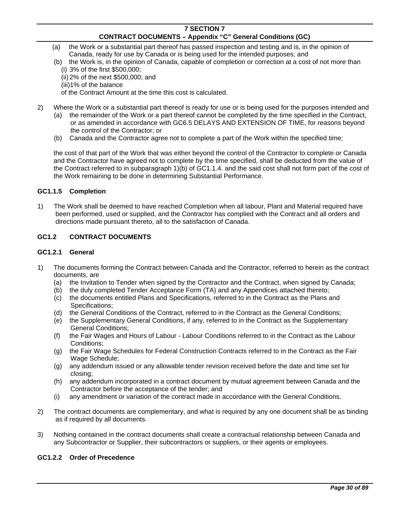- (a) the Work or a substantial part thereof has passed inspection and testing and is, in the opinion of Canada, ready for use by Canada or is being used for the intended purposes; and
- (b) the Work is, in the opinion of Canada, capable of completion or correction at a cost of not more than (i) 3% of the first \$500,000;
	- (ii) 2% of the next \$500,000; and
	- (iii)1% of the balance

of the Contract Amount at the time this cost is calculated.

- 2) Where the Work or a substantial part thereof is ready for use or is being used for the purposes intended and
	- (a) the remainder of the Work or a part thereof cannot be completed by the time specified in the Contract, or as amended in accordance with GC6.5 DELAYS AND EXTENSION OF TIME, for reasons beyond the control of the Contractor; or
	- (b) Canada and the Contractor agree not to complete a part of the Work within the specified time;

 the cost of that part of the Work that was either beyond the control of the Contractor to complete or Canada and the Contractor have agreed not to complete by the time specified, shall be deducted from the value of the Contract referred to in subparagraph 1)(b) of GC1.1.4. and the said cost shall not form part of the cost of the Work remaining to be done in determining Substantial Performance.

# **GC1.1.5 Completion**

1) The Work shall be deemed to have reached Completion when all labour, Plant and Material required have been performed, used or supplied, and the Contractor has complied with the Contract and all orders and directions made pursuant thereto, all to the satisfaction of Canada.

# <span id="page-29-0"></span>**GC1.2 CONTRACT DOCUMENTS**

#### **GC1.2.1 General**

- 1) The documents forming the Contract between Canada and the Contractor, referred to herein as the contract documents, are
	- (a) the Invitation to Tender when signed by the Contractor and the Contract, when signed by Canada;
	- (b) the duly completed Tender Acceptance Form (TA) and any Appendices attached thereto;
	- (c) the documents entitled Plans and Specifications, referred to in the Contract as the Plans and Specifications;
	- (d) the General Conditions of the Contract, referred to in the Contract as the General Conditions;
	- (e) the Supplementary General Conditions, if any, referred to in the Contract as the Supplementary General Conditions;
	- (f) the Fair Wages and Hours of Labour Labour Conditions referred to in the Contract as the Labour Conditions;
	- (g) the Fair Wage Schedules for Federal Construction Contracts referred to in the Contract as the Fair Wage Schedule;
	- (g) any addendum issued or any allowable tender revision received before the date and time set for closing;
	- (h) any addendum incorporated in a contract document by mutual agreement between Canada and the Contractor before the acceptance of the tender; and
	- (i) any amendment or variation of the contract made in accordance with the General Conditions.
- 2) The contract documents are complementary, and what is required by any one document shall be as binding as if required by all documents.
- 3) Nothing contained in the contract documents shall create a contractual relationship between Canada and any Subcontractor or Supplier, their subcontractors or suppliers, or their agents or employees.

#### **GC1.2.2 Order of Precedence**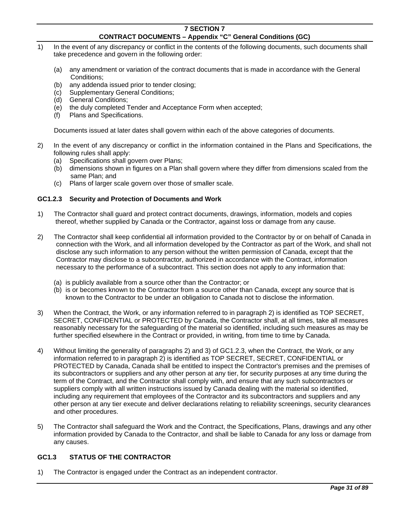- 1) In the event of any discrepancy or conflict in the contents of the following documents, such documents shall take precedence and govern in the following order:
	- (a) any amendment or variation of the contract documents that is made in accordance with the General Conditions;
	- (b) any addenda issued prior to tender closing;
	- (c) Supplementary General Conditions;
	- (d) General Conditions;
	- (e) the duly completed Tender and Acceptance Form when accepted;
	- (f) Plans and Specifications.

Documents issued at later dates shall govern within each of the above categories of documents.

- 2) In the event of any discrepancy or conflict in the information contained in the Plans and Specifications, the following rules shall apply:
	- (a) Specifications shall govern over Plans;
	- (b) dimensions shown in figures on a Plan shall govern where they differ from dimensions scaled from the same Plan; and
	- (c) Plans of larger scale govern over those of smaller scale.

# **GC1.2.3 Security and Protection of Documents and Work**

- 1) The Contractor shall guard and protect contract documents, drawings, information, models and copies thereof, whether supplied by Canada or the Contractor, against loss or damage from any cause.
- 2) The Contractor shall keep confidential all information provided to the Contractor by or on behalf of Canada in connection with the Work, and all information developed by the Contractor as part of the Work, and shall not disclose any such information to any person without the written permission of Canada, except that the Contractor may disclose to a subcontractor, authorized in accordance with the Contract, information necessary to the performance of a subcontract. This section does not apply to any information that:
	- (a) is publicly available from a source other than the Contractor; or
	- (b) is or becomes known to the Contractor from a source other than Canada, except any source that is known to the Contractor to be under an obligation to Canada not to disclose the information.
- 3) When the Contract, the Work, or any information referred to in paragraph 2) is identified as TOP SECRET, SECRET, CONFIDENTIAL or PROTECTED by Canada, the Contractor shall, at all times, take all measures reasonably necessary for the safeguarding of the material so identified, including such measures as may be further specified elsewhere in the Contract or provided, in writing, from time to time by Canada.
- 4) Without limiting the generality of paragraphs 2) and 3) of GC1.2.3, when the Contract, the Work, or any information referred to in paragraph 2) is identified as TOP SECRET, SECRET, CONFIDENTIAL or PROTECTED by Canada, Canada shall be entitled to inspect the Contractor's premises and the premises of its subcontractors or suppliers and any other person at any tier, for security purposes at any time during the term of the Contract, and the Contractor shall comply with, and ensure that any such subcontractors or suppliers comply with all written instructions issued by Canada dealing with the material so identified, including any requirement that employees of the Contractor and its subcontractors and suppliers and any other person at any tier execute and deliver declarations relating to reliability screenings, security clearances and other procedures.
- 5) The Contractor shall safeguard the Work and the Contract, the Specifications, Plans, drawings and any other information provided by Canada to the Contractor, and shall be liable to Canada for any loss or damage from any causes.

# <span id="page-30-0"></span>**GC1.3 STATUS OF THE CONTRACTOR**

1) The Contractor is engaged under the Contract as an independent contractor.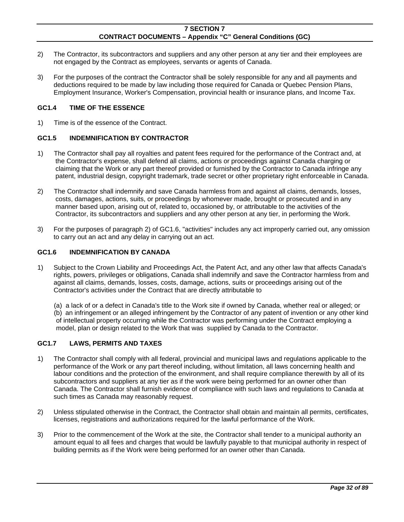- 2) The Contractor, its subcontractors and suppliers and any other person at any tier and their employees are not engaged by the Contract as employees, servants or agents of Canada.
- 3) For the purposes of the contract the Contractor shall be solely responsible for any and all payments and deductions required to be made by law including those required for Canada or Quebec Pension Plans, Employment Insurance, Worker's Compensation, provincial health or insurance plans, and Income Tax.

#### **GC1.4 TIME OF THE ESSENCE**

1) Time is of the essence of the Contract.

# <span id="page-31-0"></span>**GC1.5 INDEMNIFICATION BY CONTRACTOR**

- 1) The Contractor shall pay all royalties and patent fees required for the performance of the Contract and, at the Contractor's expense, shall defend all claims, actions or proceedings against Canada charging or claiming that the Work or any part thereof provided or furnished by the Contractor to Canada infringe any patent, industrial design, copyright trademark, trade secret or other proprietary right enforceable in Canada.
- 2) The Contractor shall indemnify and save Canada harmless from and against all claims, demands, losses, costs, damages, actions, suits, or proceedings by whomever made, brought or prosecuted and in any manner based upon, arising out of, related to, occasioned by, or attributable to the activities of the Contractor, its subcontractors and suppliers and any other person at any tier, in performing the Work.
- 3) For the purposes of paragraph 2) of GC1.6, "activities" includes any act improperly carried out, any omission to carry out an act and any delay in carrying out an act.

#### <span id="page-31-1"></span>**GC1.6 INDEMNIFICATION BY CANADA**

1) Subject to the Crown Liability and Proceedings Act, the Patent Act, and any other law that affects Canada's rights, powers, privileges or obligations, Canada shall indemnify and save the Contractor harmless from and against all claims, demands, losses, costs, damage, actions, suits or proceedings arising out of the Contractor's activities under the Contract that are directly attributable to

 (a) a lack of or a defect in Canada's title to the Work site if owned by Canada, whether real or alleged; or (b) an infringement or an alleged infringement by the Contractor of any patent of invention or any other kind of intellectual property occurring while the Contractor was performing under the Contract employing a model, plan or design related to the Work that was supplied by Canada to the Contractor.

#### <span id="page-31-2"></span>**GC1.7 LAWS, PERMITS AND TAXES**

- 1) The Contractor shall comply with all federal, provincial and municipal laws and regulations applicable to the performance of the Work or any part thereof including, without limitation, all laws concerning health and labour conditions and the protection of the environment, and shall require compliance therewith by all of its subcontractors and suppliers at any tier as if the work were being performed for an owner other than Canada. The Contractor shall furnish evidence of compliance with such laws and regulations to Canada at such times as Canada may reasonably request.
- 2) Unless stipulated otherwise in the Contract, the Contractor shall obtain and maintain all permits, certificates, licenses, registrations and authorizations required for the lawful performance of the Work.
- 3) Prior to the commencement of the Work at the site, the Contractor shall tender to a municipal authority an amount equal to all fees and charges that would be lawfully payable to that municipal authority in respect of building permits as if the Work were being performed for an owner other than Canada.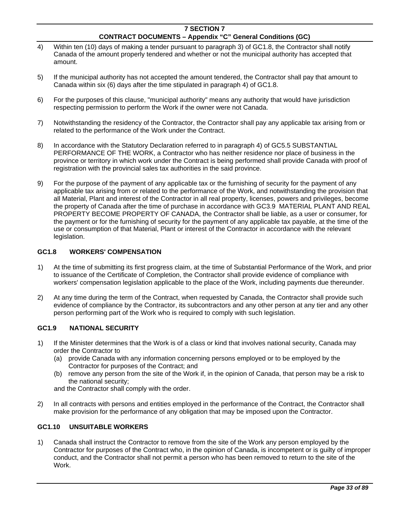- 4) Within ten (10) days of making a tender pursuant to paragraph 3) of GC1.8, the Contractor shall notify Canada of the amount properly tendered and whether or not the municipal authority has accepted that amount.
- 5) If the municipal authority has not accepted the amount tendered, the Contractor shall pay that amount to Canada within six (6) days after the time stipulated in paragraph 4) of GC1.8.
- 6) For the purposes of this clause, "municipal authority" means any authority that would have jurisdiction respecting permission to perform the Work if the owner were not Canada.
- 7) Notwithstanding the residency of the Contractor, the Contractor shall pay any applicable tax arising from or related to the performance of the Work under the Contract.
- 8) In accordance with the Statutory Declaration referred to in paragraph 4) of GC5.5 SUBSTANTIAL PERFORMANCE OF THE WORK, a Contractor who has neither residence nor place of business in the province or territory in which work under the Contract is being performed shall provide Canada with proof of registration with the provincial sales tax authorities in the said province.
- 9) For the purpose of the payment of any applicable tax or the furnishing of security for the payment of any applicable tax arising from or related to the performance of the Work, and notwithstanding the provision that all Material, Plant and interest of the Contractor in all real property, licenses, powers and privileges, become the property of Canada after the time of purchase in accordance with GC3.9 MATERIAL PLANT AND REAL PROPERTY BECOME PROPERTY OF CANADA, the Contractor shall be liable, as a user or consumer, for the payment or for the furnishing of security for the payment of any applicable tax payable, at the time of the use or consumption of that Material, Plant or interest of the Contractor in accordance with the relevant legislation.

# <span id="page-32-0"></span>**GC1.8 WORKERS' COMPENSATION**

- 1) At the time of submitting its first progress claim, at the time of Substantial Performance of the Work, and prior to issuance of the Certificate of Completion, the Contractor shall provide evidence of compliance with workers' compensation legislation applicable to the place of the Work, including payments due thereunder.
- 2) At any time during the term of the Contract, when requested by Canada, the Contractor shall provide such evidence of compliance by the Contractor, its subcontractors and any other person at any tier and any other person performing part of the Work who is required to comply with such legislation.

#### <span id="page-32-1"></span>**GC1.9 NATIONAL SECURITY**

- 1) If the Minister determines that the Work is of a class or kind that involves national security, Canada may order the Contractor to
	- (a) provide Canada with any information concerning persons employed or to be employed by the Contractor for purposes of the Contract; and
	- (b) remove any person from the site of the Work if, in the opinion of Canada, that person may be a risk to the national security;

and the Contractor shall comply with the order.

2) In all contracts with persons and entities employed in the performance of the Contract, the Contractor shall make provision for the performance of any obligation that may be imposed upon the Contractor.

#### <span id="page-32-2"></span>**GC1.10 UNSUITABLE WORKERS**

1) Canada shall instruct the Contractor to remove from the site of the Work any person employed by the Contractor for purposes of the Contract who, in the opinion of Canada, is incompetent or is guilty of improper conduct, and the Contractor shall not permit a person who has been removed to return to the site of the Work.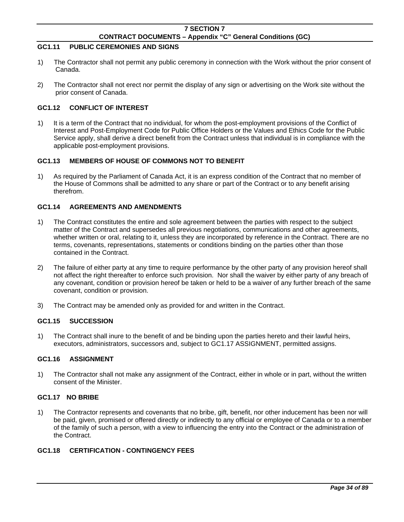# <span id="page-33-0"></span>**GC1.11 PUBLIC CEREMONIES AND SIGNS**

- 1) The Contractor shall not permit any public ceremony in connection with the Work without the prior consent of Canada.
- 2) The Contractor shall not erect nor permit the display of any sign or advertising on the Work site without the prior consent of Canada.

# <span id="page-33-1"></span>**GC1.12 CONFLICT OF INTEREST**

1) It is a term of the Contract that no individual, for whom the post-employment provisions of the Conflict of Interest and Post-Employment Code for Public Office Holders or the Values and Ethics Code for the Public Service apply, shall derive a direct benefit from the Contract unless that individual is in compliance with the applicable post-employment provisions.

# <span id="page-33-2"></span>**GC1.13 MEMBERS OF HOUSE OF COMMONS NOT TO BENEFIT**

1) As required by the Parliament of Canada Act, it is an express condition of the Contract that no member of the House of Commons shall be admitted to any share or part of the Contract or to any benefit arising therefrom.

# <span id="page-33-3"></span>**GC1.14 AGREEMENTS AND AMENDMENTS**

- 1) The Contract constitutes the entire and sole agreement between the parties with respect to the subject matter of the Contract and supersedes all previous negotiations, communications and other agreements, whether written or oral, relating to it, unless they are incorporated by reference in the Contract. There are no terms, covenants, representations, statements or conditions binding on the parties other than those contained in the Contract.
- 2) The failure of either party at any time to require performance by the other party of any provision hereof shall not affect the right thereafter to enforce such provision. Nor shall the waiver by either party of any breach of any covenant, condition or provision hereof be taken or held to be a waiver of any further breach of the same covenant, condition or provision.
- 3) The Contract may be amended only as provided for and written in the Contract.

#### <span id="page-33-4"></span>**GC1.15 SUCCESSION**

1) The Contract shall inure to the benefit of and be binding upon the parties hereto and their lawful heirs, executors, administrators, successors and, subject to GC1.17 ASSIGNMENT, permitted assigns.

# <span id="page-33-5"></span>**GC1.16 ASSIGNMENT**

1) The Contractor shall not make any assignment of the Contract, either in whole or in part, without the written consent of the Minister.

#### <span id="page-33-6"></span>**GC1.17 NO BRIBE**

1) The Contractor represents and covenants that no bribe, gift, benefit, nor other inducement has been nor will be paid, given, promised or offered directly or indirectly to any official or employee of Canada or to a member of the family of such a person, with a view to influencing the entry into the Contract or the administration of the Contract.

# <span id="page-33-7"></span>**GC1.18 CERTIFICATION - CONTINGENCY FEES**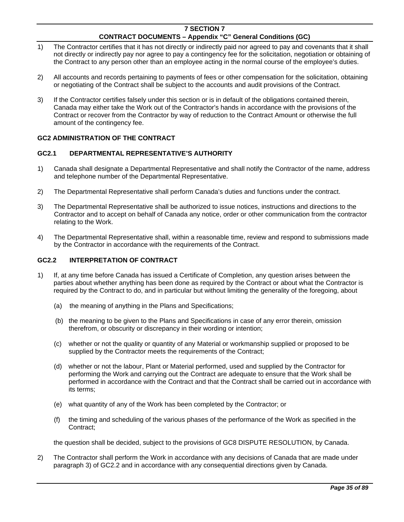- 1) The Contractor certifies that it has not directly or indirectly paid nor agreed to pay and covenants that it shall not directly or indirectly pay nor agree to pay a contingency fee for the solicitation, negotiation or obtaining of the Contract to any person other than an employee acting in the normal course of the employee's duties.
- 2) All accounts and records pertaining to payments of fees or other compensation for the solicitation, obtaining or negotiating of the Contract shall be subject to the accounts and audit provisions of the Contract.
- 3) If the Contractor certifies falsely under this section or is in default of the obligations contained therein, Canada may either take the Work out of the Contractor's hands in accordance with the provisions of the Contract or recover from the Contractor by way of reduction to the Contract Amount or otherwise the full amount of the contingency fee.

# <span id="page-34-0"></span>**GC2 ADMINISTRATION OF THE CONTRACT**

# <span id="page-34-1"></span>**GC2.1 DEPARTMENTAL REPRESENTATIVE'S AUTHORITY**

- 1) Canada shall designate a Departmental Representative and shall notify the Contractor of the name, address and telephone number of the Departmental Representative.
- 2) The Departmental Representative shall perform Canada's duties and functions under the contract.
- 3) The Departmental Representative shall be authorized to issue notices, instructions and directions to the Contractor and to accept on behalf of Canada any notice, order or other communication from the contractor relating to the Work.
- 4) The Departmental Representative shall, within a reasonable time, review and respond to submissions made by the Contractor in accordance with the requirements of the Contract.

# <span id="page-34-2"></span>**GC2.2 INTERPRETATION OF CONTRACT**

- 1) If, at any time before Canada has issued a Certificate of Completion, any question arises between the parties about whether anything has been done as required by the Contract or about what the Contractor is required by the Contract to do, and in particular but without limiting the generality of the foregoing, about
	- (a) the meaning of anything in the Plans and Specifications;
	- (b) the meaning to be given to the Plans and Specifications in case of any error therein, omission therefrom, or obscurity or discrepancy in their wording or intention;
	- (c) whether or not the quality or quantity of any Material or workmanship supplied or proposed to be supplied by the Contractor meets the requirements of the Contract;
	- (d) whether or not the labour, Plant or Material performed, used and supplied by the Contractor for performing the Work and carrying out the Contract are adequate to ensure that the Work shall be performed in accordance with the Contract and that the Contract shall be carried out in accordance with its terms;
	- (e) what quantity of any of the Work has been completed by the Contractor; or
	- (f) the timing and scheduling of the various phases of the performance of the Work as specified in the Contract;

the question shall be decided, subject to the provisions of GC8 DISPUTE RESOLUTION, by Canada.

2) The Contractor shall perform the Work in accordance with any decisions of Canada that are made under paragraph 3) of GC2.2 and in accordance with any consequential directions given by Canada.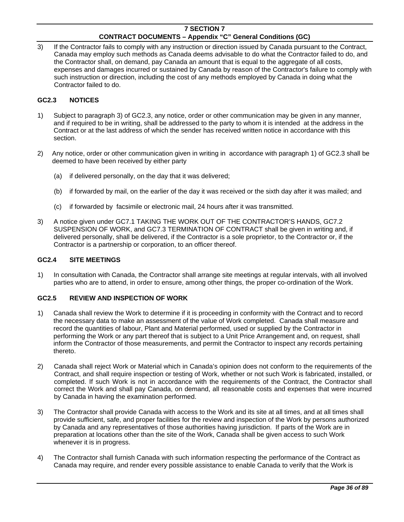3) If the Contractor fails to comply with any instruction or direction issued by Canada pursuant to the Contract, Canada may employ such methods as Canada deems advisable to do what the Contractor failed to do, and the Contractor shall, on demand, pay Canada an amount that is equal to the aggregate of all costs, expenses and damages incurred or sustained by Canada by reason of the Contractor's failure to comply with such instruction or direction, including the cost of any methods employed by Canada in doing what the Contractor failed to do.

# <span id="page-35-0"></span>**GC2.3 NOTICES**

- 1) Subject to paragraph 3) of GC2.3, any notice, order or other communication may be given in any manner, and if required to be in writing, shall be addressed to the party to whom it is intended at the address in the Contract or at the last address of which the sender has received written notice in accordance with this section.
- 2) Any notice, order or other communication given in writing in accordance with paragraph 1) of GC2.3 shall be deemed to have been received by either party
	- (a) if delivered personally, on the day that it was delivered;
	- (b) if forwarded by mail, on the earlier of the day it was received or the sixth day after it was mailed; and
	- (c) if forwarded by facsimile or electronic mail, 24 hours after it was transmitted.
- 3) A notice given under GC7.1 TAKING THE WORK OUT OF THE CONTRACTOR'S HANDS, GC7.2 SUSPENSION OF WORK, and GC7.3 TERMINATION OF CONTRACT shall be given in writing and, if delivered personally, shall be delivered, if the Contractor is a sole proprietor, to the Contractor or, if the Contractor is a partnership or corporation, to an officer thereof.

#### <span id="page-35-1"></span>**GC2.4 SITE MEETINGS**

1) In consultation with Canada, the Contractor shall arrange site meetings at regular intervals, with all involved parties who are to attend, in order to ensure, among other things, the proper co-ordination of the Work.

# <span id="page-35-2"></span>**GC2.5 REVIEW AND INSPECTION OF WORK**

- 1) Canada shall review the Work to determine if it is proceeding in conformity with the Contract and to record the necessary data to make an assessment of the value of Work completed. Canada shall measure and record the quantities of labour, Plant and Material performed, used or supplied by the Contractor in performing the Work or any part thereof that is subject to a Unit Price Arrangement and, on request, shall inform the Contractor of those measurements, and permit the Contractor to inspect any records pertaining thereto.
- 2) Canada shall reject Work or Material which in Canada's opinion does not conform to the requirements of the Contract, and shall require inspection or testing of Work, whether or not such Work is fabricated, installed, or completed. If such Work is not in accordance with the requirements of the Contract, the Contractor shall correct the Work and shall pay Canada, on demand, all reasonable costs and expenses that were incurred by Canada in having the examination performed.
- 3) The Contractor shall provide Canada with access to the Work and its site at all times, and at all times shall provide sufficient, safe, and proper facilities for the review and inspection of the Work by persons authorized by Canada and any representatives of those authorities having jurisdiction. If parts of the Work are in preparation at locations other than the site of the Work, Canada shall be given access to such Work whenever it is in progress.
- 4) The Contractor shall furnish Canada with such information respecting the performance of the Contract as Canada may require, and render every possible assistance to enable Canada to verify that the Work is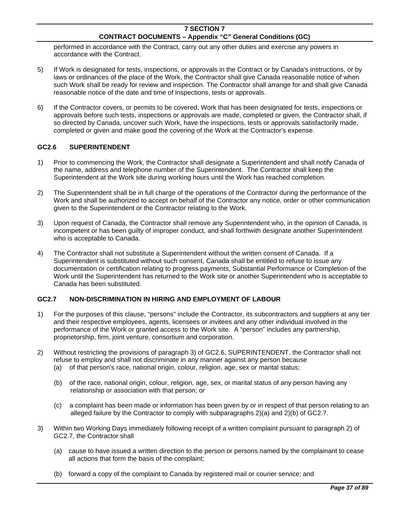performed in accordance with the Contract, carry out any other duties and exercise any powers in accordance with the Contract.

- 5) If Work is designated for tests, inspections, or approvals in the Contract or by Canada's instructions, or by laws or ordinances of the place of the Work, the Contractor shall give Canada reasonable notice of when such Work shall be ready for review and inspection. The Contractor shall arrange for and shall give Canada reasonable notice of the date and time of inspections, tests or approvals.
- 6) If the Contractor covers, or permits to be covered, Work that has been designated for tests, inspections or approvals before such tests, inspections or approvals are made, completed or given, the Contractor shall, if so directed by Canada, uncover such Work, have the inspections, tests or approvals satisfactorily made, completed or given and make good the covering of the Work at the Contractor's expense.

## **GC2.6 SUPERINTENDENT**

- 1) Prior to commencing the Work, the Contractor shall designate a Superintendent and shall notify Canada of the name, address and telephone number of the Superintendent. The Contractor shall keep the Superintendent at the Work site during working hours until the Work has reached completion.
- 2) The Superintendent shall be in full charge of the operations of the Contractor during the performance of the Work and shall be authorized to accept on behalf of the Contractor any notice, order or other communication given to the Superintendent or the Contractor relating to the Work.
- 3) Upon request of Canada, the Contractor shall remove any Superintendent who, in the opinion of Canada, is incompetent or has been guilty of improper conduct, and shall forthwith designate another Superintendent who is acceptable to Canada.
- 4) The Contractor shall not substitute a Superintendent without the written consent of Canada. If a Superintendent is substituted without such consent, Canada shall be entitled to refuse to issue any documentation or certification relating to progress payments, Substantial Performance or Completion of the Work until the Superintendent has returned to the Work site or another Superintendent who is acceptable to Canada has been substituted.

# **GC2.7 NON-DISCRIMINATION IN HIRING AND EMPLOYMENT OF LABOUR**

- 1) For the purposes of this clause, "persons" include the Contractor, its subcontractors and suppliers at any tier and their respective employees, agents, licensees or invitees and any other individual involved in the performance of the Work or granted access to the Work site. A "person" includes any partnership, proprietorship, firm, joint venture, consortium and corporation.
- 2) Without restricting the provisions of paragraph 3) of GC2.6, SUPERINTENDENT, the Contractor shall not refuse to employ and shall not discriminate in any manner against any person because (a) of that person's race, national origin, colour, religion, age, sex or marital status;
	- (b) of the race, national origin, colour, religion, age, sex, or marital status of any person having any relationship or association with that person; or
	- (c) a complaint has been made or information has been given by or in respect of that person relating to an alleged failure by the Contractor to comply with subparagraphs 2)(a) and 2)(b) of GC2.7.
- 3) Within two Working Days immediately following receipt of a written complaint pursuant to paragraph 2) of GC2.7, the Contractor shall
	- (a) cause to have issued a written direction to the person or persons named by the complainant to cease all actions that form the basis of the complaint;
	- (b) forward a copy of the complaint to Canada by registered mail or courier service; and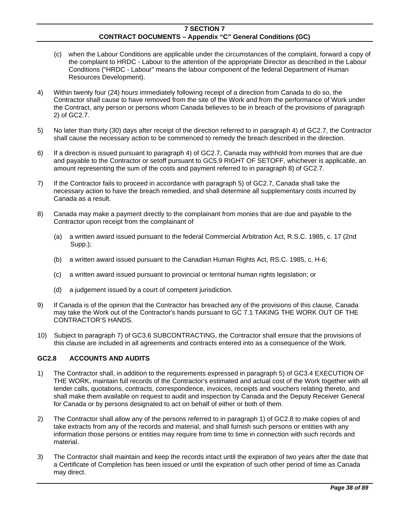- (c) when the Labour Conditions are applicable under the circumstances of the complaint, forward a copy of the complaint to HRDC - Labour to the attention of the appropriate Director as described in the Labour Conditions ("HRDC - Labour" means the labour component of the federal Department of Human Resources Development).
- 4) Within twenty four (24) hours immediately following receipt of a direction from Canada to do so, the Contractor shall cause to have removed from the site of the Work and from the performance of Work under the Contract, any person or persons whom Canada believes to be in breach of the provisions of paragraph 2) of GC2.7.
- 5) No later than thirty (30) days after receipt of the direction referred to in paragraph 4) of GC2.7, the Contractor shall cause the necessary action to be commenced to remedy the breach described in the direction.
- 6) If a direction is issued pursuant to paragraph 4) of GC2.7, Canada may withhold from monies that are due and payable to the Contractor or setoff pursuant to GC5.9 RIGHT OF SETOFF, whichever is applicable, an amount representing the sum of the costs and payment referred to in paragraph 8) of GC2.7.
- 7) If the Contractor fails to proceed in accordance with paragraph 5) of GC2.7, Canada shall take the necessary action to have the breach remedied, and shall determine all supplementary costs incurred by Canada as a result.
- 8) Canada may make a payment directly to the complainant from monies that are due and payable to the Contractor upon receipt from the complainant of
	- (a) a written award issued pursuant to the federal Commercial Arbitration Act, R.S.C. 1985, c. 17 (2nd Supp.);
	- (b) a written award issued pursuant to the Canadian Human Rights Act, RS.C. 1985, c. H-6;
	- (c) a written award issued pursuant to provincial or territorial human rights legislation; or
	- (d) a judgement issued by a court of competent jurisdiction.
- 9) If Canada is of the opinion that the Contractor has breached any of the provisions of this clause, Canada may take the Work out of the Contractor's hands pursuant to GC 7.1 TAKING THE WORK OUT OF THE CONTRACTOR'S HANDS.
- 10) Subject to paragraph 7) of GC3.6 SUBCONTRACTING, the Contractor shall ensure that the provisions of this clause are included in all agreements and contracts entered into as a consequence of the Work.

# **GC2.8 ACCOUNTS AND AUDITS**

- 1) The Contractor shall, in addition to the requirements expressed in paragraph 5) of GC3.4 EXECUTION OF THE WORK, maintain full records of the Contractor's estimated and actual cost of the Work together with all tender calls, quotations, contracts, correspondence, invoices, receipts and vouchers relating thereto, and shall make them available on request to audit and inspection by Canada and the Deputy Receiver General for Canada or by persons designated to act on behalf of either or both of them.
- 2) The Contractor shall allow any of the persons referred to in paragraph 1) of GC2.8 to make copies of and take extracts from any of the records and material, and shall furnish such persons or entities with any information those persons or entities may require from time to time in connection with such records and material.
- 3) The Contractor shall maintain and keep the records intact until the expiration of two years after the date that a Certificate of Completion has been issued or until the expiration of such other period of time as Canada may direct.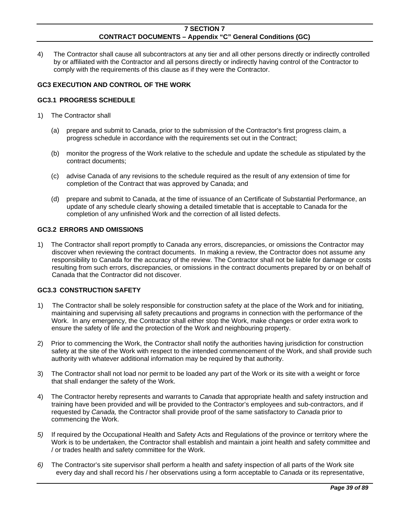4) The Contractor shall cause all subcontractors at any tier and all other persons directly or indirectly controlled by or affiliated with the Contractor and all persons directly or indirectly having control of the Contractor to comply with the requirements of this clause as if they were the Contractor.

## **GC3 EXECUTION AND CONTROL OF THE WORK**

### **GC3.1 PROGRESS SCHEDULE**

- 1) The Contractor shall
	- (a) prepare and submit to Canada, prior to the submission of the Contractor's first progress claim, a progress schedule in accordance with the requirements set out in the Contract;
	- (b) monitor the progress of the Work relative to the schedule and update the schedule as stipulated by the contract documents;
	- (c) advise Canada of any revisions to the schedule required as the result of any extension of time for completion of the Contract that was approved by Canada; and
	- (d) prepare and submit to Canada, at the time of issuance of an Certificate of Substantial Performance, an update of any schedule clearly showing a detailed timetable that is acceptable to Canada for the completion of any unfinished Work and the correction of all listed defects.

### **GC3.2 ERRORS AND OMISSIONS**

1) The Contractor shall report promptly to Canada any errors, discrepancies, or omissions the Contractor may discover when reviewing the contract documents. In making a review, the Contractor does not assume any responsibility to Canada for the accuracy of the review. The Contractor shall not be liable for damage or costs resulting from such errors, discrepancies, or omissions in the contract documents prepared by or on behalf of Canada that the Contractor did not discover.

## **GC3.3 CONSTRUCTION SAFETY**

- 1) The Contractor shall be solely responsible for construction safety at the place of the Work and for initiating, maintaining and supervising all safety precautions and programs in connection with the performance of the Work. In any emergency, the Contractor shall either stop the Work, make changes or order extra work to ensure the safety of life and the protection of the Work and neighbouring property.
- 2) Prior to commencing the Work, the Contractor shall notify the authorities having jurisdiction for construction safety at the site of the Work with respect to the intended commencement of the Work, and shall provide such authority with whatever additional information may be required by that authority.
- 3) The Contractor shall not load nor permit to be loaded any part of the Work or its site with a weight or force that shall endanger the safety of the Work.
- 4) The Contractor hereby represents and warrants to *Canada* that appropriate health and safety instruction and training have been provided and will be provided to the Contractor's employees and sub-contractors, and if requested by *Canada,* the Contractor shall provide proof of the same satisfactory to *Canada* prior to commencing the Work.
- *5)* If required by the Occupational Health and Safety Acts and Regulations of the province or territory where the Work is to be undertaken, the Contractor shall establish and maintain a joint health and safety committee and / or trades health and safety committee for the Work.
- *6)* The Contractor's site supervisor shall perform a health and safety inspection of all parts of the Work site every day and shall record his / her observations using a form acceptable to *Canada* or its representative,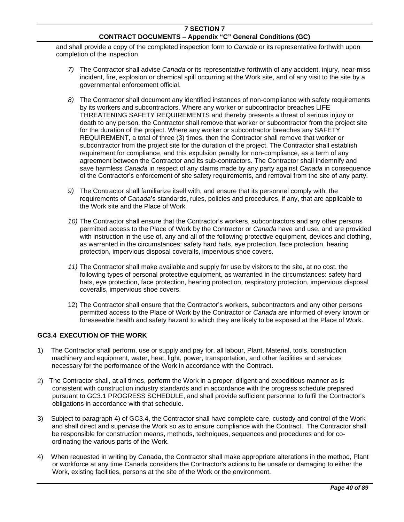and shall provide a copy of the completed inspection form to *Canada* or its representative forthwith upon completion of the inspection.

- *7)* The Contractor shall advise *Canada* or its representative forthwith of any accident, injury, near-miss incident, fire, explosion or chemical spill occurring at the Work site, and of any visit to the site by a governmental enforcement official.
- *8)* The Contractor shall document any identified instances of non-compliance with safety requirements by its workers and subcontractors. Where any worker or subcontractor breaches LIFE THREATENING SAFETY REQUIREMENTS and thereby presents a threat of serious injury or death to any person, the Contractor shall remove that worker or subcontractor from the project site for the duration of the project. Where any worker or subcontractor breaches any SAFETY REQUIREMENT, a total of three (3) times, then the Contractor shall remove that worker or subcontractor from the project site for the duration of the project. The Contractor shall establish requirement for compliance, and this expulsion penalty for non-compliance, as a term of any agreement between the Contractor and its sub-contractors. The Contractor shall indemnify and save harmless *Canada* in respect of any claims made by any party against *Canada* in consequence of the Contractor's enforcement of site safety requirements, and removal from the site of any party.
- *9)* The Contractor shall familiarize itself with, and ensure that its personnel comply with, the requirements of *Canada*'s standards, rules, policies and procedures, if any, that are applicable to the Work site and the Place of Work.
- *10)* The Contractor shall ensure that the Contractor's workers, subcontractors and any other persons permitted access to the Place of Work by the Contractor or *Canada* have and use, and are provided with instruction in the use of, any and all of the following protective equipment, devices and clothing, as warranted in the circumstances: safety hard hats, eye protection, face protection, hearing protection, impervious disposal coveralls, impervious shoe covers.
- *11)* The Contractor shall make available and supply for use by visitors to the site, at no cost, the following types of personal protective equipment, as warranted in the circumstances: safety hard hats, eye protection, face protection, hearing protection, respiratory protection, impervious disposal coveralls, impervious shoe covers.
- 12) The Contractor shall ensure that the Contractor's workers, subcontractors and any other persons permitted access to the Place of Work by the Contractor or *Canada* are informed of every known or foreseeable health and safety hazard to which they are likely to be exposed at the Place of Work.

# **GC3.4 EXECUTION OF THE WORK**

- 1) The Contractor shall perform, use or supply and pay for, all labour, Plant, Material, tools, construction machinery and equipment, water, heat, light, power, transportation, and other facilities and services necessary for the performance of the Work in accordance with the Contract.
- 2) The Contractor shall, at all times, perform the Work in a proper, diligent and expeditious manner as is consistent with construction industry standards and in accordance with the progress schedule prepared pursuant to GC3.1 PROGRESS SCHEDULE, and shall provide sufficient personnel to fulfil the Contractor's obligations in accordance with that schedule.
- 3) Subject to paragraph 4) of GC3.4, the Contractor shall have complete care, custody and control of the Work and shall direct and supervise the Work so as to ensure compliance with the Contract. The Contractor shall be responsible for construction means, methods, techniques, sequences and procedures and for coordinating the various parts of the Work.
- 4) When requested in writing by Canada, the Contractor shall make appropriate alterations in the method, Plant or workforce at any time Canada considers the Contractor's actions to be unsafe or damaging to either the Work, existing facilities, persons at the site of the Work or the environment.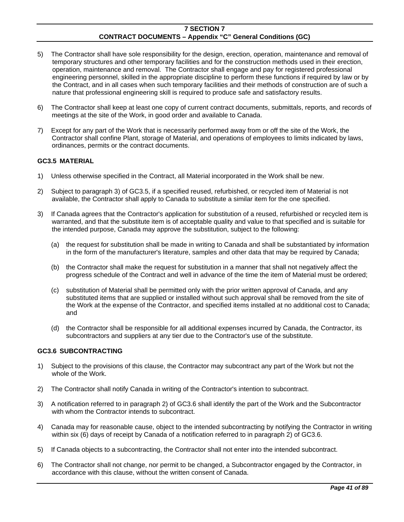- 5) The Contractor shall have sole responsibility for the design, erection, operation, maintenance and removal of temporary structures and other temporary facilities and for the construction methods used in their erection, operation, maintenance and removal. The Contractor shall engage and pay for registered professional engineering personnel, skilled in the appropriate discipline to perform these functions if required by law or by the Contract, and in all cases when such temporary facilities and their methods of construction are of such a nature that professional engineering skill is required to produce safe and satisfactory results.
- 6) The Contractor shall keep at least one copy of current contract documents, submittals, reports, and records of meetings at the site of the Work, in good order and available to Canada.
- 7) Except for any part of the Work that is necessarily performed away from or off the site of the Work, the Contractor shall confine Plant, storage of Material, and operations of employees to limits indicated by laws, ordinances, permits or the contract documents.

## **GC3.5 MATERIAL**

- 1) Unless otherwise specified in the Contract, all Material incorporated in the Work shall be new.
- 2) Subject to paragraph 3) of GC3.5, if a specified reused, refurbished, or recycled item of Material is not available, the Contractor shall apply to Canada to substitute a similar item for the one specified.
- 3) If Canada agrees that the Contractor's application for substitution of a reused, refurbished or recycled item is warranted, and that the substitute item is of acceptable quality and value to that specified and is suitable for the intended purpose, Canada may approve the substitution, subject to the following:
	- (a) the request for substitution shall be made in writing to Canada and shall be substantiated by information in the form of the manufacturer's literature, samples and other data that may be required by Canada;
	- (b) the Contractor shall make the request for substitution in a manner that shall not negatively affect the progress schedule of the Contract and well in advance of the time the item of Material must be ordered;
	- (c) substitution of Material shall be permitted only with the prior written approval of Canada, and any substituted items that are supplied or installed without such approval shall be removed from the site of the Work at the expense of the Contractor, and specified items installed at no additional cost to Canada; and
	- (d) the Contractor shall be responsible for all additional expenses incurred by Canada, the Contractor, its subcontractors and suppliers at any tier due to the Contractor's use of the substitute.

## **GC3.6 SUBCONTRACTING**

- 1) Subject to the provisions of this clause, the Contractor may subcontract any part of the Work but not the whole of the Work.
- 2) The Contractor shall notify Canada in writing of the Contractor's intention to subcontract.
- 3) A notification referred to in paragraph 2) of GC3.6 shall identify the part of the Work and the Subcontractor with whom the Contractor intends to subcontract.
- 4) Canada may for reasonable cause, object to the intended subcontracting by notifying the Contractor in writing within six (6) days of receipt by Canada of a notification referred to in paragraph 2) of GC3.6.
- 5) If Canada objects to a subcontracting, the Contractor shall not enter into the intended subcontract.
- 6) The Contractor shall not change, nor permit to be changed, a Subcontractor engaged by the Contractor, in accordance with this clause, without the written consent of Canada.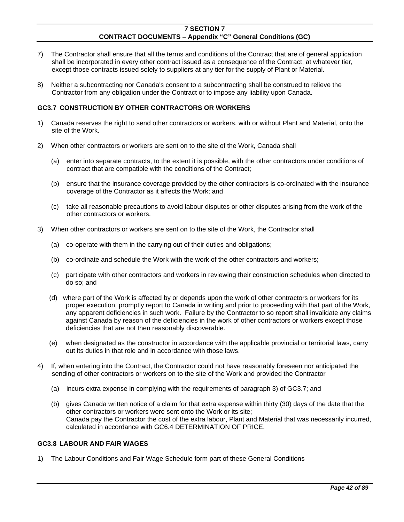- 7) The Contractor shall ensure that all the terms and conditions of the Contract that are of general application shall be incorporated in every other contract issued as a consequence of the Contract, at whatever tier, except those contracts issued solely to suppliers at any tier for the supply of Plant or Material.
- 8) Neither a subcontracting nor Canada's consent to a subcontracting shall be construed to relieve the Contractor from any obligation under the Contract or to impose any liability upon Canada.

### **GC3.7 CONSTRUCTION BY OTHER CONTRACTORS OR WORKERS**

- 1) Canada reserves the right to send other contractors or workers, with or without Plant and Material, onto the site of the Work.
- 2) When other contractors or workers are sent on to the site of the Work, Canada shall
	- (a) enter into separate contracts, to the extent it is possible, with the other contractors under conditions of contract that are compatible with the conditions of the Contract;
	- (b) ensure that the insurance coverage provided by the other contractors is co-ordinated with the insurance coverage of the Contractor as it affects the Work; and
	- (c) take all reasonable precautions to avoid labour disputes or other disputes arising from the work of the other contractors or workers.
- 3) When other contractors or workers are sent on to the site of the Work, the Contractor shall
	- (a) co-operate with them in the carrying out of their duties and obligations;
	- (b) co-ordinate and schedule the Work with the work of the other contractors and workers;
	- (c) participate with other contractors and workers in reviewing their construction schedules when directed to do so; and
	- (d) where part of the Work is affected by or depends upon the work of other contractors or workers for its proper execution, promptly report to Canada in writing and prior to proceeding with that part of the Work, any apparent deficiencies in such work. Failure by the Contractor to so report shall invalidate any claims against Canada by reason of the deficiencies in the work of other contractors or workers except those deficiencies that are not then reasonably discoverable.
	- (e) when designated as the constructor in accordance with the applicable provincial or territorial laws, carry out its duties in that role and in accordance with those laws.
- 4) If, when entering into the Contract, the Contractor could not have reasonably foreseen nor anticipated the sending of other contractors or workers on to the site of the Work and provided the Contractor
	- (a) incurs extra expense in complying with the requirements of paragraph 3) of GC3.7; and
	- (b) gives Canada written notice of a claim for that extra expense within thirty (30) days of the date that the other contractors or workers were sent onto the Work or its site; Canada pay the Contractor the cost of the extra labour, Plant and Material that was necessarily incurred, calculated in accordance with GC6.4 DETERMINATION OF PRICE.

#### **GC3.8 LABOUR AND FAIR WAGES**

1) The Labour Conditions and Fair Wage Schedule form part of these General Conditions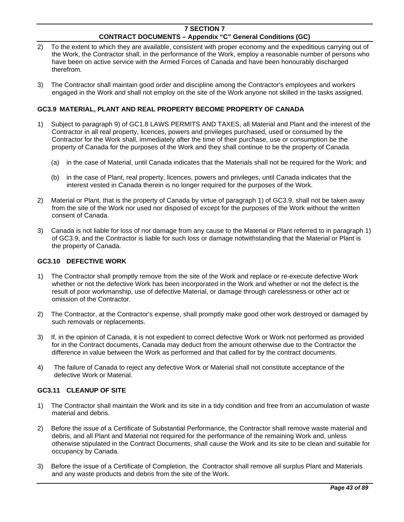- 2) To the extent to which they are available, consistent with proper economy and the expeditious carrying out of the Work, the Contractor shall, in the performance of the Work, employ a reasonable number of persons who have been on active service with the Armed Forces of Canada and have been honourably discharged therefrom.
- 3) The Contractor shall maintain good order and discipline among the Contractor's employees and workers engaged in the Work and shall not employ on the site of the Work anyone not skilled in the tasks assigned.

## **GC3.9 MATERIAL, PLANT AND REAL PROPERTY BECOME PROPERTY OF CANADA**

- 1) Subject to paragraph 9) of GC1.8 LAWS PERMITS AND TAXES, all Material and Plant and the interest of the Contractor in all real property, licences, powers and privileges purchased, used or consumed by the Contractor for the Work shall, immediately after the time of their purchase, use or consumption be the property of Canada for the purposes of the Work and they shall continue to be the property of Canada
	- (a) in the case of Material, until Canada indicates that the Materials shall not be required for the Work; and
	- (b) in the case of Plant, real property, licences, powers and privileges, until Canada indicates that the interest vested in Canada therein is no longer required for the purposes of the Work.
- 2) Material or Plant, that is the property of Canada by virtue of paragraph 1) of GC3.9, shall not be taken away from the site of the Work nor used nor disposed of except for the purposes of the Work without the written consent of Canada.
- 3) Canada is not liable for loss of nor damage from any cause to the Material or Plant referred to in paragraph 1) of GC3.9, and the Contractor is liable for such loss or damage notwithstanding that the Material or Plant is the property of Canada.

### **GC3.10 DEFECTIVE WORK**

- 1) The Contractor shall promptly remove from the site of the Work and replace or re-execute defective Work whether or not the defective Work has been incorporated in the Work and whether or not the defect is the result of poor workmanship, use of defective Material, or damage through carelessness or other act or omission of the Contractor.
- 2) The Contractor, at the Contractor's expense, shall promptly make good other work destroyed or damaged by such removals or replacements.
- 3) If, in the opinion of Canada, it is not expedient to correct defective Work or Work not performed as provided for in the Contract documents, Canada may deduct from the amount otherwise due to the Contractor the difference in value between the Work as performed and that called for by the contract documents.
- 4) The failure of Canada to reject any defective Work or Material shall not constitute acceptance of the defective Work or Material.

### **GC3.11 CLEANUP OF SITE**

- 1) The Contractor shall maintain the Work and its site in a tidy condition and free from an accumulation of waste material and debris.
- 2) Before the issue of a Certificate of Substantial Performance, the Contractor shall remove waste material and debris, and all Plant and Material not required for the performance of the remaining Work and, unless otherwise stipulated in the Contract Documents, shall cause the Work and its site to be clean and suitable for occupancy by Canada.
- 3) Before the issue of a Certificate of Completion, the Contractor shall remove all surplus Plant and Materials and any waste products and debris from the site of the Work.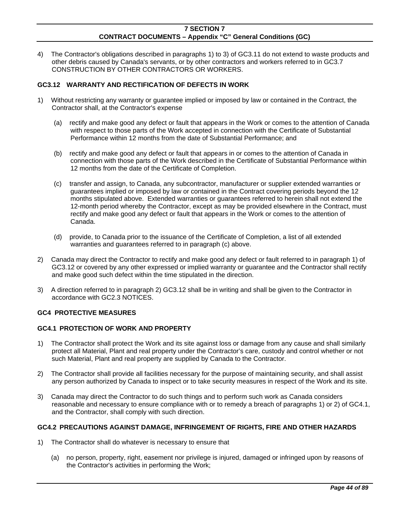4) The Contractor's obligations described in paragraphs 1) to 3) of GC3.11 do not extend to waste products and other debris caused by Canada's servants, or by other contractors and workers referred to in GC3.7 CONSTRUCTION BY OTHER CONTRACTORS OR WORKERS.

## **GC3.12 WARRANTY AND RECTIFICATION OF DEFECTS IN WORK**

- 1) Without restricting any warranty or guarantee implied or imposed by law or contained in the Contract, the Contractor shall, at the Contractor's expense
	- (a) rectify and make good any defect or fault that appears in the Work or comes to the attention of Canada with respect to those parts of the Work accepted in connection with the Certificate of Substantial Performance within 12 months from the date of Substantial Performance; and
	- (b) rectify and make good any defect or fault that appears in or comes to the attention of Canada in connection with those parts of the Work described in the Certificate of Substantial Performance within 12 months from the date of the Certificate of Completion.
	- (c) transfer and assign, to Canada, any subcontractor, manufacturer or supplier extended warranties or guarantees implied or imposed by law or contained in the Contract covering periods beyond the 12 months stipulated above. Extended warranties or guarantees referred to herein shall not extend the 12-month period whereby the Contractor, except as may be provided elsewhere in the Contract, must rectify and make good any defect or fault that appears in the Work or comes to the attention of Canada.
	- (d) provide, to Canada prior to the issuance of the Certificate of Completion, a list of all extended warranties and guarantees referred to in paragraph (c) above.
- 2) Canada may direct the Contractor to rectify and make good any defect or fault referred to in paragraph 1) of GC3.12 or covered by any other expressed or implied warranty or guarantee and the Contractor shall rectify and make good such defect within the time stipulated in the direction.
- 3) A direction referred to in paragraph 2) GC3.12 shall be in writing and shall be given to the Contractor in accordance with GC2.3 NOTICES.

### **GC4 PROTECTIVE MEASURES**

### **GC4.1 PROTECTION OF WORK AND PROPERTY**

- 1) The Contractor shall protect the Work and its site against loss or damage from any cause and shall similarly protect all Material, Plant and real property under the Contractor's care, custody and control whether or not such Material, Plant and real property are supplied by Canada to the Contractor.
- 2) The Contractor shall provide all facilities necessary for the purpose of maintaining security, and shall assist any person authorized by Canada to inspect or to take security measures in respect of the Work and its site.
- 3) Canada may direct the Contractor to do such things and to perform such work as Canada considers reasonable and necessary to ensure compliance with or to remedy a breach of paragraphs 1) or 2) of GC4.1, and the Contractor, shall comply with such direction.

### **GC4.2 PRECAUTIONS AGAINST DAMAGE, INFRINGEMENT OF RIGHTS, FIRE AND OTHER HAZARDS**

- 1) The Contractor shall do whatever is necessary to ensure that
	- (a) no person, property, right, easement nor privilege is injured, damaged or infringed upon by reasons of the Contractor's activities in performing the Work;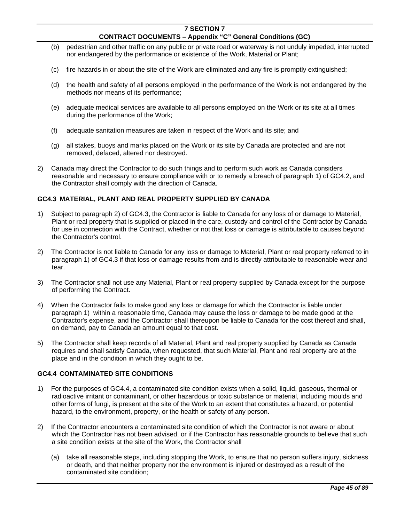- (b) pedestrian and other traffic on any public or private road or waterway is not unduly impeded, interrupted nor endangered by the performance or existence of the Work, Material or Plant;
- (c) fire hazards in or about the site of the Work are eliminated and any fire is promptly extinguished;
- (d) the health and safety of all persons employed in the performance of the Work is not endangered by the methods nor means of its performance;
- (e) adequate medical services are available to all persons employed on the Work or its site at all times during the performance of the Work;
- (f) adequate sanitation measures are taken in respect of the Work and its site; and
- (g) all stakes, buoys and marks placed on the Work or its site by Canada are protected and are not removed, defaced, altered nor destroyed.
- 2) Canada may direct the Contractor to do such things and to perform such work as Canada considers reasonable and necessary to ensure compliance with or to remedy a breach of paragraph 1) of GC4.2, and the Contractor shall comply with the direction of Canada.

## **GC4.3 MATERIAL, PLANT AND REAL PROPERTY SUPPLIED BY CANADA**

- 1) Subject to paragraph 2) of GC4.3, the Contractor is liable to Canada for any loss of or damage to Material, Plant or real property that is supplied or placed in the care, custody and control of the Contractor by Canada for use in connection with the Contract, whether or not that loss or damage is attributable to causes beyond the Contractor's control.
- 2) The Contractor is not liable to Canada for any loss or damage to Material, Plant or real property referred to in paragraph 1) of GC4.3 if that loss or damage results from and is directly attributable to reasonable wear and tear.
- 3) The Contractor shall not use any Material, Plant or real property supplied by Canada except for the purpose of performing the Contract.
- 4) When the Contractor fails to make good any loss or damage for which the Contractor is liable under paragraph 1) within a reasonable time, Canada may cause the loss or damage to be made good at the Contractor's expense, and the Contractor shall thereupon be liable to Canada for the cost thereof and shall, on demand, pay to Canada an amount equal to that cost.
- 5) The Contractor shall keep records of all Material, Plant and real property supplied by Canada as Canada requires and shall satisfy Canada, when requested, that such Material, Plant and real property are at the place and in the condition in which they ought to be.

### **GC4.4 CONTAMINATED SITE CONDITIONS**

- 1) For the purposes of GC4.4, a contaminated site condition exists when a solid, liquid, gaseous, thermal or radioactive irritant or contaminant, or other hazardous or toxic substance or material, including moulds and other forms of fungi, is present at the site of the Work to an extent that constitutes a hazard, or potential hazard, to the environment, property, or the health or safety of any person.
- 2) If the Contractor encounters a contaminated site condition of which the Contractor is not aware or about which the Contractor has not been advised, or if the Contractor has reasonable grounds to believe that such a site condition exists at the site of the Work, the Contractor shall
	- (a) take all reasonable steps, including stopping the Work, to ensure that no person suffers injury, sickness or death, and that neither property nor the environment is injured or destroyed as a result of the contaminated site condition;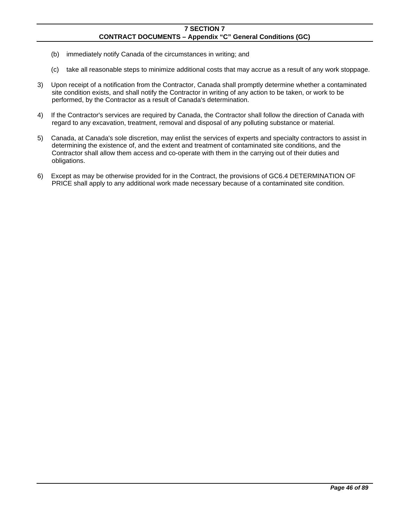- (b) immediately notify Canada of the circumstances in writing; and
- (c) take all reasonable steps to minimize additional costs that may accrue as a result of any work stoppage.
- 3) Upon receipt of a notification from the Contractor, Canada shall promptly determine whether a contaminated site condition exists, and shall notify the Contractor in writing of any action to be taken, or work to be performed, by the Contractor as a result of Canada's determination.
- 4) If the Contractor's services are required by Canada, the Contractor shall follow the direction of Canada with regard to any excavation, treatment, removal and disposal of any polluting substance or material.
- 5) Canada, at Canada's sole discretion, may enlist the services of experts and specialty contractors to assist in determining the existence of, and the extent and treatment of contaminated site conditions, and the Contractor shall allow them access and co-operate with them in the carrying out of their duties and obligations.
- 6) Except as may be otherwise provided for in the Contract, the provisions of GC6.4 DETERMINATION OF PRICE shall apply to any additional work made necessary because of a contaminated site condition.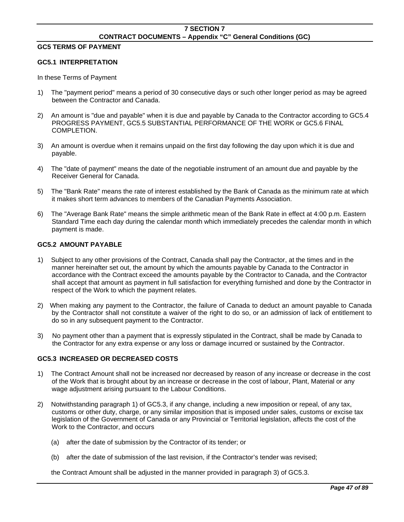## **GC5 TERMS OF PAYMENT**

### **GC5.1 INTERPRETATION**

In these Terms of Payment

- 1) The "payment period" means a period of 30 consecutive days or such other longer period as may be agreed between the Contractor and Canada.
- 2) An amount is "due and payable" when it is due and payable by Canada to the Contractor according to GC5.4 PROGRESS PAYMENT, GC5.5 SUBSTANTIAL PERFORMANCE OF THE WORK or GC5.6 FINAL COMPLETION.
- 3) An amount is overdue when it remains unpaid on the first day following the day upon which it is due and payable.
- 4) The "date of payment" means the date of the negotiable instrument of an amount due and payable by the Receiver General for Canada.
- 5) The "Bank Rate" means the rate of interest established by the Bank of Canada as the minimum rate at which it makes short term advances to members of the Canadian Payments Association.
- 6) The "Average Bank Rate" means the simple arithmetic mean of the Bank Rate in effect at 4:00 p.m. Eastern Standard Time each day during the calendar month which immediately precedes the calendar month in which payment is made.

## **GC5.2 AMOUNT PAYABLE**

- 1) Subject to any other provisions of the Contract, Canada shall pay the Contractor, at the times and in the manner hereinafter set out, the amount by which the amounts payable by Canada to the Contractor in accordance with the Contract exceed the amounts payable by the Contractor to Canada, and the Contractor shall accept that amount as payment in full satisfaction for everything furnished and done by the Contractor in respect of the Work to which the payment relates.
- 2) When making any payment to the Contractor, the failure of Canada to deduct an amount payable to Canada by the Contractor shall not constitute a waiver of the right to do so, or an admission of lack of entitlement to do so in any subsequent payment to the Contractor.
- 3) No payment other than a payment that is expressly stipulated in the Contract, shall be made by Canada to the Contractor for any extra expense or any loss or damage incurred or sustained by the Contractor.

# **GC5.3 INCREASED OR DECREASED COSTS**

- 1) The Contract Amount shall not be increased nor decreased by reason of any increase or decrease in the cost of the Work that is brought about by an increase or decrease in the cost of labour, Plant, Material or any wage adjustment arising pursuant to the Labour Conditions.
- 2) Notwithstanding paragraph 1) of GC5.3, if any change, including a new imposition or repeal, of any tax, customs or other duty, charge, or any similar imposition that is imposed under sales, customs or excise tax legislation of the Government of Canada or any Provincial or Territorial legislation, affects the cost of the Work to the Contractor, and occurs
	- (a) after the date of submission by the Contractor of its tender; or
	- (b) after the date of submission of the last revision, if the Contractor's tender was revised;

the Contract Amount shall be adjusted in the manner provided in paragraph 3) of GC5.3.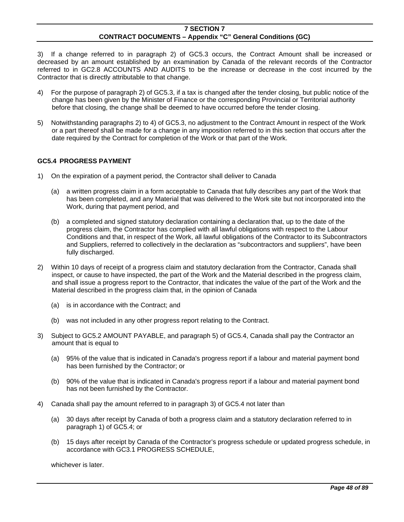3) If a change referred to in paragraph 2) of GC5.3 occurs, the Contract Amount shall be increased or decreased by an amount established by an examination by Canada of the relevant records of the Contractor referred to in GC2.8 ACCOUNTS AND AUDITS to be the increase or decrease in the cost incurred by the Contractor that is directly attributable to that change.

- 4) For the purpose of paragraph 2) of GC5.3, if a tax is changed after the tender closing, but public notice of the change has been given by the Minister of Finance or the corresponding Provincial or Territorial authority before that closing, the change shall be deemed to have occurred before the tender closing.
- 5) Notwithstanding paragraphs 2) to 4) of GC5.3, no adjustment to the Contract Amount in respect of the Work or a part thereof shall be made for a change in any imposition referred to in this section that occurs after the date required by the Contract for completion of the Work or that part of the Work.

## **GC5.4 PROGRESS PAYMENT**

- 1) On the expiration of a payment period, the Contractor shall deliver to Canada
	- (a) a written progress claim in a form acceptable to Canada that fully describes any part of the Work that has been completed, and any Material that was delivered to the Work site but not incorporated into the Work, during that payment period, and
	- (b) a completed and signed statutory declaration containing a declaration that, up to the date of the progress claim, the Contractor has complied with all lawful obligations with respect to the Labour Conditions and that, in respect of the Work, all lawful obligations of the Contractor to its Subcontractors and Suppliers, referred to collectively in the declaration as "subcontractors and suppliers", have been fully discharged.
- 2) Within 10 days of receipt of a progress claim and statutory declaration from the Contractor, Canada shall inspect, or cause to have inspected, the part of the Work and the Material described in the progress claim, and shall issue a progress report to the Contractor, that indicates the value of the part of the Work and the Material described in the progress claim that, in the opinion of Canada
	- (a) is in accordance with the Contract; and
	- (b) was not included in any other progress report relating to the Contract.
- 3) Subject to GC5.2 AMOUNT PAYABLE, and paragraph 5) of GC5.4, Canada shall pay the Contractor an amount that is equal to
	- (a) 95% of the value that is indicated in Canada's progress report if a labour and material payment bond has been furnished by the Contractor; or
	- (b) 90% of the value that is indicated in Canada's progress report if a labour and material payment bond has not been furnished by the Contractor.
- 4) Canada shall pay the amount referred to in paragraph 3) of GC5.4 not later than
	- (a) 30 days after receipt by Canada of both a progress claim and a statutory declaration referred to in paragraph 1) of GC5.4; or
	- (b) 15 days after receipt by Canada of the Contractor's progress schedule or updated progress schedule, in accordance with GC3.1 PROGRESS SCHEDULE,

whichever is later.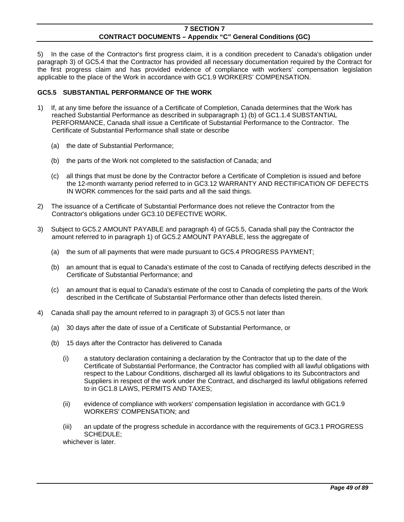5) In the case of the Contractor's first progress claim, it is a condition precedent to Canada's obligation under paragraph 3) of GC5.4 that the Contractor has provided all necessary documentation required by the Contract for the first progress claim and has provided evidence of compliance with workers' compensation legislation applicable to the place of the Work in accordance with GC1.9 WORKERS' COMPENSATION.

## **GC5.5 SUBSTANTIAL PERFORMANCE OF THE WORK**

- 1) If, at any time before the issuance of a Certificate of Completion, Canada determines that the Work has reached Substantial Performance as described in subparagraph 1) (b) of GC1.1.4 SUBSTANTIAL PERFORMANCE, Canada shall issue a Certificate of Substantial Performance to the Contractor. The Certificate of Substantial Performance shall state or describe
	- (a) the date of Substantial Performance;
	- (b) the parts of the Work not completed to the satisfaction of Canada; and
	- (c) all things that must be done by the Contractor before a Certificate of Completion is issued and before the 12-month warranty period referred to in GC3.12 WARRANTY AND RECTIFICATION OF DEFECTS IN WORK commences for the said parts and all the said things.
- 2) The issuance of a Certificate of Substantial Performance does not relieve the Contractor from the Contractor's obligations under GC3.10 DEFECTIVE WORK.
- 3) Subject to GC5.2 AMOUNT PAYABLE and paragraph 4) of GC5.5, Canada shall pay the Contractor the amount referred to in paragraph 1) of GC5.2 AMOUNT PAYABLE, less the aggregate of
	- (a) the sum of all payments that were made pursuant to GC5.4 PROGRESS PAYMENT;
	- (b) an amount that is equal to Canada's estimate of the cost to Canada of rectifying defects described in the Certificate of Substantial Performance; and
	- (c) an amount that is equal to Canada's estimate of the cost to Canada of completing the parts of the Work described in the Certificate of Substantial Performance other than defects listed therein.
- 4) Canada shall pay the amount referred to in paragraph 3) of GC5.5 not later than
	- (a) 30 days after the date of issue of a Certificate of Substantial Performance, or
	- (b) 15 days after the Contractor has delivered to Canada
		- (i) a statutory declaration containing a declaration by the Contractor that up to the date of the Certificate of Substantial Performance, the Contractor has complied with all lawful obligations with respect to the Labour Conditions, discharged all its lawful obligations to its Subcontractors and Suppliers in respect of the work under the Contract, and discharged its lawful obligations referred to in GC1.8 LAWS, PERMITS AND TAXES;
		- (ii) evidence of compliance with workers' compensation legislation in accordance with GC1.9 WORKERS' COMPENSATION; and
		- (iii) an update of the progress schedule in accordance with the requirements of GC3.1 PROGRESS SCHEDULE;

whichever is later.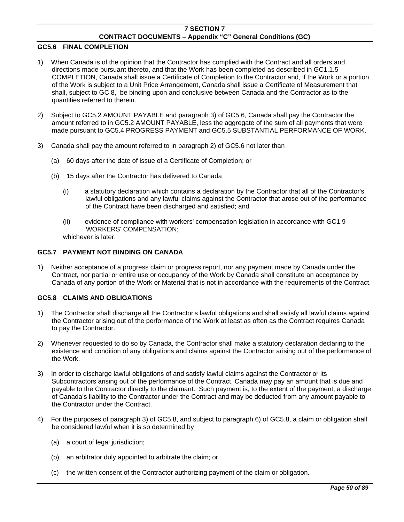### **GC5.6 FINAL COMPLETION**

- 1) When Canada is of the opinion that the Contractor has complied with the Contract and all orders and directions made pursuant thereto, and that the Work has been completed as described in GC1.1.5 COMPLETION, Canada shall issue a Certificate of Completion to the Contractor and, if the Work or a portion of the Work is subject to a Unit Price Arrangement, Canada shall issue a Certificate of Measurement that shall, subject to GC 8, be binding upon and conclusive between Canada and the Contractor as to the quantities referred to therein.
- 2) Subject to GC5.2 AMOUNT PAYABLE and paragraph 3) of GC5.6, Canada shall pay the Contractor the amount referred to in GC5.2 AMOUNT PAYABLE, less the aggregate of the sum of all payments that were made pursuant to GC5.4 PROGRESS PAYMENT and GC5.5 SUBSTANTIAL PERFORMANCE OF WORK.
- 3) Canada shall pay the amount referred to in paragraph 2) of GC5.6 not later than
	- (a) 60 days after the date of issue of a Certificate of Completion; or
	- (b) 15 days after the Contractor has delivered to Canada
		- (i) a statutory declaration which contains a declaration by the Contractor that all of the Contractor's lawful obligations and any lawful claims against the Contractor that arose out of the performance of the Contract have been discharged and satisfied; and
		- (ii) evidence of compliance with workers' compensation legislation in accordance with GC1.9 WORKERS' COMPENSATION;
		- whichever is later.

## **GC5.7 PAYMENT NOT BINDING ON CANADA**

1) Neither acceptance of a progress claim or progress report, nor any payment made by Canada under the Contract, nor partial or entire use or occupancy of the Work by Canada shall constitute an acceptance by Canada of any portion of the Work or Material that is not in accordance with the requirements of the Contract.

## **GC5.8 CLAIMS AND OBLIGATIONS**

- 1) The Contractor shall discharge all the Contractor's lawful obligations and shall satisfy all lawful claims against the Contractor arising out of the performance of the Work at least as often as the Contract requires Canada to pay the Contractor.
- 2) Whenever requested to do so by Canada, the Contractor shall make a statutory declaration declaring to the existence and condition of any obligations and claims against the Contractor arising out of the performance of the Work.
- 3) In order to discharge lawful obligations of and satisfy lawful claims against the Contractor or its Subcontractors arising out of the performance of the Contract, Canada may pay an amount that is due and payable to the Contractor directly to the claimant. Such payment is, to the extent of the payment, a discharge of Canada's liability to the Contractor under the Contract and may be deducted from any amount payable to the Contractor under the Contract.
- 4) For the purposes of paragraph 3) of GC5.8, and subject to paragraph 6) of GC5.8, a claim or obligation shall be considered lawful when it is so determined by
	- (a) a court of legal jurisdiction;
	- (b) an arbitrator duly appointed to arbitrate the claim; or
	- (c) the written consent of the Contractor authorizing payment of the claim or obligation.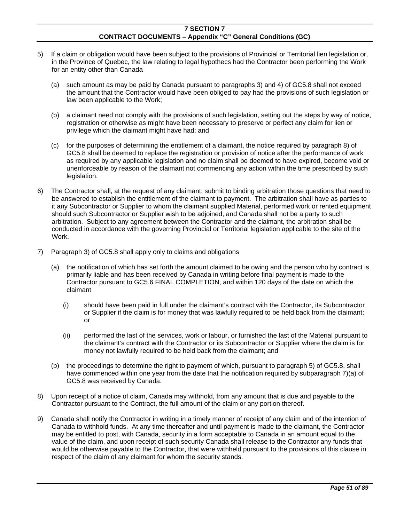- 5) If a claim or obligation would have been subject to the provisions of Provincial or Territorial lien legislation or, in the Province of Quebec, the law relating to legal hypothecs had the Contractor been performing the Work for an entity other than Canada
	- (a) such amount as may be paid by Canada pursuant to paragraphs 3) and 4) of GC5.8 shall not exceed the amount that the Contractor would have been obliged to pay had the provisions of such legislation or law been applicable to the Work;
	- (b) a claimant need not comply with the provisions of such legislation, setting out the steps by way of notice, registration or otherwise as might have been necessary to preserve or perfect any claim for lien or privilege which the claimant might have had; and
	- (c) for the purposes of determining the entitlement of a claimant, the notice required by paragraph 8) of GC5.8 shall be deemed to replace the registration or provision of notice after the performance of work as required by any applicable legislation and no claim shall be deemed to have expired, become void or unenforceable by reason of the claimant not commencing any action within the time prescribed by such legislation.
- 6) The Contractor shall, at the request of any claimant, submit to binding arbitration those questions that need to be answered to establish the entitlement of the claimant to payment. The arbitration shall have as parties to it any Subcontractor or Supplier to whom the claimant supplied Material, performed work or rented equipment should such Subcontractor or Supplier wish to be adjoined, and Canada shall not be a party to such arbitration. Subject to any agreement between the Contractor and the claimant, the arbitration shall be conducted in accordance with the governing Provincial or Territorial legislation applicable to the site of the Work.
- 7) Paragraph 3) of GC5.8 shall apply only to claims and obligations
	- (a) the notification of which has set forth the amount claimed to be owing and the person who by contract is primarily liable and has been received by Canada in writing before final payment is made to the Contractor pursuant to GC5.6 FINAL COMPLETION, and within 120 days of the date on which the claimant
		- (i) should have been paid in full under the claimant's contract with the Contractor, its Subcontractor or Supplier if the claim is for money that was lawfully required to be held back from the claimant; or
		- (ii) performed the last of the services, work or labour, or furnished the last of the Material pursuant to the claimant's contract with the Contractor or its Subcontractor or Supplier where the claim is for money not lawfully required to be held back from the claimant; and
	- (b) the proceedings to determine the right to payment of which, pursuant to paragraph 5) of GC5.8, shall have commenced within one year from the date that the notification required by subparagraph 7)(a) of GC5.8 was received by Canada.
- 8) Upon receipt of a notice of claim, Canada may withhold, from any amount that is due and payable to the Contractor pursuant to the Contract, the full amount of the claim or any portion thereof.
- 9) Canada shall notify the Contractor in writing in a timely manner of receipt of any claim and of the intention of Canada to withhold funds. At any time thereafter and until payment is made to the claimant, the Contractor may be entitled to post, with Canada, security in a form acceptable to Canada in an amount equal to the value of the claim, and upon receipt of such security Canada shall release to the Contractor any funds that would be otherwise payable to the Contractor, that were withheld pursuant to the provisions of this clause in respect of the claim of any claimant for whom the security stands.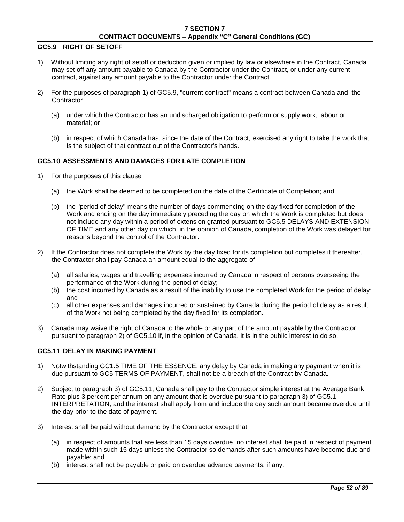## **GC5.9 RIGHT OF SETOFF**

- 1) Without limiting any right of setoff or deduction given or implied by law or elsewhere in the Contract, Canada may set off any amount payable to Canada by the Contractor under the Contract, or under any current contract, against any amount payable to the Contractor under the Contract.
- 2) For the purposes of paragraph 1) of GC5.9, "current contract" means a contract between Canada and the **Contractor** 
	- (a) under which the Contractor has an undischarged obligation to perform or supply work, labour or material; or
	- (b) in respect of which Canada has, since the date of the Contract, exercised any right to take the work that is the subject of that contract out of the Contractor's hands.

# **GC5.10 ASSESSMENTS AND DAMAGES FOR LATE COMPLETION**

- 1) For the purposes of this clause
	- (a) the Work shall be deemed to be completed on the date of the Certificate of Completion; and
	- (b) the "period of delay" means the number of days commencing on the day fixed for completion of the Work and ending on the day immediately preceding the day on which the Work is completed but does not include any day within a period of extension granted pursuant to GC6.5 DELAYS AND EXTENSION OF TIME and any other day on which, in the opinion of Canada, completion of the Work was delayed for reasons beyond the control of the Contractor.
- 2) If the Contractor does not complete the Work by the day fixed for its completion but completes it thereafter, the Contractor shall pay Canada an amount equal to the aggregate of
	- (a) all salaries, wages and travelling expenses incurred by Canada in respect of persons overseeing the performance of the Work during the period of delay;
	- (b) the cost incurred by Canada as a result of the inability to use the completed Work for the period of delay; and
	- (c) all other expenses and damages incurred or sustained by Canada during the period of delay as a result of the Work not being completed by the day fixed for its completion.
- 3) Canada may waive the right of Canada to the whole or any part of the amount payable by the Contractor pursuant to paragraph 2) of GC5.10 if, in the opinion of Canada, it is in the public interest to do so.

## **GC5.11 DELAY IN MAKING PAYMENT**

- 1) Notwithstanding GC1.5 TIME OF THE ESSENCE, any delay by Canada in making any payment when it is due pursuant to GC5 TERMS OF PAYMENT, shall not be a breach of the Contract by Canada.
- 2) Subject to paragraph 3) of GC5.11, Canada shall pay to the Contractor simple interest at the Average Bank Rate plus 3 percent per annum on any amount that is overdue pursuant to paragraph 3) of GC5.1 INTERPRETATION, and the interest shall apply from and include the day such amount became overdue until the day prior to the date of payment.
- 3) Interest shall be paid without demand by the Contractor except that
	- (a) in respect of amounts that are less than 15 days overdue, no interest shall be paid in respect of payment made within such 15 days unless the Contractor so demands after such amounts have become due and payable; and
	- (b) interest shall not be payable or paid on overdue advance payments, if any.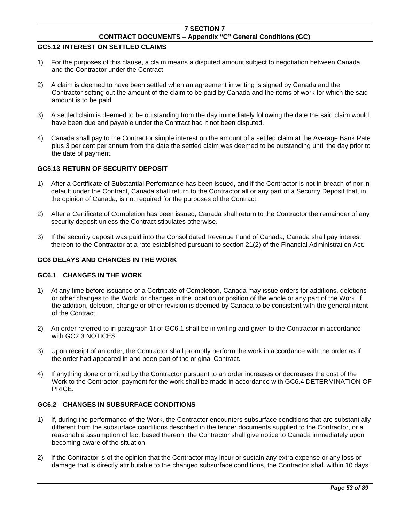### **GC5.12 INTEREST ON SETTLED CLAIMS**

- 1) For the purposes of this clause, a claim means a disputed amount subject to negotiation between Canada and the Contractor under the Contract.
- 2) A claim is deemed to have been settled when an agreement in writing is signed by Canada and the Contractor setting out the amount of the claim to be paid by Canada and the items of work for which the said amount is to be paid.
- 3) A settled claim is deemed to be outstanding from the day immediately following the date the said claim would have been due and payable under the Contract had it not been disputed.
- 4) Canada shall pay to the Contractor simple interest on the amount of a settled claim at the Average Bank Rate plus 3 per cent per annum from the date the settled claim was deemed to be outstanding until the day prior to the date of payment.

## **GC5.13 RETURN OF SECURITY DEPOSIT**

- 1) After a Certificate of Substantial Performance has been issued, and if the Contractor is not in breach of nor in default under the Contract, Canada shall return to the Contractor all or any part of a Security Deposit that, in the opinion of Canada, is not required for the purposes of the Contract.
- 2) After a Certificate of Completion has been issued, Canada shall return to the Contractor the remainder of any security deposit unless the Contract stipulates otherwise.
- 3) If the security deposit was paid into the Consolidated Revenue Fund of Canada, Canada shall pay interest thereon to the Contractor at a rate established pursuant to section 21(2) of the Financial Administration Act.

## **GC6 DELAYS AND CHANGES IN THE WORK**

### **GC6.1 CHANGES IN THE WORK**

- 1) At any time before issuance of a Certificate of Completion, Canada may issue orders for additions, deletions or other changes to the Work, or changes in the location or position of the whole or any part of the Work, if the addition, deletion, change or other revision is deemed by Canada to be consistent with the general intent of the Contract.
- 2) An order referred to in paragraph 1) of GC6.1 shall be in writing and given to the Contractor in accordance with GC2.3 NOTICES.
- 3) Upon receipt of an order, the Contractor shall promptly perform the work in accordance with the order as if the order had appeared in and been part of the original Contract.
- 4) If anything done or omitted by the Contractor pursuant to an order increases or decreases the cost of the Work to the Contractor, payment for the work shall be made in accordance with GC6.4 DETERMINATION OF PRICE.

## **GC6.2 CHANGES IN SUBSURFACE CONDITIONS**

- 1) If, during the performance of the Work, the Contractor encounters subsurface conditions that are substantially different from the subsurface conditions described in the tender documents supplied to the Contractor, or a reasonable assumption of fact based thereon, the Contractor shall give notice to Canada immediately upon becoming aware of the situation.
- 2) If the Contractor is of the opinion that the Contractor may incur or sustain any extra expense or any loss or damage that is directly attributable to the changed subsurface conditions, the Contractor shall within 10 days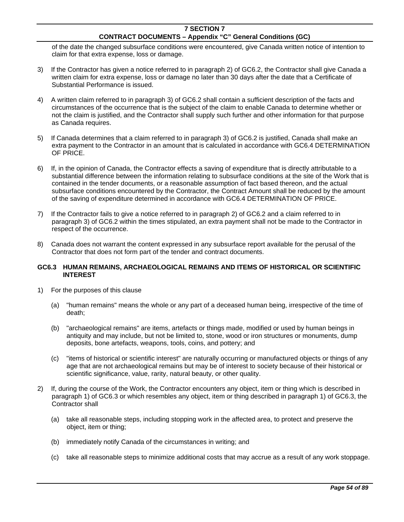of the date the changed subsurface conditions were encountered, give Canada written notice of intention to claim for that extra expense, loss or damage.

- 3) If the Contractor has given a notice referred to in paragraph 2) of GC6.2, the Contractor shall give Canada a written claim for extra expense, loss or damage no later than 30 days after the date that a Certificate of Substantial Performance is issued.
- 4) A written claim referred to in paragraph 3) of GC6.2 shall contain a sufficient description of the facts and circumstances of the occurrence that is the subject of the claim to enable Canada to determine whether or not the claim is justified, and the Contractor shall supply such further and other information for that purpose as Canada requires.
- 5) If Canada determines that a claim referred to in paragraph 3) of GC6.2 is justified, Canada shall make an extra payment to the Contractor in an amount that is calculated in accordance with GC6.4 DETERMINATION OF PRICE.
- 6) If, in the opinion of Canada, the Contractor effects a saving of expenditure that is directly attributable to a substantial difference between the information relating to subsurface conditions at the site of the Work that is contained in the tender documents, or a reasonable assumption of fact based thereon, and the actual subsurface conditions encountered by the Contractor, the Contract Amount shall be reduced by the amount of the saving of expenditure determined in accordance with GC6.4 DETERMINATION OF PRICE.
- 7) If the Contractor fails to give a notice referred to in paragraph 2) of GC6.2 and a claim referred to in paragraph 3) of GC6.2 within the times stipulated, an extra payment shall not be made to the Contractor in respect of the occurrence.
- 8) Canada does not warrant the content expressed in any subsurface report available for the perusal of the Contractor that does not form part of the tender and contract documents.

## **GC6.3 HUMAN REMAINS, ARCHAEOLOGICAL REMAINS AND ITEMS OF HISTORICAL OR SCIENTIFIC INTEREST**

- 1) For the purposes of this clause
	- (a) "human remains" means the whole or any part of a deceased human being, irrespective of the time of death;
	- (b) "archaeological remains" are items, artefacts or things made, modified or used by human beings in antiquity and may include, but not be limited to, stone, wood or iron structures or monuments, dump deposits, bone artefacts, weapons, tools, coins, and pottery; and
	- (c) "items of historical or scientific interest" are naturally occurring or manufactured objects or things of any age that are not archaeological remains but may be of interest to society because of their historical or scientific significance, value, rarity, natural beauty, or other quality.
- 2) If, during the course of the Work, the Contractor encounters any object, item or thing which is described in paragraph 1) of GC6.3 or which resembles any object, item or thing described in paragraph 1) of GC6.3, the Contractor shall
	- (a) take all reasonable steps, including stopping work in the affected area, to protect and preserve the object, item or thing;
	- (b) immediately notify Canada of the circumstances in writing; and
	- (c) take all reasonable steps to minimize additional costs that may accrue as a result of any work stoppage.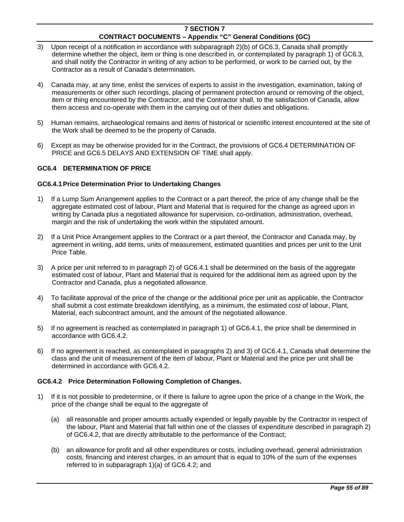- 3) Upon receipt of a notification in accordance with subparagraph 2)(b) of GC6.3, Canada shall promptly determine whether the object, item or thing is one described in, or contemplated by paragraph 1) of GC6.3, and shall notify the Contractor in writing of any action to be performed, or work to be carried out, by the Contractor as a result of Canada's determination.
- 4) Canada may, at any time, enlist the services of experts to assist in the investigation, examination, taking of measurements or other such recordings, placing of permanent protection around or removing of the object, item or thing encountered by the Contractor, and the Contractor shall, to the satisfaction of Canada, allow them access and co-operate with them in the carrying out of their duties and obligations.
- 5) Human remains, archaeological remains and items of historical or scientific interest encountered at the site of the Work shall be deemed to be the property of Canada.
- 6) Except as may be otherwise provided for in the Contract, the provisions of GC6.4 DETERMINATION OF PRICE and GC6.5 DELAYS AND EXTENSION OF TIME shall apply.

## **GC6.4 DETERMINATION OF PRICE**

### **GC6.4.1 Price Determination Prior to Undertaking Changes**

- 1) If a Lump Sum Arrangement applies to the Contract or a part thereof, the price of any change shall be the aggregate estimated cost of labour, Plant and Material that is required for the change as agreed upon in writing by Canada plus a negotiated allowance for supervision, co-ordination, administration, overhead, margin and the risk of undertaking the work within the stipulated amount.
- 2) If a Unit Price Arrangement applies to the Contract or a part thereof, the Contractor and Canada may, by agreement in writing, add items, units of measurement, estimated quantities and prices per unit to the Unit Price Table.
- 3) A price per unit referred to in paragraph 2) of GC6.4.1 shall be determined on the basis of the aggregate estimated cost of labour, Plant and Material that is required for the additional item as agreed upon by the Contractor and Canada, plus a negotiated allowance.
- 4) To facilitate approval of the price of the change or the additional price per unit as applicable, the Contractor shall submit a cost estimate breakdown identifying, as a minimum, the estimated cost of labour, Plant, Material, each subcontract amount, and the amount of the negotiated allowance.
- 5) If no agreement is reached as contemplated in paragraph 1) of GC6.4.1, the price shall be determined in accordance with GC6.4.2.
- 6) If no agreement is reached, as contemplated in paragraphs 2) and 3) of GC6.4.1, Canada shall determine the class and the unit of measurement of the item of labour, Plant or Material and the price per unit shall be determined in accordance with GC6.4.2.

### **GC6.4.2 Price Determination Following Completion of Changes.**

- 1) If it is not possible to predetermine, or if there is failure to agree upon the price of a change in the Work, the price of the change shall be equal to the aggregate of
	- (a) all reasonable and proper amounts actually expended or legally payable by the Contractor in respect of the labour, Plant and Material that fall within one of the classes of expenditure described in paragraph 2) of GC6.4.2, that are directly attributable to the performance of the Contract;
	- (b) an allowance for profit and all other expenditures or costs, including overhead, general administration costs, financing and interest charges, in an amount that is equal to 10% of the sum of the expenses referred to in subparagraph 1)(a) of GC6.4.2; and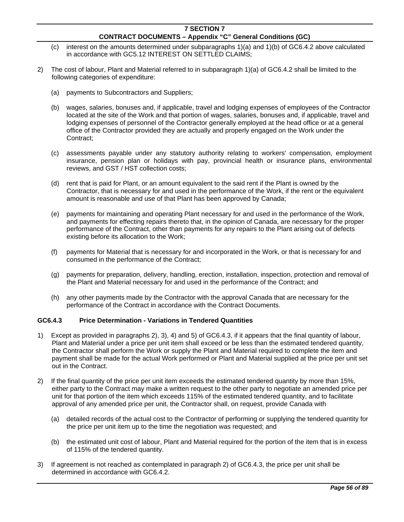- (c) interest on the amounts determined under subparagraphs 1)(a) and 1)(b) of GC6.4.2 above calculated in accordance with GC5.12 INTEREST ON SETTLED CLAIMS;
- 2) The cost of labour, Plant and Material referred to in subparagraph 1)(a) of GC6.4.2 shall be limited to the following categories of expenditure:
	- (a) payments to Subcontractors and Suppliers;
	- (b) wages, salaries, bonuses and, if applicable, travel and lodging expenses of employees of the Contractor located at the site of the Work and that portion of wages, salaries, bonuses and, if applicable, travel and lodging expenses of personnel of the Contractor generally employed at the head office or at a general office of the Contractor provided they are actually and properly engaged on the Work under the Contract;
	- (c) assessments payable under any statutory authority relating to workers' compensation, employment insurance, pension plan or holidays with pay, provincial health or insurance plans, environmental reviews, and GST / HST collection costs;
	- (d) rent that is paid for Plant, or an amount equivalent to the said rent if the Plant is owned by the Contractor, that is necessary for and used in the performance of the Work, if the rent or the equivalent amount is reasonable and use of that Plant has been approved by Canada;
	- (e) payments for maintaining and operating Plant necessary for and used in the performance of the Work, and payments for effecting repairs thereto that, in the opinion of Canada, are necessary for the proper performance of the Contract, other than payments for any repairs to the Plant arising out of defects existing before its allocation to the Work;
	- (f) payments for Material that is necessary for and incorporated in the Work, or that is necessary for and consumed in the performance of the Contract;
	- (g) payments for preparation, delivery, handling, erection, installation, inspection, protection and removal of the Plant and Material necessary for and used in the performance of the Contract; and
	- (h) any other payments made by the Contractor with the approval Canada that are necessary for the performance of the Contract in accordance with the Contract Documents.

## **GC6.4.3 Price Determination - Variations in Tendered Quantities**

- 1) Except as provided in paragraphs 2), 3), 4) and 5) of GC6.4.3, if it appears that the final quantity of labour, Plant and Material under a price per unit item shall exceed or be less than the estimated tendered quantity, the Contractor shall perform the Work or supply the Plant and Material required to complete the item and payment shall be made for the actual Work performed or Plant and Material supplied at the price per unit set out in the Contract.
- 2) If the final quantity of the price per unit item exceeds the estimated tendered quantity by more than 15%, either party to the Contract may make a written request to the other party to negotiate an amended price per unit for that portion of the item which exceeds 115% of the estimated tendered quantity, and to facilitate approval of any amended price per unit, the Contractor shall, on request, provide Canada with
	- (a) detailed records of the actual cost to the Contractor of performing or supplying the tendered quantity for the price per unit item up to the time the negotiation was requested; and
	- (b) the estimated unit cost of labour, Plant and Material required for the portion of the item that is in excess of 115% of the tendered quantity.
- 3) If agreement is not reached as contemplated in paragraph 2) of GC6.4.3, the price per unit shall be determined in accordance with GC6.4.2.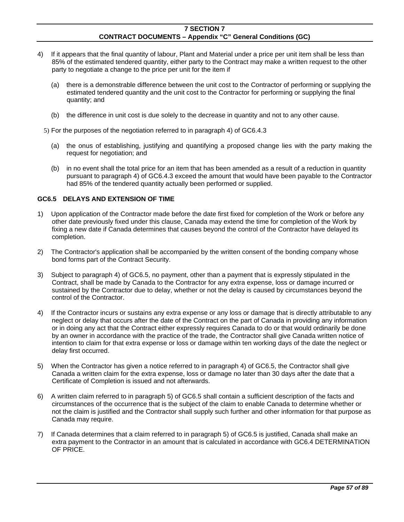- 4) If it appears that the final quantity of labour, Plant and Material under a price per unit item shall be less than 85% of the estimated tendered quantity, either party to the Contract may make a written request to the other party to negotiate a change to the price per unit for the item if
	- (a) there is a demonstrable difference between the unit cost to the Contractor of performing or supplying the estimated tendered quantity and the unit cost to the Contractor for performing or supplying the final quantity; and
	- (b) the difference in unit cost is due solely to the decrease in quantity and not to any other cause.

5) For the purposes of the negotiation referred to in paragraph 4) of GC6.4.3

- (a) the onus of establishing, justifying and quantifying a proposed change lies with the party making the request for negotiation; and
- (b) in no event shall the total price for an item that has been amended as a result of a reduction in quantity pursuant to paragraph 4) of GC6.4.3 exceed the amount that would have been payable to the Contractor had 85% of the tendered quantity actually been performed or supplied.

### **GC6.5 DELAYS AND EXTENSION OF TIME**

- 1) Upon application of the Contractor made before the date first fixed for completion of the Work or before any other date previously fixed under this clause, Canada may extend the time for completion of the Work by fixing a new date if Canada determines that causes beyond the control of the Contractor have delayed its completion.
- 2) The Contractor's application shall be accompanied by the written consent of the bonding company whose bond forms part of the Contract Security.
- 3) Subject to paragraph 4) of GC6.5, no payment, other than a payment that is expressly stipulated in the Contract, shall be made by Canada to the Contractor for any extra expense, loss or damage incurred or sustained by the Contractor due to delay, whether or not the delay is caused by circumstances beyond the control of the Contractor.
- 4) If the Contractor incurs or sustains any extra expense or any loss or damage that is directly attributable to any neglect or delay that occurs after the date of the Contract on the part of Canada in providing any information or in doing any act that the Contract either expressly requires Canada to do or that would ordinarily be done by an owner in accordance with the practice of the trade, the Contractor shall give Canada written notice of intention to claim for that extra expense or loss or damage within ten working days of the date the neglect or delay first occurred.
- 5) When the Contractor has given a notice referred to in paragraph 4) of GC6.5, the Contractor shall give Canada a written claim for the extra expense, loss or damage no later than 30 days after the date that a Certificate of Completion is issued and not afterwards.
- 6) A written claim referred to in paragraph 5) of GC6.5 shall contain a sufficient description of the facts and circumstances of the occurrence that is the subject of the claim to enable Canada to determine whether or not the claim is justified and the Contractor shall supply such further and other information for that purpose as Canada may require.
- 7) If Canada determines that a claim referred to in paragraph 5) of GC6.5 is justified, Canada shall make an extra payment to the Contractor in an amount that is calculated in accordance with GC6.4 DETERMINATION OF PRICE.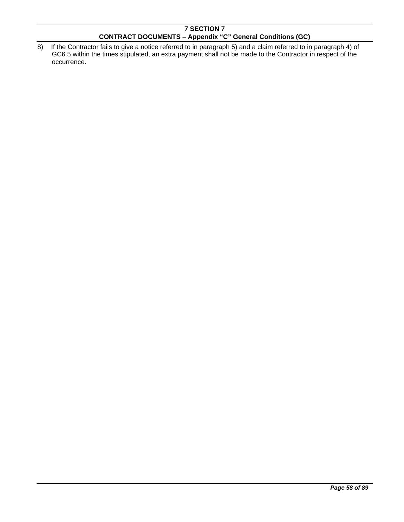8) If the Contractor fails to give a notice referred to in paragraph 5) and a claim referred to in paragraph 4) of GC6.5 within the times stipulated, an extra payment shall not be made to the Contractor in respect of the occurrence.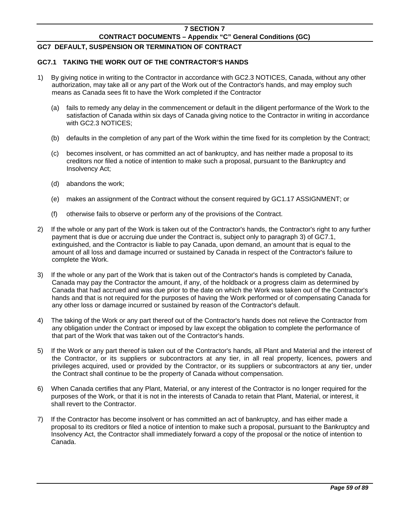# **GC7 DEFAULT, SUSPENSION OR TERMINATION OF CONTRACT**

## **GC7.1 TAKING THE WORK OUT OF THE CONTRACTOR'S HANDS**

- 1) By giving notice in writing to the Contractor in accordance with GC2.3 NOTICES, Canada, without any other authorization, may take all or any part of the Work out of the Contractor's hands, and may employ such means as Canada sees fit to have the Work completed if the Contractor
	- (a) fails to remedy any delay in the commencement or default in the diligent performance of the Work to the satisfaction of Canada within six days of Canada giving notice to the Contractor in writing in accordance with GC2.3 NOTICES;
	- (b) defaults in the completion of any part of the Work within the time fixed for its completion by the Contract;
	- (c) becomes insolvent, or has committed an act of bankruptcy, and has neither made a proposal to its creditors nor filed a notice of intention to make such a proposal, pursuant to the Bankruptcy and Insolvency Act;
	- (d) abandons the work;
	- (e) makes an assignment of the Contract without the consent required by GC1.17 ASSIGNMENT; or
	- (f) otherwise fails to observe or perform any of the provisions of the Contract.
- 2) If the whole or any part of the Work is taken out of the Contractor's hands, the Contractor's right to any further payment that is due or accruing due under the Contract is, subject only to paragraph 3) of GC7.1, extinguished, and the Contractor is liable to pay Canada, upon demand, an amount that is equal to the amount of all loss and damage incurred or sustained by Canada in respect of the Contractor's failure to complete the Work.
- 3) If the whole or any part of the Work that is taken out of the Contractor's hands is completed by Canada, Canada may pay the Contractor the amount, if any, of the holdback or a progress claim as determined by Canada that had accrued and was due prior to the date on which the Work was taken out of the Contractor's hands and that is not required for the purposes of having the Work performed or of compensating Canada for any other loss or damage incurred or sustained by reason of the Contractor's default.
- 4) The taking of the Work or any part thereof out of the Contractor's hands does not relieve the Contractor from any obligation under the Contract or imposed by law except the obligation to complete the performance of that part of the Work that was taken out of the Contractor's hands.
- 5) If the Work or any part thereof is taken out of the Contractor's hands, all Plant and Material and the interest of the Contractor, or its suppliers or subcontractors at any tier, in all real property, licences, powers and privileges acquired, used or provided by the Contractor, or its suppliers or subcontractors at any tier, under the Contract shall continue to be the property of Canada without compensation.
- 6) When Canada certifies that any Plant, Material, or any interest of the Contractor is no longer required for the purposes of the Work, or that it is not in the interests of Canada to retain that Plant, Material, or interest, it shall revert to the Contractor.
- 7) If the Contractor has become insolvent or has committed an act of bankruptcy, and has either made a proposal to its creditors or filed a notice of intention to make such a proposal, pursuant to the Bankruptcy and Insolvency Act, the Contractor shall immediately forward a copy of the proposal or the notice of intention to Canada.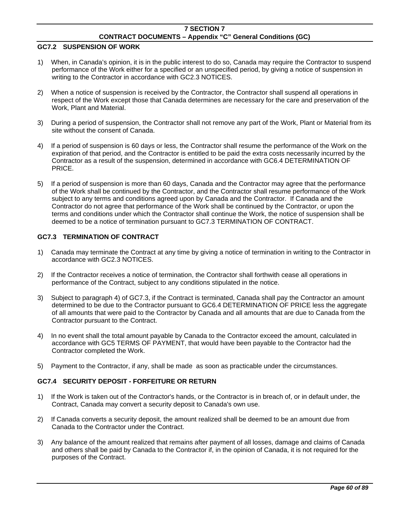## **GC7.2 SUSPENSION OF WORK**

- 1) When, in Canada's opinion, it is in the public interest to do so, Canada may require the Contractor to suspend performance of the Work either for a specified or an unspecified period, by giving a notice of suspension in writing to the Contractor in accordance with GC2.3 NOTICES.
- 2) When a notice of suspension is received by the Contractor, the Contractor shall suspend all operations in respect of the Work except those that Canada determines are necessary for the care and preservation of the Work, Plant and Material.
- 3) During a period of suspension, the Contractor shall not remove any part of the Work, Plant or Material from its site without the consent of Canada.
- 4) If a period of suspension is 60 days or less, the Contractor shall resume the performance of the Work on the expiration of that period, and the Contractor is entitled to be paid the extra costs necessarily incurred by the Contractor as a result of the suspension, determined in accordance with GC6.4 DETERMINATION OF PRICE.
- 5) If a period of suspension is more than 60 days, Canada and the Contractor may agree that the performance of the Work shall be continued by the Contractor, and the Contractor shall resume performance of the Work subject to any terms and conditions agreed upon by Canada and the Contractor. If Canada and the Contractor do not agree that performance of the Work shall be continued by the Contractor, or upon the terms and conditions under which the Contractor shall continue the Work, the notice of suspension shall be deemed to be a notice of termination pursuant to GC7.3 TERMINATION OF CONTRACT.

## **GC7.3 TERMINATION OF CONTRACT**

- 1) Canada may terminate the Contract at any time by giving a notice of termination in writing to the Contractor in accordance with GC2.3 NOTICES.
- 2) If the Contractor receives a notice of termination, the Contractor shall forthwith cease all operations in performance of the Contract, subject to any conditions stipulated in the notice.
- 3) Subject to paragraph 4) of GC7.3, if the Contract is terminated, Canada shall pay the Contractor an amount determined to be due to the Contractor pursuant to GC6.4 DETERMINATION OF PRICE less the aggregate of all amounts that were paid to the Contractor by Canada and all amounts that are due to Canada from the Contractor pursuant to the Contract.
- 4) In no event shall the total amount payable by Canada to the Contractor exceed the amount, calculated in accordance with GC5 TERMS OF PAYMENT, that would have been payable to the Contractor had the Contractor completed the Work.
- 5) Payment to the Contractor, if any, shall be made as soon as practicable under the circumstances.

## **GC7.4 SECURITY DEPOSIT - FORFEITURE OR RETURN**

- 1) If the Work is taken out of the Contractor's hands, or the Contractor is in breach of, or in default under, the Contract, Canada may convert a security deposit to Canada's own use.
- 2) If Canada converts a security deposit, the amount realized shall be deemed to be an amount due from Canada to the Contractor under the Contract.
- 3) Any balance of the amount realized that remains after payment of all losses, damage and claims of Canada and others shall be paid by Canada to the Contractor if, in the opinion of Canada, it is not required for the purposes of the Contract.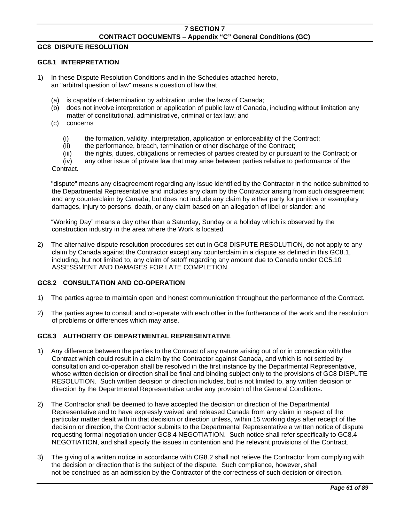## **GC8 DISPUTE RESOLUTION**

## **GC8.1 INTERPRETATION**

- 1) In these Dispute Resolution Conditions and in the Schedules attached hereto, an "arbitral question of law" means a question of law that
	- (a) is capable of determination by arbitration under the laws of Canada;
	- (b) does not involve interpretation or application of public law of Canada, including without limitation any matter of constitutional, administrative, criminal or tax law; and
	- (c) concerns
		- (i) the formation, validity, interpretation, application or enforceability of the Contract;
		- (ii) the performance, breach, termination or other discharge of the Contract;
		- (iii) the rights, duties, obligations or remedies of parties created by or pursuant to the Contract; or

 (iv) any other issue of private law that may arise between parties relative to performance of the Contract.

 "dispute" means any disagreement regarding any issue identified by the Contractor in the notice submitted to the Departmental Representative and includes any claim by the Contractor arising from such disagreement and any counterclaim by Canada, but does not include any claim by either party for punitive or exemplary damages, injury to persons, death, or any claim based on an allegation of libel or slander; and

 "Working Day" means a day other than a Saturday, Sunday or a holiday which is observed by the construction industry in the area where the Work is located*.* 

2) The alternative dispute resolution procedures set out in GC8 DISPUTE RESOLUTION, do not apply to any claim by Canada against the Contractor except any counterclaim in a dispute as defined in this GC8.1, including, but not limited to, any claim of setoff regarding any amount due to Canada under GC5.10 ASSESSMENT AND DAMAGES FOR LATE COMPLETION.

## **GC8.2 CONSULTATION AND CO-OPERATION**

- 1) The parties agree to maintain open and honest communication throughout the performance of the Contract*.*
- 2) The parties agree to consult and co-operate with each other in the furtherance of the work and the resolution of problems or differences which may arise.

### **GC8.3 AUTHORITY OF DEPARTMENTAL REPRESENTATIVE**

- 1) Any difference between the parties to the Contract of any nature arising out of or in connection with the Contract which could result in a claim by the Contractor against Canada, and which is not settled by consultation and co-operation shall be resolved in the first instance by the Departmental Representative, whose written decision or direction shall be final and binding subject only to the provisions of GC8 DISPUTE RESOLUTION. Such written decision or direction includes, but is not limited to, any written decision or direction by the Departmental Representative under any provision of the General Conditions.
- 2) The Contractor shall be deemed to have accepted the decision or direction of the Departmental Representative and to have expressly waived and released Canada from any claim in respect of the particular matter dealt with in that decision or direction unless, within 15 working days after receipt of the decision or direction, the Contractor submits to the Departmental Representative a written notice of dispute requesting formal negotiation under GC8.4 NEGOTIATION. Such notice shall refer specifically to GC8.4 NEGOTIATION, and shall specify the issues in contention and the relevant provisions of the Contract.
- 3) The giving of a written notice in accordance with CG8.2 shall not relieve the Contractor from complying with the decision or direction that is the subject of the dispute. Such compliance, however, shall not be construed as an admission by the Contractor of the correctness of such decision or direction.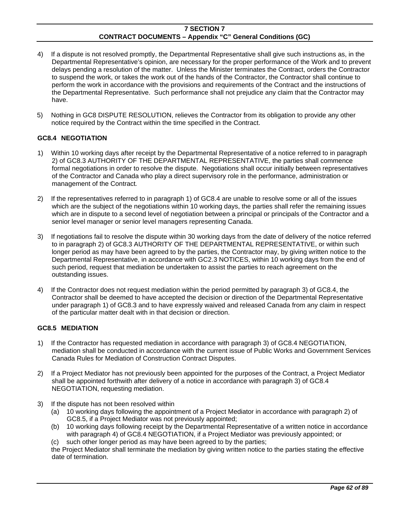- 4) If a dispute is not resolved promptly, the Departmental Representative shall give such instructions as, in the Departmental Representative's opinion, are necessary for the proper performance of the Work and to prevent delays pending a resolution of the matter. Unless the Minister terminates the Contract, orders the Contractor to suspend the work, or takes the work out of the hands of the Contractor, the Contractor shall continue to perform the work in accordance with the provisions and requirements of the Contract and the instructions of the Departmental Representative. Such performance shall not prejudice any claim that the Contractor may have.
- 5) Nothing in GC8 DISPUTE RESOLUTION, relieves the Contractor from its obligation to provide any other notice required by the Contract within the time specified in the Contract.

## **GC8.4 NEGOTIATION**

- 1) Within 10 working days after receipt by the Departmental Representative of a notice referred to in paragraph 2) of GC8.3 AUTHORITY OF THE DEPARTMENTAL REPRESENTATIVE, the parties shall commence formal negotiations in order to resolve the dispute. Negotiations shall occur initially between representatives of the Contractor and Canada who play a direct supervisory role in the performance, administration or management of the Contract*.*
- 2) If the representatives referred to in paragraph 1) of GC8.4 are unable to resolve some or all of the issues which are the subject of the negotiations within 10 working days, the parties shall refer the remaining issues which are in dispute to a second level of negotiation between a principal or principals of the Contractor and a senior level manager or senior level managers representing Canada.
- 3) If negotiations fail to resolve the dispute within 30 working days from the date of delivery of the notice referred to in paragraph 2) of GC8.3 AUTHORITY OF THE DEPARTMENTAL REPRESENTATIVE, or within such longer period as may have been agreed to by the parties, the Contractor may, by giving written notice to the Departmental Representative, in accordance with GC2.3 NOTICES, within 10 working days from the end of such period, request that mediation be undertaken to assist the parties to reach agreement on the outstanding issues.
- 4) If the Contractor does not request mediation within the period permitted by paragraph 3) of GC8.4, the Contractor shall be deemed to have accepted the decision or direction of the Departmental Representative under paragraph 1) of GC8.3 and to have expressly waived and released Canada from any claim in respect of the particular matter dealt with in that decision or direction.

### **GC8.5 MEDIATION**

- 1) If the Contractor has requested mediation in accordance with paragraph 3) of GC8.4 NEGOTIATION, mediation shall be conducted in accordance with the current issue of Public Works and Government Services Canada Rules for Mediation of Construction Contract Disputes.
- 2) If a Project Mediator has not previously been appointed for the purposes of the Contract, a Project Mediator shall be appointed forthwith after delivery of a notice in accordance with paragraph 3) of GC8.4 NEGOTIATION, requesting mediation.
- 3) If the dispute has not been resolved within
	- (a) 10 working days following the appointment of a Project Mediator in accordance with paragraph 2) of GC8.5, if a Project Mediator was not previously appointed;
	- (b) 10 working days following receipt by the Departmental Representative of a written notice in accordance with paragraph 4) of GC8.4 NEGOTIATION, if a Project Mediator was previously appointed; or
	- (c) such other longer period as may have been agreed to by the parties;

 the Project Mediator shall terminate the mediation by giving written notice to the parties stating the effective date of termination.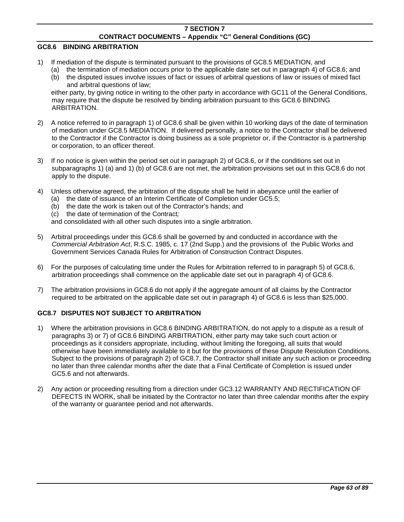### **GC8.6 BINDING ARBITRATION**

- 1) If mediation of the dispute is terminated pursuant to the provisions of GC8.5 MEDIATION, and
	- (a) the termination of mediation occurs prior to the applicable date set out in paragraph 4) of GC8.6; and (b) the disputed issues involve issues of fact or issues of arbitral questions of law or issues of mixed fact

and arbitral questions of law; either party, by giving notice in writing to the other party in accordance with GC11 of the General Conditions, may require that the dispute be resolved by binding arbitration pursuant to this GC8.6 BINDING ARBITRATION.

- 2) A notice referred to in paragraph 1) of GC8.6 shall be given within 10 working days of the date of termination of mediation under GC8.5 MEDIATION. If delivered personally, a notice to the Contractor shall be delivered to the Contractor if the Contractor is doing business as a sole proprietor or, if the Contractor is a partnership or corporation, to an officer thereof.
- 3) If no notice is given within the period set out in paragraph 2) of GC8.6, or if the conditions set out in subparagraphs 1) (a) and 1) (b) of GC8.6 are not met, the arbitration provisions set out in this GC8.6 do not apply to the dispute.
- 4) Unless otherwise agreed, the arbitration of the dispute shall be held in abeyance until the earlier of
	- (a) the date of issuance of an Interim Certificate of Completion under GC5.5;
	- (b) the date the work is taken out of the Contractor's hands; and
	- (c) the date of termination of the Contract*;*

and consolidated with all other such disputes into a single arbitration.

- 5) Arbitral proceedings under this GC8.6 shall be governed by and conducted in accordance with the *Commercial Arbitration Act*, R.S.C. 1985, c. 17 (2nd Supp.) and the provisions of the Public Works and Government Services Canada Rules for Arbitration of Construction Contract Disputes.
- 6) For the purposes of calculating time under the Rules for Arbitration referred to in paragraph 5) of GC8.6, arbitration proceedings shall commence on the applicable date set out in paragraph 4) of GC8.6.
- 7) The arbitration provisions in GC8.6 do not apply if the aggregate amount of all claims by the Contractor required to be arbitrated on the applicable date set out in paragraph 4) of GC8.6 is less than \$25,000.

## **GC8.7 DISPUTES NOT SUBJECT TO ARBITRATION**

- 1) Where the arbitration provisions in GC8.6 BINDING ARBITRATION, do not apply to a dispute as a result of paragraphs 3) or 7) of GC8.6 BINDING ARBITRATION, either party may take such court action or proceedings as it considers appropriate, including, without limiting the foregoing, all suits that would otherwise have been immediately available to it but for the provisions of these Dispute Resolution Conditions. Subject to the provisions of paragraph 2) of GC8.7, the Contractor shall initiate any such action or proceeding no later than three calendar months after the date that a Final Certificate of Completion is issued under GC5.6 and not afterwards.
- 2) Any action or proceeding resulting from a direction under GC3.12 WARRANTY AND RECTIFICATION OF DEFECTS IN WORK, shall be initiated by the Contractor no later than three calendar months after the expiry of the warranty or guarantee period and not afterwards.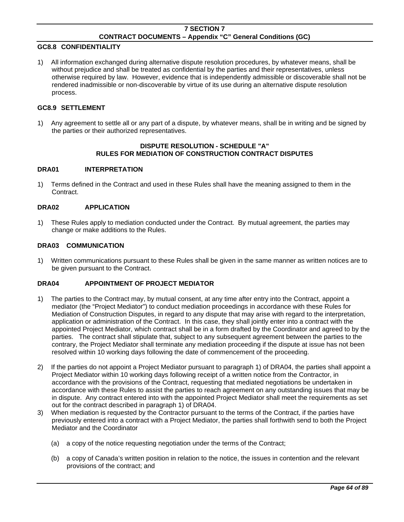## **GC8.8 CONFIDENTIALITY**

1) All information exchanged during alternative dispute resolution procedures, by whatever means, shall be without prejudice and shall be treated as confidential by the parties and their representatives, unless otherwise required by law. However, evidence that is independently admissible or discoverable shall not be rendered inadmissible or non-discoverable by virtue of its use during an alternative dispute resolution process.

#### **GC8.9 SETTLEMENT**

1) Any agreement to settle all or any part of a dispute, by whatever means, shall be in writing and be signed by the parties or their authorized representatives.

### **DISPUTE RESOLUTION - SCHEDULE "A" RULES FOR MEDIATION OF CONSTRUCTION CONTRACT DISPUTES**

#### **DRA01 INTERPRETATION**

1) Terms defined in the Contract and used in these Rules shall have the meaning assigned to them in the Contract.

### **DRA02 APPLICATION**

1) These Rules apply to mediation conducted under the Contract. By mutual agreement, the parties may change or make additions to the Rules.

#### **DRA03 COMMUNICATION**

1) Written communications pursuant to these Rules shall be given in the same manner as written notices are to be given pursuant to the Contract.

### **DRA04 APPOINTMENT OF PROJECT MEDIATOR**

- 1) The parties to the Contract may, by mutual consent, at any time after entry into the Contract, appoint a mediator (the "Project Mediator") to conduct mediation proceedings in accordance with these Rules for Mediation of Construction Disputes, in regard to any dispute that may arise with regard to the interpretation, application or administration of the Contract. In this case, they shall jointly enter into a contract with the appointed Project Mediator, which contract shall be in a form drafted by the Coordinator and agreed to by the parties. The contract shall stipulate that, subject to any subsequent agreement between the parties to the contrary, the Project Mediator shall terminate any mediation proceeding if the dispute at issue has not been resolved within 10 working days following the date of commencement of the proceeding.
- 2) If the parties do not appoint a Project Mediator pursuant to paragraph 1) of DRA04, the parties shall appoint a Project Mediator within 10 working days following receipt of a written notice from the Contractor, in accordance with the provisions of the Contract, requesting that mediated negotiations be undertaken in accordance with these Rules to assist the parties to reach agreement on any outstanding issues that may be in dispute. Any contract entered into with the appointed Project Mediator shall meet the requirements as set out for the contract described in paragraph 1) of DRA04.
- 3) When mediation is requested by the Contractor pursuant to the terms of the Contract, if the parties have previously entered into a contract with a Project Mediator, the parties shall forthwith send to both the Project Mediator and the Coordinator
	- (a) a copy of the notice requesting negotiation under the terms of the Contract;
	- (b) a copy of Canada's written position in relation to the notice, the issues in contention and the relevant provisions of the contract; and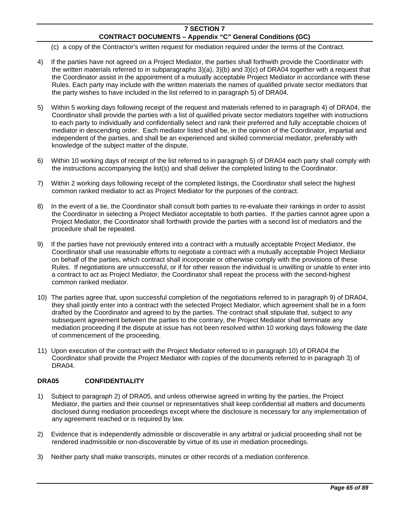- (c) a copy of the Contractor's written request for mediation required under the terms of the Contract.
- 4) If the parties have not agreed on a Project Mediator, the parties shall forthwith provide the Coordinator with the written materials referred to in subparagraphs 3)(a), 3)(b) and 3)(c) of DRA04 together with a request that the Coordinator assist in the appointment of a mutually acceptable Project Mediator in accordance with these Rules. Each party may include with the written materials the names of qualified private sector mediators that the party wishes to have included in the list referred to in paragraph 5) of DRA04.
- 5) Within 5 working days following receipt of the request and materials referred to in paragraph 4) of DRA04, the Coordinator shall provide the parties with a list of qualified private sector mediators together with instructions to each party to individually and confidentially select and rank their preferred and fully acceptable choices of mediator in descending order. Each mediator listed shall be, in the opinion of the Coordinator, impartial and independent of the parties, and shall be an experienced and skilled commercial mediator, preferably with knowledge of the subject matter of the dispute.
- 6) Within 10 working days of receipt of the list referred to in paragraph 5) of DRA04 each party shall comply with the instructions accompanying the list(s) and shall deliver the completed listing to the Coordinator.
- 7) Within 2 working days following receipt of the completed listings, the Coordinator shall select the highest common ranked mediator to act as Project Mediator for the purposes of the contract.
- 8) In the event of a tie, the Coordinator shall consult both parties to re-evaluate their rankings in order to assist the Coordinator in selecting a Project Mediator acceptable to both parties. If the parties cannot agree upon a Project Mediator, the Coordinator shall forthwith provide the parties with a second list of mediators and the procedure shall be repeated.
- 9) If the parties have not previously entered into a contract with a mutually acceptable Project Mediator, the Coordinator shall use reasonable efforts to negotiate a contract with a mutually acceptable Project Mediator on behalf of the parties, which contract shall incorporate or otherwise comply with the provisions of these Rules. If negotiations are unsuccessful, or if for other reason the individual is unwilling or unable to enter into a contract to act as Project Mediator, the Coordinator shall repeat the process with the second-highest common ranked mediator.
- 10) The parties agree that, upon successful completion of the negotiations referred to in paragraph 9) of DRA04, they shall jointly enter into a contract with the selected Project Mediator, which agreement shall be in a form drafted by the Coordinator and agreed to by the parties. The contract shall stipulate that, subject to any subsequent agreement between the parties to the contrary, the Project Mediator shall terminate any mediation proceeding if the dispute at issue has not been resolved within 10 working days following the date of commencement of the proceeding.
- 11) Upon execution of the contract with the Project Mediator referred to in paragraph 10) of DRA04 the Coordinator shall provide the Project Mediator with copies of the documents referred to in paragraph 3) of DRA04.

## **DRA05 CONFIDENTIALITY**

- 1) Subject to paragraph 2) of DRA05, and unless otherwise agreed in writing by the parties, the Project Mediator, the parties and their counsel or representatives shall keep confidential all matters and documents disclosed during mediation proceedings except where the disclosure is necessary for any implementation of any agreement reached or is required by law.
- 2) Evidence that is independently admissible or discoverable in any arbitral or judicial proceeding shall not be rendered inadmissible or non-discoverable by virtue of its use in mediation proceedings.
- 3) Neither party shall make transcripts, minutes or other records of a mediation conference.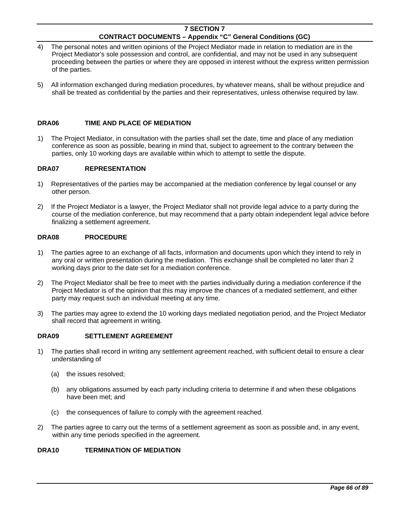- 4) The personal notes and written opinions of the Project Mediator made in relation to mediation are in the Project Mediator's sole possession and control, are confidential, and may not be used in any subsequent proceeding between the parties or where they are opposed in interest without the express written permission of the parties.
- 5) All information exchanged during mediation procedures, by whatever means, shall be without prejudice and shall be treated as confidential by the parties and their representatives, unless otherwise required by law.

## **DRA06 TIME AND PLACE OF MEDIATION**

1) The Project Mediator, in consultation with the parties shall set the date, time and place of any mediation conference as soon as possible, bearing in mind that, subject to agreement to the contrary between the parties, only 10 working days are available within which to attempt to settle the dispute.

### **DRA07 REPRESENTATION**

- 1) Representatives of the parties may be accompanied at the mediation conference by legal counsel or any other person.
- 2) If the Project Mediator is a lawyer, the Project Mediator shall not provide legal advice to a party during the course of the mediation conference, but may recommend that a party obtain independent legal advice before finalizing a settlement agreement.

# **DRA08 PROCEDURE**

- 1) The parties agree to an exchange of all facts, information and documents upon which they intend to rely in any oral or written presentation during the mediation. This exchange shall be completed no later than 2 working days prior to the date set for a mediation conference.
- 2) The Project Mediator shall be free to meet with the parties individually during a mediation conference if the Project Mediator is of the opinion that this may improve the chances of a mediated settlement, and either party may request such an individual meeting at any time.
- 3) The parties may agree to extend the 10 working days mediated negotiation period, and the Project Mediator shall record that agreement in writing.

### **DRA09 SETTLEMENT AGREEMENT**

- 1) The parties shall record in writing any settlement agreement reached, with sufficient detail to ensure a clear understanding of
	- (a) the issues resolved;
	- (b) any obligations assumed by each party including criteria to determine if and when these obligations have been met; and
	- (c) the consequences of failure to comply with the agreement reached.
- 2) The parties agree to carry out the terms of a settlement agreement as soon as possible and, in any event, within any time periods specified in the agreement.

## **DRA10 TERMINATION OF MEDIATION**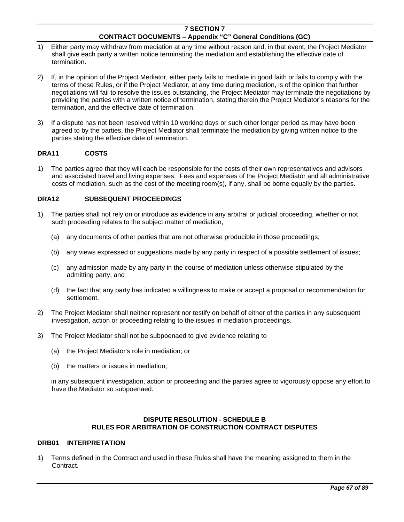- 1) Either party may withdraw from mediation at any time without reason and, in that event, the Project Mediator shall give each party a written notice terminating the mediation and establishing the effective date of termination.
- 2) If, in the opinion of the Project Mediator, either party fails to mediate in good faith or fails to comply with the terms of these Rules, or if the Project Mediator, at any time during mediation, is of the opinion that further negotiations will fail to resolve the issues outstanding, the Project Mediator may terminate the negotiations by providing the parties with a written notice of termination, stating therein the Project Mediator's reasons for the termination, and the effective date of termination.
- 3) If a dispute has not been resolved within 10 working days or such other longer period as may have been agreed to by the parties, the Project Mediator shall terminate the mediation by giving written notice to the parties stating the effective date of termination.

## **DRA11 COSTS**

1) The parties agree that they will each be responsible for the costs of their own representatives and advisors and associated travel and living expenses. Fees and expenses of the Project Mediator and all administrative costs of mediation, such as the cost of the meeting room(s), if any, shall be borne equally by the parties.

### **DRA12 SUBSEQUENT PROCEEDINGS**

- 1) The parties shall not rely on or introduce as evidence in any arbitral or judicial proceeding, whether or not such proceeding relates to the subject matter of mediation,
	- (a) any documents of other parties that are not otherwise producible in those proceedings;
	- (b) any views expressed or suggestions made by any party in respect of a possible settlement of issues;
	- (c) any admission made by any party in the course of mediation unless otherwise stipulated by the admitting party; and
	- (d) the fact that any party has indicated a willingness to make or accept a proposal or recommendation for settlement.
- 2) The Project Mediator shall neither represent nor testify on behalf of either of the parties in any subsequent investigation, action or proceeding relating to the issues in mediation proceedings.
- 3) The Project Mediator shall not be subpoenaed to give evidence relating to
	- (a) the Project Mediator's role in mediation; or
	- (b) the matters or issues in mediation;

 in any subsequent investigation, action or proceeding and the parties agree to vigorously oppose any effort to have the Mediator so subpoenaed.

## **DISPUTE RESOLUTION - SCHEDULE B RULES FOR ARBITRATION OF CONSTRUCTION CONTRACT DISPUTES**

### **DRB01 INTERPRETATION**

1) Terms defined in the Contract and used in these Rules shall have the meaning assigned to them in the Contract.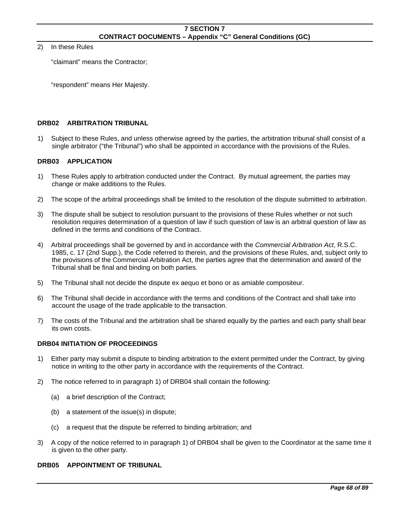#### 2) In these Rules

"claimant" means the Contractor;

"respondent" means Her Majesty.

### **DRB02 ARBITRATION TRIBUNAL**

1) Subject to these Rules, and unless otherwise agreed by the parties, the arbitration tribunal shall consist of a single arbitrator ("the Tribunal") who shall be appointed in accordance with the provisions of the Rules.

## **DRB03 APPLICATION**

- 1) These Rules apply to arbitration conducted under the Contract. By mutual agreement, the parties may change or make additions to the Rules.
- 2) The scope of the arbitral proceedings shall be limited to the resolution of the dispute submitted to arbitration.
- 3) The dispute shall be subject to resolution pursuant to the provisions of these Rules whether or not such resolution requires determination of a question of law if such question of law is an arbitral question of law as defined in the terms and conditions of the Contract.
- 4) Arbitral proceedings shall be governed by and in accordance with the *Commercial Arbitration Act*, R.S.C. 1985, c. 17 (2nd Supp.), the Code referred to therein, and the provisions of these Rules, and, subject only to the provisions of the Commercial Arbitration Act, the parties agree that the determination and award of the Tribunal shall be final and binding on both parties.
- 5) The Tribunal shall not decide the dispute ex aequo et bono or as amiable compositeur.
- 6) The Tribunal shall decide in accordance with the terms and conditions of the Contract and shall take into account the usage of the trade applicable to the transaction.
- 7) The costs of the Tribunal and the arbitration shall be shared equally by the parties and each party shall bear its own costs.

### **DRB04 INITIATION OF PROCEEDINGS**

- 1) Either party may submit a dispute to binding arbitration to the extent permitted under the Contract, by giving notice in writing to the other party in accordance with the requirements of the Contract.
- 2) The notice referred to in paragraph 1) of DRB04 shall contain the following:
	- (a) a brief description of the Contract;
	- (b) a statement of the issue(s) in dispute;
	- (c) a request that the dispute be referred to binding arbitration; and
- 3) A copy of the notice referred to in paragraph 1) of DRB04 shall be given to the Coordinator at the same time it is given to the other party.

# **DRB05 APPOINTMENT OF TRIBUNAL**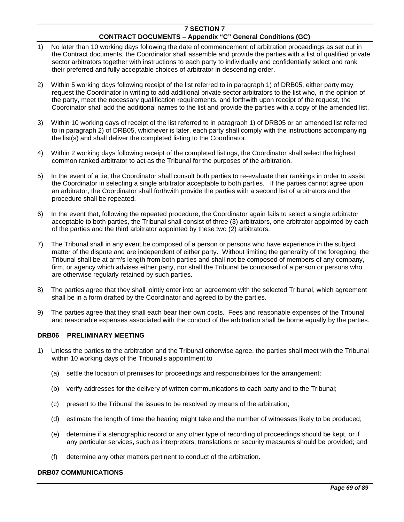- 1) No later than 10 working days following the date of commencement of arbitration proceedings as set out in the Contract documents, the Coordinator shall assemble and provide the parties with a list of qualified private sector arbitrators together with instructions to each party to individually and confidentially select and rank their preferred and fully acceptable choices of arbitrator in descending order.
- 2) Within 5 working days following receipt of the list referred to in paragraph 1) of DRB05, either party may request the Coordinator in writing to add additional private sector arbitrators to the list who, in the opinion of the party, meet the necessary qualification requirements, and forthwith upon receipt of the request, the Coordinator shall add the additional names to the list and provide the parties with a copy of the amended list.
- 3) Within 10 working days of receipt of the list referred to in paragraph 1) of DRB05 or an amended list referred to in paragraph 2) of DRB05, whichever is later, each party shall comply with the instructions accompanying the list(s) and shall deliver the completed listing to the Coordinator.
- 4) Within 2 working days following receipt of the completed listings, the Coordinator shall select the highest common ranked arbitrator to act as the Tribunal for the purposes of the arbitration.
- 5) In the event of a tie, the Coordinator shall consult both parties to re-evaluate their rankings in order to assist the Coordinator in selecting a single arbitrator acceptable to both parties. If the parties cannot agree upon an arbitrator, the Coordinator shall forthwith provide the parties with a second list of arbitrators and the procedure shall be repeated.
- 6) In the event that, following the repeated procedure, the Coordinator again fails to select a single arbitrator acceptable to both parties, the Tribunal shall consist of three (3) arbitrators, one arbitrator appointed by each of the parties and the third arbitrator appointed by these two (2) arbitrators.
- 7) The Tribunal shall in any event be composed of a person or persons who have experience in the subject matter of the dispute and are independent of either party. Without limiting the generality of the foregoing, the Tribunal shall be at arm's length from both parties and shall not be composed of members of any company, firm, or agency which advises either party, nor shall the Tribunal be composed of a person or persons who are otherwise regularly retained by such parties.
- 8) The parties agree that they shall jointly enter into an agreement with the selected Tribunal, which agreement shall be in a form drafted by the Coordinator and agreed to by the parties.
- 9) The parties agree that they shall each bear their own costs. Fees and reasonable expenses of the Tribunal and reasonable expenses associated with the conduct of the arbitration shall be borne equally by the parties.

### **DRB06 PRELIMINARY MEETING**

- 1) Unless the parties to the arbitration and the Tribunal otherwise agree, the parties shall meet with the Tribunal within 10 working days of the Tribunal's appointment to
	- (a) settle the location of premises for proceedings and responsibilities for the arrangement;
	- (b) verify addresses for the delivery of written communications to each party and to the Tribunal;
	- (c) present to the Tribunal the issues to be resolved by means of the arbitration;
	- (d) estimate the length of time the hearing might take and the number of witnesses likely to be produced;
	- (e) determine if a stenographic record or any other type of recording of proceedings should be kept, or if any particular services, such as interpreters, translations or security measures should be provided; and
	- (f) determine any other matters pertinent to conduct of the arbitration.

### **DRB07 COMMUNICATIONS**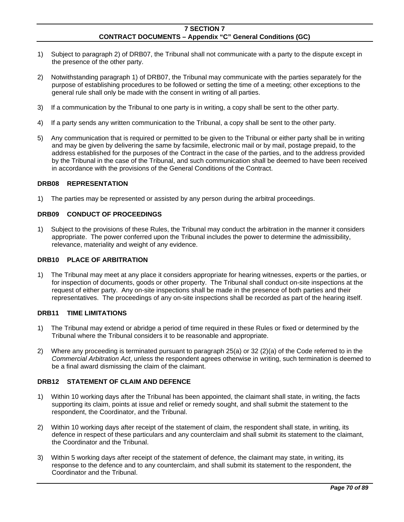- 1) Subject to paragraph 2) of DRB07, the Tribunal shall not communicate with a party to the dispute except in the presence of the other party.
- 2) Notwithstanding paragraph 1) of DRB07, the Tribunal may communicate with the parties separately for the purpose of establishing procedures to be followed or setting the time of a meeting; other exceptions to the general rule shall only be made with the consent in writing of all parties.
- 3) If a communication by the Tribunal to one party is in writing, a copy shall be sent to the other party.
- 4) If a party sends any written communication to the Tribunal, a copy shall be sent to the other party.
- 5) Any communication that is required or permitted to be given to the Tribunal or either party shall be in writing and may be given by delivering the same by facsimile, electronic mail or by mail, postage prepaid, to the address established for the purposes of the Contract in the case of the parties, and to the address provided by the Tribunal in the case of the Tribunal, and such communication shall be deemed to have been received in accordance with the provisions of the General Conditions of the Contract.

#### **DRB08 REPRESENTATION**

1) The parties may be represented or assisted by any person during the arbitral proceedings.

#### **DRB09 CONDUCT OF PROCEEDINGS**

1) Subject to the provisions of these Rules, the Tribunal may conduct the arbitration in the manner it considers appropriate. The power conferred upon the Tribunal includes the power to determine the admissibility, relevance, materiality and weight of any evidence.

#### **DRB10 PLACE OF ARBITRATION**

1) The Tribunal may meet at any place it considers appropriate for hearing witnesses, experts or the parties, or for inspection of documents, goods or other property. The Tribunal shall conduct on-site inspections at the request of either party. Any on-site inspections shall be made in the presence of both parties and their representatives. The proceedings of any on-site inspections shall be recorded as part of the hearing itself.

#### **DRB11 TIME LIMITATIONS**

- 1) The Tribunal may extend or abridge a period of time required in these Rules or fixed or determined by the Tribunal where the Tribunal considers it to be reasonable and appropriate.
- 2) Where any proceeding is terminated pursuant to paragraph 25(a) or 32 (2)(a) of the Code referred to in the *Commercial Arbitration Act*, unless the respondent agrees otherwise in writing, such termination is deemed to be a final award dismissing the claim of the claimant.

#### **DRB12 STATEMENT OF CLAIM AND DEFENCE**

- 1) Within 10 working days after the Tribunal has been appointed, the claimant shall state, in writing, the facts supporting its claim, points at issue and relief or remedy sought, and shall submit the statement to the respondent, the Coordinator, and the Tribunal.
- 2) Within 10 working days after receipt of the statement of claim, the respondent shall state, in writing, its defence in respect of these particulars and any counterclaim and shall submit its statement to the claimant, the Coordinator and the Tribunal.
- 3) Within 5 working days after receipt of the statement of defence, the claimant may state, in writing, its response to the defence and to any counterclaim, and shall submit its statement to the respondent, the Coordinator and the Tribunal.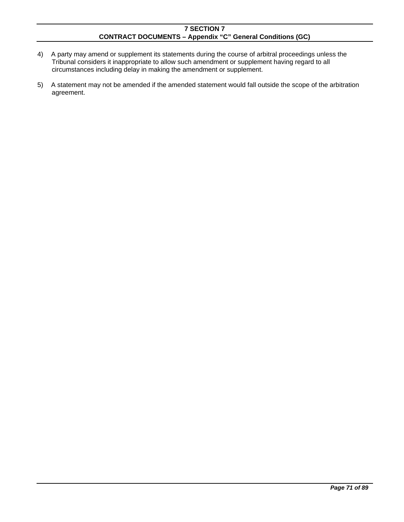- 4) A party may amend or supplement its statements during the course of arbitral proceedings unless the Tribunal considers it inappropriate to allow such amendment or supplement having regard to all circumstances including delay in making the amendment or supplement.
- 5) A statement may not be amended if the amended statement would fall outside the scope of the arbitration agreement.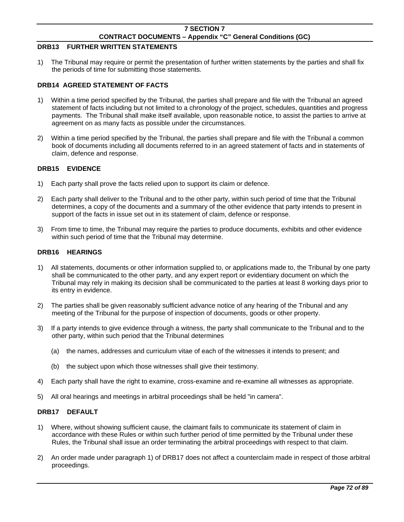## **DRB13 FURTHER WRITTEN STATEMENTS**

1) The Tribunal may require or permit the presentation of further written statements by the parties and shall fix the periods of time for submitting those statements.

## **DRB14 AGREED STATEMENT OF FACTS**

- 1) Within a time period specified by the Tribunal, the parties shall prepare and file with the Tribunal an agreed statement of facts including but not limited to a chronology of the project, schedules, quantities and progress payments. The Tribunal shall make itself available, upon reasonable notice, to assist the parties to arrive at agreement on as many facts as possible under the circumstances.
- 2) Within a time period specified by the Tribunal, the parties shall prepare and file with the Tribunal a common book of documents including all documents referred to in an agreed statement of facts and in statements of claim, defence and response.

### **DRB15 EVIDENCE**

- 1) Each party shall prove the facts relied upon to support its claim or defence.
- 2) Each party shall deliver to the Tribunal and to the other party, within such period of time that the Tribunal determines, a copy of the documents and a summary of the other evidence that party intends to present in support of the facts in issue set out in its statement of claim, defence or response.
- 3) From time to time, the Tribunal may require the parties to produce documents, exhibits and other evidence within such period of time that the Tribunal may determine.

### **DRB16 HEARINGS**

- 1) All statements, documents or other information supplied to, or applications made to, the Tribunal by one party shall be communicated to the other party, and any expert report or evidentiary document on which the Tribunal may rely in making its decision shall be communicated to the parties at least 8 working days prior to its entry in evidence.
- 2) The parties shall be given reasonably sufficient advance notice of any hearing of the Tribunal and any meeting of the Tribunal for the purpose of inspection of documents, goods or other property.
- 3) If a party intends to give evidence through a witness, the party shall communicate to the Tribunal and to the other party, within such period that the Tribunal determines
	- (a) the names, addresses and curriculum vitae of each of the witnesses it intends to present; and
	- (b) the subject upon which those witnesses shall give their testimony.
- 4) Each party shall have the right to examine, cross-examine and re-examine all witnesses as appropriate.
- 5) All oral hearings and meetings in arbitral proceedings shall be held "in camera".

### **DRB17 DEFAULT**

- 1) Where, without showing sufficient cause, the claimant fails to communicate its statement of claim in accordance with these Rules or within such further period of time permitted by the Tribunal under these Rules, the Tribunal shall issue an order terminating the arbitral proceedings with respect to that claim.
- 2) An order made under paragraph 1) of DRB17 does not affect a counterclaim made in respect of those arbitral proceedings.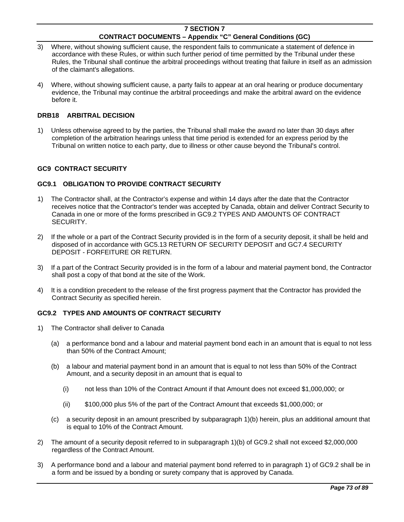- 3) Where, without showing sufficient cause, the respondent fails to communicate a statement of defence in accordance with these Rules, or within such further period of time permitted by the Tribunal under these Rules, the Tribunal shall continue the arbitral proceedings without treating that failure in itself as an admission of the claimant's allegations.
- 4) Where, without showing sufficient cause, a party fails to appear at an oral hearing or produce documentary evidence, the Tribunal may continue the arbitral proceedings and make the arbitral award on the evidence before it.

### **DRB18 ARBITRAL DECISION**

1) Unless otherwise agreed to by the parties, the Tribunal shall make the award no later than 30 days after completion of the arbitration hearings unless that time period is extended for an express period by the Tribunal on written notice to each party, due to illness or other cause beyond the Tribunal's control.

## **GC9 CONTRACT SECURITY**

### **GC9.1 OBLIGATION TO PROVIDE CONTRACT SECURITY**

- 1) The Contractor shall, at the Contractor's expense and within 14 days after the date that the Contractor receives notice that the Contractor's tender was accepted by Canada, obtain and deliver Contract Security to Canada in one or more of the forms prescribed in GC9.2 TYPES AND AMOUNTS OF CONTRACT SECURITY.
- 2) If the whole or a part of the Contract Security provided is in the form of a security deposit, it shall be held and disposed of in accordance with GC5.13 RETURN OF SECURITY DEPOSIT and GC7.4 SECURITY DEPOSIT - FORFEITURE OR RETURN.
- 3) If a part of the Contract Security provided is in the form of a labour and material payment bond, the Contractor shall post a copy of that bond at the site of the Work.
- 4) It is a condition precedent to the release of the first progress payment that the Contractor has provided the Contract Security as specified herein.

# **GC9.2 TYPES AND AMOUNTS OF CONTRACT SECURITY**

- 1) The Contractor shall deliver to Canada
	- (a) a performance bond and a labour and material payment bond each in an amount that is equal to not less than 50% of the Contract Amount;
	- (b) a labour and material payment bond in an amount that is equal to not less than 50% of the Contract Amount, and a security deposit in an amount that is equal to
		- (i) not less than 10% of the Contract Amount if that Amount does not exceed \$1,000,000; or
		- (ii) \$100,000 plus 5% of the part of the Contract Amount that exceeds \$1,000,000; or
	- (c) a security deposit in an amount prescribed by subparagraph 1)(b) herein, plus an additional amount that is equal to 10% of the Contract Amount.
- 2) The amount of a security deposit referred to in subparagraph 1)(b) of GC9.2 shall not exceed \$2,000,000 regardless of the Contract Amount.
- 3) A performance bond and a labour and material payment bond referred to in paragraph 1) of GC9.2 shall be in a form and be issued by a bonding or surety company that is approved by Canada.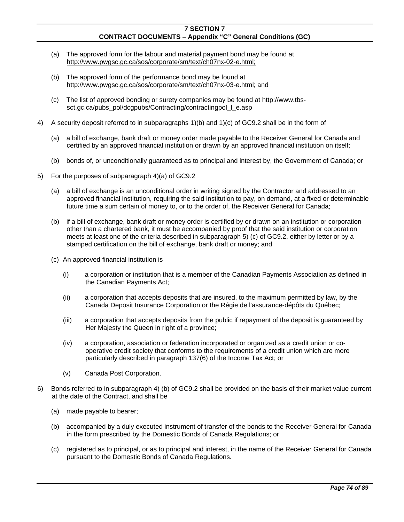- (a) The approved form for the labour and material payment bond may be found at http://www.pwgsc.gc.ca/sos/corporate/sm/text/ch07nx-02-e.html;
- (b) The approved form of the performance bond may be found at http://www.pwgsc.gc.ca/sos/corporate/sm/text/ch07nx-03-e.html; and
- (c) The list of approved bonding or surety companies may be found at http://www.tbssct.gc.ca/pubs\_pol/dcgpubs/Contracting/contractingpol\_l\_e.asp
- 4) A security deposit referred to in subparagraphs 1)(b) and 1)(c) of GC9.2 shall be in the form of
	- (a) a bill of exchange, bank draft or money order made payable to the Receiver General for Canada and certified by an approved financial institution or drawn by an approved financial institution on itself;
	- (b) bonds of, or unconditionally guaranteed as to principal and interest by, the Government of Canada; or
- 5) For the purposes of subparagraph 4)(a) of GC9.2
	- (a) a bill of exchange is an unconditional order in writing signed by the Contractor and addressed to an approved financial institution, requiring the said institution to pay, on demand, at a fixed or determinable future time a sum certain of money to, or to the order of, the Receiver General for Canada;
	- (b) if a bill of exchange, bank draft or money order is certified by or drawn on an institution or corporation other than a chartered bank, it must be accompanied by proof that the said institution or corporation meets at least one of the criteria described in subparagraph 5) (c) of GC9.2, either by letter or by a stamped certification on the bill of exchange, bank draft or money; and
	- (c) An approved financial institution is
		- (i) a corporation or institution that is a member of the Canadian Payments Association as defined in the Canadian Payments Act;
		- (ii) a corporation that accepts deposits that are insured, to the maximum permitted by law, by the Canada Deposit Insurance Corporation or the Régie de l'assurance-dépôts du Québec;
		- (iii) a corporation that accepts deposits from the public if repayment of the deposit is guaranteed by Her Majesty the Queen in right of a province;
		- (iv) a corporation, association or federation incorporated or organized as a credit union or cooperative credit society that conforms to the requirements of a credit union which are more particularly described in paragraph 137(6) of the Income Tax Act; or
		- (v) Canada Post Corporation.
- 6) Bonds referred to in subparagraph 4) (b) of GC9.2 shall be provided on the basis of their market value current at the date of the Contract, and shall be
	- (a) made payable to bearer;
	- (b) accompanied by a duly executed instrument of transfer of the bonds to the Receiver General for Canada in the form prescribed by the Domestic Bonds of Canada Regulations; or
	- (c) registered as to principal, or as to principal and interest, in the name of the Receiver General for Canada pursuant to the Domestic Bonds of Canada Regulations.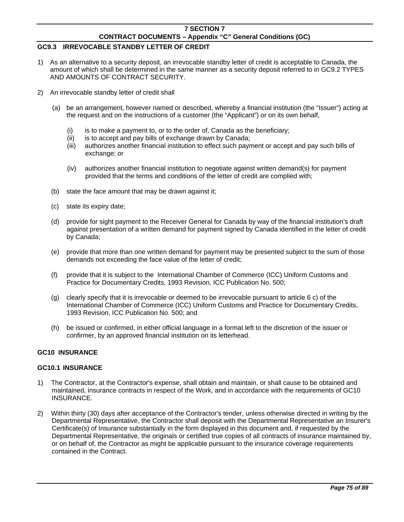# **GC9.3 IRREVOCABLE STANDBY LETTER OF CREDIT**

- 1) As an alternative to a security deposit, an irrevocable standby letter of credit is acceptable to Canada, the amount of which shall be determined in the same manner as a security deposit referred to in GC9.2 TYPES AND AMOUNTS OF CONTRACT SECURITY.
- 2) An irrevocable standby letter of credit shall
	- (a) be an arrangement, however named or described, whereby a financial institution (the "Issuer") acting at the request and on the instructions of a customer (the "Applicant") or on its own behalf,
		- (i) is to make a payment to, or to the order of, Canada as the beneficiary;
		- (ii) is to accept and pay bills of exchange drawn by Canada;
		- (iii) authorizes another financial institution to effect such payment or accept and pay such bills of exchange; or
		- (iv) authorizes another financial institution to negotiate against written demand(s) for payment provided that the terms and conditions of the letter of credit are complied with;
	- (b) state the face amount that may be drawn against it;
	- (c) state its expiry date;
	- (d) provide for sight payment to the Receiver General for Canada by way of the financial institution's draft against presentation of a written demand for payment signed by Canada identified in the letter of credit by Canada;
	- (e) provide that more than one written demand for payment may be presented subject to the sum of those demands not exceeding the face value of the letter of credit;
	- (f) provide that it is subject to the International Chamber of Commerce (ICC) Uniform Customs and Practice for Documentary Credits, 1993 Revision, ICC Publication No. 500;
	- (g) clearly specify that it is irrevocable or deemed to be irrevocable pursuant to article 6 c) of the International Chamber of Commerce (ICC) Uniform Customs and Practice for Documentary Credits, 1993 Revision, ICC Publication No. 500; and
	- (h) be issued or confirmed, in either official language in a format left to the discretion of the issuer or confirmer, by an approved financial institution on its letterhead.

### **GC10 INSURANCE**

### **GC10.1 INSURANCE**

- 1) The Contractor, at the Contractor's expense, shall obtain and maintain, or shall cause to be obtained and maintained, insurance contracts in respect of the Work, and in accordance with the requirements of GC10 INSURANCE.
- 2) Within thirty (30) days after acceptance of the Contractor's tender, unless otherwise directed in writing by the Departmental Representative, the Contractor shall deposit with the Departmental Representative an Insurer's Certificate(s) of Insurance substantially in the form displayed in this document and, if requested by the Departmental Representative, the originals or certified true copies of all contracts of insurance maintained by, or on behalf of, the Contractor as might be applicable pursuant to the insurance coverage requirements contained in the Contract.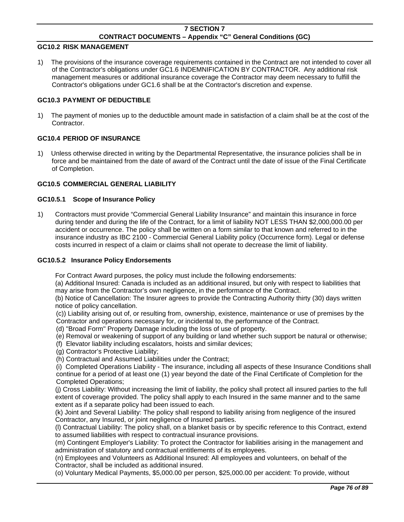#### **GC10.2 RISK MANAGEMENT**

1) The provisions of the insurance coverage requirements contained in the Contract are not intended to cover all of the Contractor's obligations under GC1.6 INDEMNIFICATION BY CONTRACTOR. Any additional risk management measures or additional insurance coverage the Contractor may deem necessary to fulfill the Contractor's obligations under GC1.6 shall be at the Contractor's discretion and expense.

#### **GC10.3 PAYMENT OF DEDUCTIBLE**

1) The payment of monies up to the deductible amount made in satisfaction of a claim shall be at the cost of the **Contractor** 

#### **GC10.4 PERIOD OF INSURANCE**

1) Unless otherwise directed in writing by the Departmental Representative, the insurance policies shall be in force and be maintained from the date of award of the Contract until the date of issue of the Final Certificate of Completion.

#### **GC10.5 COMMERCIAL GENERAL LIABILITY**

#### **GC10.5.1 Scope of Insurance Policy**

1) Contractors must provide "Commercial General Liability Insurance" and maintain this insurance in force during tender and during the life of the Contract, for a limit of liability NOT LESS THAN \$2,000,000.00 per accident or occurrence. The policy shall be written on a form similar to that known and referred to in the insurance industry as IBC 2100 - Commercial General Liability policy (Occurrence form). Legal or defense costs incurred in respect of a claim or claims shall not operate to decrease the limit of liability.

#### **GC10.5.2 Insurance Policy Endorsements**

For Contract Award purposes, the policy must include the following endorsements:

(a) Additional Insured: Canada is included as an additional insured, but only with respect to liabilities that may arise from the Contractor's own negligence, in the performance of the Contract.

(b) Notice of Cancellation: The Insurer agrees to provide the Contracting Authority thirty (30) days written notice of policy cancellation.

(c)) Liability arising out of, or resulting from, ownership, existence, maintenance or use of premises by the Contractor and operations necessary for, or incidental to, the performance of the Contract.

(d) "Broad Form" Property Damage including the loss of use of property.

(e) Removal or weakening of support of any building or land whether such support be natural or otherwise;

(f) Elevator liability including escalators, hoists and similar devices;

(g) Contractor's Protective Liability;

(h) Contractual and Assumed Liabilities under the Contract;

(i) Completed Operations Liability - The insurance, including all aspects of these Insurance Conditions shall continue for a period of at least one (1) year beyond the date of the Final Certificate of Completion for the Completed Operations;

(j) Cross Liability: Without increasing the limit of liability, the policy shall protect all insured parties to the full extent of coverage provided. The policy shall apply to each Insured in the same manner and to the same extent as if a separate policy had been issued to each.

(k) Joint and Several Liability: The policy shall respond to liability arising from negligence of the insured Contractor, any Insured, or joint negligence of Insured parties.

(l) Contractual Liability: The policy shall, on a blanket basis or by specific reference to this Contract, extend to assumed liabilities with respect to contractual insurance provisions.

(m) Contingent Employer's Liability: To protect the Contractor for liabilities arising in the management and administration of statutory and contractual entitlements of its employees.

(n) Employees and Volunteers as Additional Insured: All employees and volunteers, on behalf of the Contractor, shall be included as additional insured.

(o) Voluntary Medical Payments, \$5,000.00 per person, \$25,000.00 per accident: To provide, without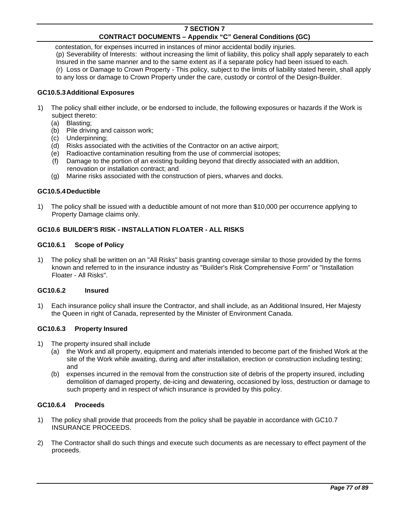contestation, for expenses incurred in instances of minor accidental bodily injuries. (p) Severability of Interests: without increasing the limit of liability, this policy shall apply separately to each Insured in the same manner and to the same extent as if a separate policy had been issued to each. (r) Loss or Damage to Crown Property - This policy, subject to the limits of liability stated herein, shall apply to any loss or damage to Crown Property under the care, custody or control of the Design-Builder.

# **GC10.5.3 Additional Exposures**

- 1) The policy shall either include, or be endorsed to include, the following exposures or hazards if the Work is subject thereto:
	- (a) Blasting;
	- (b) Pile driving and caisson work;
	- (c) Underpinning;
	- (d) Risks associated with the activities of the Contractor on an active airport;
	- (e) Radioactive contamination resulting from the use of commercial isotopes;
	- (f) Damage to the portion of an existing building beyond that directly associated with an addition, renovation or installation contract; and
	- (g) Marine risks associated with the construction of piers, wharves and docks.

## **GC10.5.4 Deductible**

1) The policy shall be issued with a deductible amount of not more than \$10,000 per occurrence applying to Property Damage claims only.

## **GC10.6 BUILDER'S RISK - INSTALLATION FLOATER - ALL RISKS**

### **GC10.6.1 Scope of Policy**

1) The policy shall be written on an "All Risks" basis granting coverage similar to those provided by the forms known and referred to in the insurance industry as "Builder's Risk Comprehensive Form" or "Installation Floater - All Risks".

### **GC10.6.2 Insured**

1) Each insurance policy shall insure the Contractor, and shall include, as an Additional Insured, Her Majesty the Queen in right of Canada, represented by the Minister of Environment Canada.

### **GC10.6.3 Property Insured**

- 1) The property insured shall include
	- (a) the Work and all property, equipment and materials intended to become part of the finished Work at the site of the Work while awaiting, during and after installation, erection or construction including testing; and
	- (b) expenses incurred in the removal from the construction site of debris of the property insured, including demolition of damaged property, de-icing and dewatering, occasioned by loss, destruction or damage to such property and in respect of which insurance is provided by this policy.

### **GC10.6.4 Proceeds**

- 1) The policy shall provide that proceeds from the policy shall be payable in accordance with GC10.7 INSURANCE PROCEEDS.
- 2) The Contractor shall do such things and execute such documents as are necessary to effect payment of the proceeds.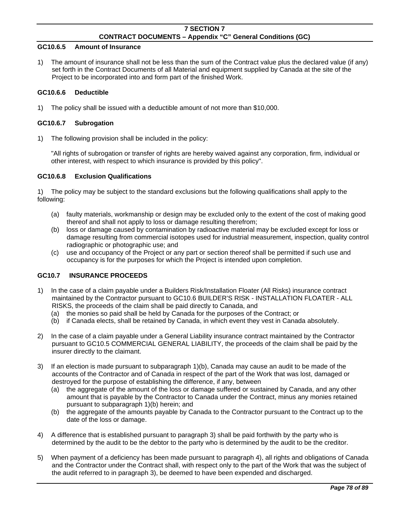### **GC10.6.5 Amount of Insurance**

1) The amount of insurance shall not be less than the sum of the Contract value plus the declared value (if any) set forth in the Contract Documents of all Material and equipment supplied by Canada at the site of the Project to be incorporated into and form part of the finished Work.

## **GC10.6.6 Deductible**

1) The policy shall be issued with a deductible amount of not more than \$10,000.

## **GC10.6.7 Subrogation**

1) The following provision shall be included in the policy:

 "All rights of subrogation or transfer of rights are hereby waived against any corporation, firm, individual or other interest, with respect to which insurance is provided by this policy".

## **GC10.6.8 Exclusion Qualifications**

1) The policy may be subject to the standard exclusions but the following qualifications shall apply to the following:

- (a) faulty materials, workmanship or design may be excluded only to the extent of the cost of making good thereof and shall not apply to loss or damage resulting therefrom;
- (b) loss or damage caused by contamination by radioactive material may be excluded except for loss or damage resulting from commercial isotopes used for industrial measurement, inspection, quality control radiographic or photographic use; and
- (c) use and occupancy of the Project or any part or section thereof shall be permitted if such use and occupancy is for the purposes for which the Project is intended upon completion.

# **GC10.7 INSURANCE PROCEEDS**

- 1) In the case of a claim payable under a Builders Risk/Installation Floater (All Risks) insurance contract maintained by the Contractor pursuant to GC10.6 BUILDER'S RISK - INSTALLATION FLOATER - ALL RISKS, the proceeds of the claim shall be paid directly to Canada, and
	- (a) the monies so paid shall be held by Canada for the purposes of the Contract; or
	- (b) if Canada elects, shall be retained by Canada, in which event they vest in Canada absolutely.
- 2) In the case of a claim payable under a General Liability insurance contract maintained by the Contractor pursuant to GC10.5 COMMERCIAL GENERAL LIABILITY, the proceeds of the claim shall be paid by the insurer directly to the claimant.
- 3) If an election is made pursuant to subparagraph 1)(b), Canada may cause an audit to be made of the accounts of the Contractor and of Canada in respect of the part of the Work that was lost, damaged or destroyed for the purpose of establishing the difference, if any, between
	- (a) the aggregate of the amount of the loss or damage suffered or sustained by Canada, and any other amount that is payable by the Contractor to Canada under the Contract, minus any monies retained pursuant to subparagraph 1)(b) herein; and
	- (b) the aggregate of the amounts payable by Canada to the Contractor pursuant to the Contract up to the date of the loss or damage.
- 4) A difference that is established pursuant to paragraph 3) shall be paid forthwith by the party who is determined by the audit to be the debtor to the party who is determined by the audit to be the creditor.
- 5) When payment of a deficiency has been made pursuant to paragraph 4), all rights and obligations of Canada and the Contractor under the Contract shall, with respect only to the part of the Work that was the subject of the audit referred to in paragraph 3), be deemed to have been expended and discharged.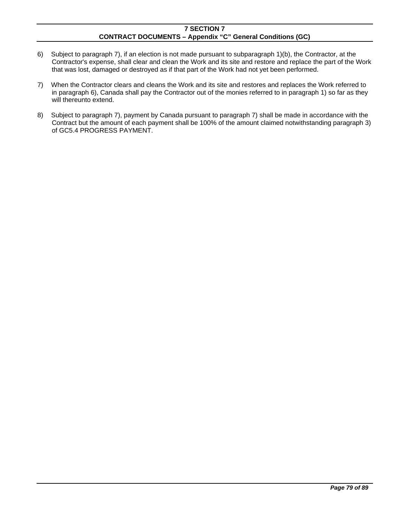- 6) Subject to paragraph 7), if an election is not made pursuant to subparagraph 1)(b), the Contractor, at the Contractor's expense, shall clear and clean the Work and its site and restore and replace the part of the Work that was lost, damaged or destroyed as if that part of the Work had not yet been performed.
- 7) When the Contractor clears and cleans the Work and its site and restores and replaces the Work referred to in paragraph 6), Canada shall pay the Contractor out of the monies referred to in paragraph 1) so far as they will thereunto extend.
- 8) Subject to paragraph 7), payment by Canada pursuant to paragraph 7) shall be made in accordance with the Contract but the amount of each payment shall be 100% of the amount claimed notwithstanding paragraph 3) of GC5.4 PROGRESS PAYMENT.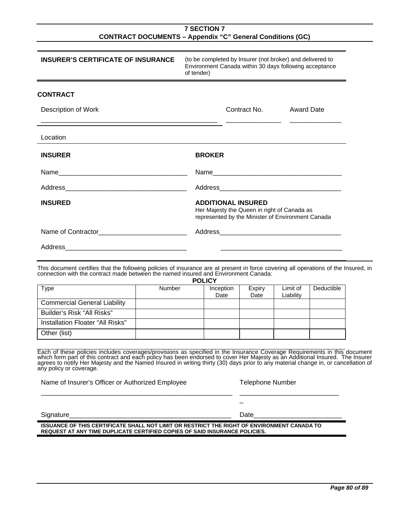| <b>INSURER'S CERTIFICATE OF INSURANCE</b>                                                                                                                                                                                                                                                                                                                                                                                                  |        | (to be completed by Insurer (not broker) and delivered to<br>Environment Canada within 30 days following acceptance<br>of tender) |              |                         |                       |                   |  |
|--------------------------------------------------------------------------------------------------------------------------------------------------------------------------------------------------------------------------------------------------------------------------------------------------------------------------------------------------------------------------------------------------------------------------------------------|--------|-----------------------------------------------------------------------------------------------------------------------------------|--------------|-------------------------|-----------------------|-------------------|--|
| <b>CONTRACT</b>                                                                                                                                                                                                                                                                                                                                                                                                                            |        |                                                                                                                                   |              |                         |                       |                   |  |
| Description of Work                                                                                                                                                                                                                                                                                                                                                                                                                        |        |                                                                                                                                   | Contract No. |                         |                       | <b>Award Date</b> |  |
| Location                                                                                                                                                                                                                                                                                                                                                                                                                                   |        |                                                                                                                                   |              |                         |                       |                   |  |
| <b>INSURER</b>                                                                                                                                                                                                                                                                                                                                                                                                                             |        | <b>BROKER</b>                                                                                                                     |              |                         |                       |                   |  |
|                                                                                                                                                                                                                                                                                                                                                                                                                                            |        |                                                                                                                                   |              | Name                    |                       |                   |  |
|                                                                                                                                                                                                                                                                                                                                                                                                                                            |        |                                                                                                                                   |              |                         |                       |                   |  |
| <b>INSURED</b>                                                                                                                                                                                                                                                                                                                                                                                                                             |        | <b>ADDITIONAL INSURED</b><br>Her Majesty the Queen in right of Canada as<br>represented by the Minister of Environment Canada     |              |                         |                       |                   |  |
|                                                                                                                                                                                                                                                                                                                                                                                                                                            |        |                                                                                                                                   |              |                         |                       |                   |  |
| This document certifies that the following policies of insurance are at present in force covering all operations of the Insured, in<br>connection with the contract made between the named insured and Environment Canada:                                                                                                                                                                                                                 |        | <b>POLICY</b>                                                                                                                     |              |                         |                       |                   |  |
| <b>Type</b>                                                                                                                                                                                                                                                                                                                                                                                                                                | Number | Inception<br>Date                                                                                                                 |              | Expiry<br>Date          | Limit of<br>Liability | Deductible        |  |
| <b>Commercial General Liability</b>                                                                                                                                                                                                                                                                                                                                                                                                        |        |                                                                                                                                   |              |                         |                       |                   |  |
| Builder's Risk "All Risks"                                                                                                                                                                                                                                                                                                                                                                                                                 |        |                                                                                                                                   |              |                         |                       |                   |  |
| Installation Floater "All Risks"                                                                                                                                                                                                                                                                                                                                                                                                           |        |                                                                                                                                   |              |                         |                       |                   |  |
| Other (list)                                                                                                                                                                                                                                                                                                                                                                                                                               |        |                                                                                                                                   |              |                         |                       |                   |  |
| Each of these policies includes coverages/provisions as specified in the Insurance Coverage Requirements in this document<br>which form part of this contract and each policy has been endorsed to cover Her Majesty as an Additional Insured. The Insurer agrees to notify Her Majesty and the Universed to cover Her Majesty as an Additional Insured. Th<br>any policy or coverage.<br>Name of Insurer's Officer or Authorized Employee |        |                                                                                                                                   |              | <b>Telephone Number</b> |                       |                   |  |
|                                                                                                                                                                                                                                                                                                                                                                                                                                            |        |                                                                                                                                   |              |                         |                       |                   |  |
| Signature Signature Committee Committee Committee Committee Committee Committee Committee Committee Committee                                                                                                                                                                                                                                                                                                                              |        |                                                                                                                                   |              | Date                    |                       |                   |  |
| ISSUANCE OF THIS CERTIFICATE SHALL NOT LIMIT OR RESTRICT THE RIGHT OF ENVIRONMENT CANADA TO<br>REQUEST AT ANY TIME DUPLICATE CERTIFIED COPIES OF SAID INSURANCE POLICIES.                                                                                                                                                                                                                                                                  |        |                                                                                                                                   |              |                         |                       |                   |  |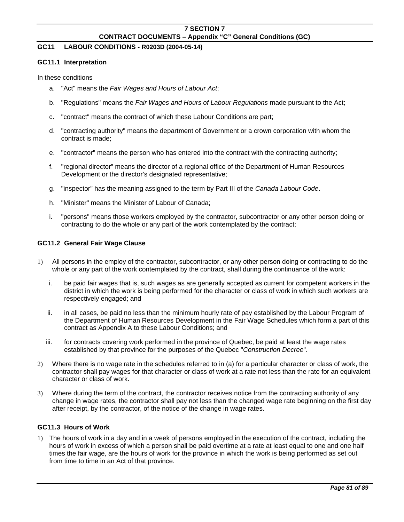# **GC11 LABOUR CONDITIONS - R0203D (2004-05-14)**

#### **GC11.1 Interpretation**

In these conditions

- a. "Act" means the *Fair Wages and Hours of Labour Act*;
- b. "Regulations" means the *Fair Wages and Hours of Labour Regulations* made pursuant to the Act;
- c. "contract" means the contract of which these Labour Conditions are part;
- d. "contracting authority" means the department of Government or a crown corporation with whom the contract is made;
- e. "contractor" means the person who has entered into the contract with the contracting authority;
- f. "regional director" means the director of a regional office of the Department of Human Resources Development or the director's designated representative;
- g. "inspector" has the meaning assigned to the term by Part III of the *Canada Labour Code*.
- h. "Minister" means the Minister of Labour of Canada;
- i. "persons" means those workers employed by the contractor, subcontractor or any other person doing or contracting to do the whole or any part of the work contemplated by the contract;

## **GC11.2 General Fair Wage Clause**

- 1) All persons in the employ of the contractor, subcontractor, or any other person doing or contracting to do the whole or any part of the work contemplated by the contract, shall during the continuance of the work:
	- i. be paid fair wages that is, such wages as are generally accepted as current for competent workers in the district in which the work is being performed for the character or class of work in which such workers are respectively engaged; and
	- ii. in all cases, be paid no less than the minimum hourly rate of pay established by the Labour Program of the Department of Human Resources Development in the Fair Wage Schedules which form a part of this contract as Appendix A to these Labour Conditions; and
	- iii. for contracts covering work performed in the province of Quebec, be paid at least the wage rates established by that province for the purposes of the Quebec "*Construction Decree*".
- 2) Where there is no wage rate in the schedules referred to in (a) for a particular character or class of work, the contractor shall pay wages for that character or class of work at a rate not less than the rate for an equivalent character or class of work.
- 3) Where during the term of the contract, the contractor receives notice from the contracting authority of any change in wage rates, the contractor shall pay not less than the changed wage rate beginning on the first day after receipt, by the contractor, of the notice of the change in wage rates.

### **GC11.3 Hours of Work**

1) The hours of work in a day and in a week of persons employed in the execution of the contract, including the hours of work in excess of which a person shall be paid overtime at a rate at least equal to one and one half times the fair wage, are the hours of work for the province in which the work is being performed as set out from time to time in an Act of that province.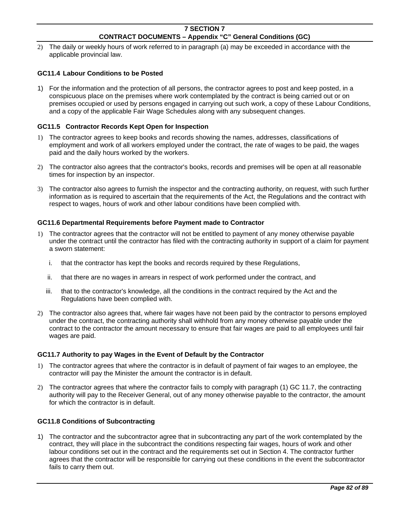2) The daily or weekly hours of work referred to in paragraph (a) may be exceeded in accordance with the applicable provincial law.

## **GC11.4 Labour Conditions to be Posted**

1) For the information and the protection of all persons, the contractor agrees to post and keep posted, in a conspicuous place on the premises where work contemplated by the contract is being carried out or on premises occupied or used by persons engaged in carrying out such work, a copy of these Labour Conditions, and a copy of the applicable Fair Wage Schedules along with any subsequent changes.

## **GC11.5 Contractor Records Kept Open for Inspection**

- 1) The contractor agrees to keep books and records showing the names, addresses, classifications of employment and work of all workers employed under the contract, the rate of wages to be paid, the wages paid and the daily hours worked by the workers.
- 2) The contractor also agrees that the contractor's books, records and premises will be open at all reasonable times for inspection by an inspector.
- 3) The contractor also agrees to furnish the inspector and the contracting authority, on request, with such further information as is required to ascertain that the requirements of the Act, the Regulations and the contract with respect to wages, hours of work and other labour conditions have been complied with.

### **GC11.6 Departmental Requirements before Payment made to Contractor**

- 1) The contractor agrees that the contractor will not be entitled to payment of any money otherwise payable under the contract until the contractor has filed with the contracting authority in support of a claim for payment a sworn statement:
	- i. that the contractor has kept the books and records required by these Regulations,
	- ii. that there are no wages in arrears in respect of work performed under the contract, and
	- iii. that to the contractor's knowledge, all the conditions in the contract required by the Act and the Regulations have been complied with.
- 2) The contractor also agrees that, where fair wages have not been paid by the contractor to persons employed under the contract, the contracting authority shall withhold from any money otherwise payable under the contract to the contractor the amount necessary to ensure that fair wages are paid to all employees until fair wages are paid.

### **GC11.7 Authority to pay Wages in the Event of Default by the Contractor**

- 1) The contractor agrees that where the contractor is in default of payment of fair wages to an employee, the contractor will pay the Minister the amount the contractor is in default.
- 2) The contractor agrees that where the contractor fails to comply with paragraph (1) GC 11.7, the contracting authority will pay to the Receiver General, out of any money otherwise payable to the contractor, the amount for which the contractor is in default.

### **GC11.8 Conditions of Subcontracting**

1) The contractor and the subcontractor agree that in subcontracting any part of the work contemplated by the contract, they will place in the subcontract the conditions respecting fair wages, hours of work and other labour conditions set out in the contract and the requirements set out in Section 4. The contractor further agrees that the contractor will be responsible for carrying out these conditions in the event the subcontractor fails to carry them out.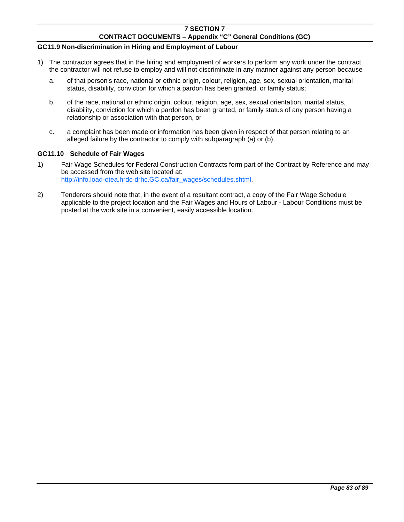# **7 SECTION 7**

## **CONTRACT DOCUMENTS – Appendix "C" General Conditions (GC)**

## **GC11.9 Non-discrimination in Hiring and Employment of Labour**

- 1) The contractor agrees that in the hiring and employment of workers to perform any work under the contract, the contractor will not refuse to employ and will not discriminate in any manner against any person because
	- a. of that person's race, national or ethnic origin, colour, religion, age, sex, sexual orientation, marital status, disability, conviction for which a pardon has been granted, or family status;
	- b. of the race, national or ethnic origin, colour, religion, age, sex, sexual orientation, marital status, disability, conviction for which a pardon has been granted, or family status of any person having a relationship or association with that person, or
	- c. a complaint has been made or information has been given in respect of that person relating to an alleged failure by the contractor to comply with subparagraph (a) or (b).

#### **GC11.10 Schedule of Fair Wages**

- 1) Fair Wage Schedules for Federal Construction Contracts form part of the Contract by Reference and may be accessed from the web site located at: [http://info.load-otea.hrdc-drhc.GC.ca/fair\\_wages/schedules.shtml.](http://info.load-otea.hrdc-drhc.gc.ca/fair_wages/schedules.shtml)
- 2) Tenderers should note that, in the event of a resultant contract, a copy of the Fair Wage Schedule applicable to the project location and the Fair Wages and Hours of Labour - Labour Conditions must be posted at the work site in a convenient, easily accessible location.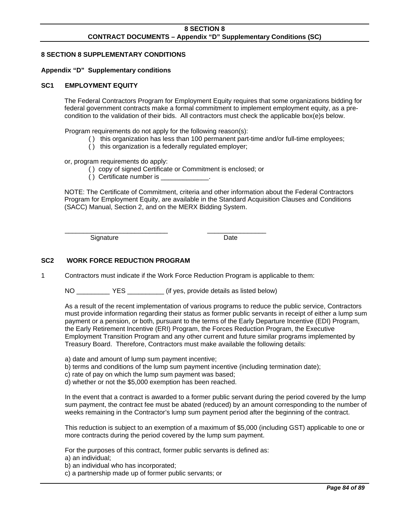## **8 SECTION 8 SUPPLEMENTARY CONDITIONS**

#### **Appendix "D" Supplementary conditions**

#### **SC1 EMPLOYMENT EQUITY**

The Federal Contractors Program for Employment Equity requires that some organizations bidding for federal government contracts make a formal commitment to implement employment equity, as a precondition to the validation of their bids. All contractors must check the applicable box(e)s below.

Program requirements do not apply for the following reason(s):

- ( ) this organization has less than 100 permanent part-time and/or full-time employees;
- ( ) this organization is a federally regulated employer;

or, program requirements do apply:

- ( ) copy of signed Certificate or Commitment is enclosed; or
- ( ) Certificate number is  $\qquad \qquad$

\_\_\_\_\_\_\_\_\_\_\_\_\_\_\_\_\_\_\_\_\_\_\_\_\_\_\_\_ \_\_\_\_\_\_\_\_\_\_\_\_\_\_\_\_

NOTE: The Certificate of Commitment, criteria and other information about the Federal Contractors Program for Employment Equity, are available in the Standard Acquisition Clauses and Conditions (SACC) Manual, Section 2, and on the MERX Bidding System.

Signature Date

## **SC2 WORK FORCE REDUCTION PROGRAM**

1 Contractors must indicate if the Work Force Reduction Program is applicable to them:

NO YES (if yes, provide details as listed below)

As a result of the recent implementation of various programs to reduce the public service, Contractors must provide information regarding their status as former public servants in receipt of either a lump sum payment or a pension, or both, pursuant to the terms of the Early Departure Incentive (EDI) Program, the Early Retirement Incentive (ERI) Program, the Forces Reduction Program, the Executive Employment Transition Program and any other current and future similar programs implemented by Treasury Board. Therefore, Contractors must make available the following details:

- a) date and amount of lump sum payment incentive;
- b) terms and conditions of the lump sum payment incentive (including termination date);
- c) rate of pay on which the lump sum payment was based;
- d) whether or not the \$5,000 exemption has been reached.

In the event that a contract is awarded to a former public servant during the period covered by the lump sum payment, the contract fee must be abated (reduced) by an amount corresponding to the number of weeks remaining in the Contractor's lump sum payment period after the beginning of the contract.

This reduction is subject to an exemption of a maximum of \$5,000 (including GST) applicable to one or more contracts during the period covered by the lump sum payment.

For the purposes of this contract, former public servants is defined as:

a) an individual;

b) an individual who has incorporated;

c) a partnership made up of former public servants; or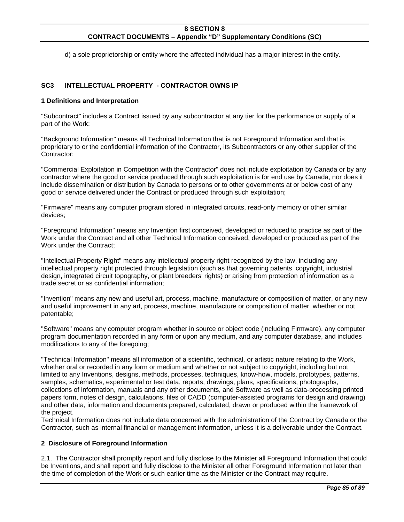d) a sole proprietorship or entity where the affected individual has a major interest in the entity.

### **SC3 INTELLECTUAL PROPERTY - CONTRACTOR OWNS IP**

#### **1 Definitions and Interpretation**

"Subcontract" includes a Contract issued by any subcontractor at any tier for the performance or supply of a part of the Work;

"Background Information" means all Technical Information that is not Foreground Information and that is proprietary to or the confidential information of the Contractor, its Subcontractors or any other supplier of the Contractor;

"Commercial Exploitation in Competition with the Contractor" does not include exploitation by Canada or by any contractor where the good or service produced through such exploitation is for end use by Canada, nor does it include dissemination or distribution by Canada to persons or to other governments at or below cost of any good or service delivered under the Contract or produced through such exploitation;

"Firmware" means any computer program stored in integrated circuits, read-only memory or other similar devices;

"Foreground Information" means any Invention first conceived, developed or reduced to practice as part of the Work under the Contract and all other Technical Information conceived, developed or produced as part of the Work under the Contract;

"Intellectual Property Right" means any intellectual property right recognized by the law, including any intellectual property right protected through legislation (such as that governing patents, copyright, industrial design, integrated circuit topography, or plant breeders' rights) or arising from protection of information as a trade secret or as confidential information;

"Invention" means any new and useful art, process, machine, manufacture or composition of matter, or any new and useful improvement in any art, process, machine, manufacture or composition of matter, whether or not patentable;

"Software" means any computer program whether in source or object code (including Firmware), any computer program documentation recorded in any form or upon any medium, and any computer database, and includes modifications to any of the foregoing;

"Technical Information" means all information of a scientific, technical, or artistic nature relating to the Work, whether oral or recorded in any form or medium and whether or not subject to copyright, including but not limited to any Inventions, designs, methods, processes, techniques, know-how, models, prototypes, patterns, samples, schematics, experimental or test data, reports, drawings, plans, specifications, photographs, collections of information, manuals and any other documents, and Software as well as data-processing printed papers form, notes of design, calculations, files of CADD (computer-assisted programs for design and drawing) and other data, information and documents prepared, calculated, drawn or produced within the framework of the project.

Technical Information does not include data concerned with the administration of the Contract by Canada or the Contractor, such as internal financial or management information, unless it is a deliverable under the Contract.

#### **2 Disclosure of Foreground Information**

2.1. The Contractor shall promptly report and fully disclose to the Minister all Foreground Information that could be Inventions, and shall report and fully disclose to the Minister all other Foreground Information not later than the time of completion of the Work or such earlier time as the Minister or the Contract may require.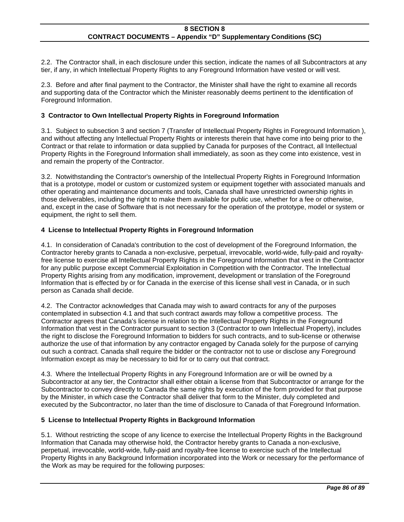2.2. The Contractor shall, in each disclosure under this section, indicate the names of all Subcontractors at any tier, if any, in which Intellectual Property Rights to any Foreground Information have vested or will vest.

2.3. Before and after final payment to the Contractor, the Minister shall have the right to examine all records and supporting data of the Contractor which the Minister reasonably deems pertinent to the identification of Foreground Information.

## **3 Contractor to Own Intellectual Property Rights in Foreground Information**

3.1. Subject to subsection 3 and section 7 (Transfer of Intellectual Property Rights in Foreground Information ), and without affecting any Intellectual Property Rights or interests therein that have come into being prior to the Contract or that relate to information or data supplied by Canada for purposes of the Contract, all Intellectual Property Rights in the Foreground Information shall immediately, as soon as they come into existence, vest in and remain the property of the Contractor.

3.2. Notwithstanding the Contractor's ownership of the Intellectual Property Rights in Foreground Information that is a prototype, model or custom or customized system or equipment together with associated manuals and other operating and maintenance documents and tools, Canada shall have unrestricted ownership rights in those deliverables, including the right to make them available for public use, whether for a fee or otherwise, and, except in the case of Software that is not necessary for the operation of the prototype, model or system or equipment, the right to sell them.

## **4 License to Intellectual Property Rights in Foreground Information**

4.1. In consideration of Canada's contribution to the cost of development of the Foreground Information, the Contractor hereby grants to Canada a non-exclusive, perpetual, irrevocable, world-wide, fully-paid and royaltyfree license to exercise all Intellectual Property Rights in the Foreground Information that vest in the Contractor for any public purpose except Commercial Exploitation in Competition with the Contractor. The Intellectual Property Rights arising from any modification, improvement, development or translation of the Foreground Information that is effected by or for Canada in the exercise of this license shall vest in Canada, or in such person as Canada shall decide.

4.2. The Contractor acknowledges that Canada may wish to award contracts for any of the purposes contemplated in subsection 4.1 and that such contract awards may follow a competitive process. The Contractor agrees that Canada's license in relation to the Intellectual Property Rights in the Foreground Information that vest in the Contractor pursuant to section 3 (Contractor to own Intellectual Property), includes the right to disclose the Foreground Information to bidders for such contracts, and to sub-license or otherwise authorize the use of that information by any contractor engaged by Canada solely for the purpose of carrying out such a contract. Canada shall require the bidder or the contractor not to use or disclose any Foreground Information except as may be necessary to bid for or to carry out that contract.

4.3. Where the Intellectual Property Rights in any Foreground Information are or will be owned by a Subcontractor at any tier, the Contractor shall either obtain a license from that Subcontractor or arrange for the Subcontractor to convey directly to Canada the same rights by execution of the form provided for that purpose by the Minister, in which case the Contractor shall deliver that form to the Minister, duly completed and executed by the Subcontractor, no later than the time of disclosure to Canada of that Foreground Information.

### **5 License to Intellectual Property Rights in Background Information**

5.1. Without restricting the scope of any licence to exercise the Intellectual Property Rights in the Background Information that Canada may otherwise hold, the Contractor hereby grants to Canada a non-exclusive, perpetual, irrevocable, world-wide, fully-paid and royalty-free license to exercise such of the Intellectual Property Rights in any Background Information incorporated into the Work or necessary for the performance of the Work as may be required for the following purposes: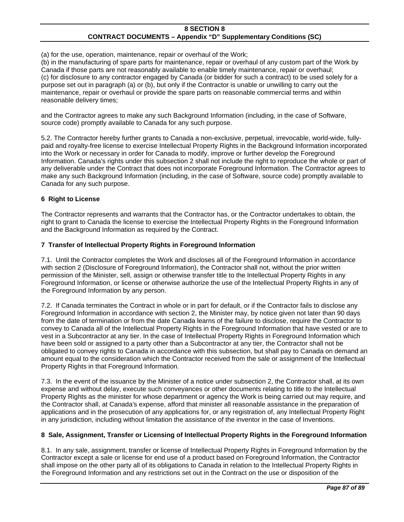(a) for the use, operation, maintenance, repair or overhaul of the Work;

(b) in the manufacturing of spare parts for maintenance, repair or overhaul of any custom part of the Work by Canada if those parts are not reasonably available to enable timely maintenance, repair or overhaul; (c) for disclosure to any contractor engaged by Canada (or bidder for such a contract) to be used solely for a purpose set out in paragraph (a) or (b), but only if the Contractor is unable or unwilling to carry out the maintenance, repair or overhaul or provide the spare parts on reasonable commercial terms and within reasonable delivery times;

and the Contractor agrees to make any such Background Information (including, in the case of Software, source code) promptly available to Canada for any such purpose.

5.2. The Contractor hereby further grants to Canada a non-exclusive, perpetual, irrevocable, world-wide, fullypaid and royalty-free license to exercise Intellectual Property Rights in the Background Information incorporated into the Work or necessary in order for Canada to modify, improve or further develop the Foreground Information. Canada's rights under this subsection 2 shall not include the right to reproduce the whole or part of any deliverable under the Contract that does not incorporate Foreground Information. The Contractor agrees to make any such Background Information (including, in the case of Software, source code) promptly available to Canada for any such purpose.

## **6 Right to License**

The Contractor represents and warrants that the Contractor has, or the Contractor undertakes to obtain, the right to grant to Canada the license to exercise the Intellectual Property Rights in the Foreground Information and the Background Information as required by the Contract.

### **7 Transfer of Intellectual Property Rights in Foreground Information**

7.1. Until the Contractor completes the Work and discloses all of the Foreground Information in accordance with section 2 (Disclosure of Foreground Information), the Contractor shall not, without the prior written permission of the Minister, sell, assign or otherwise transfer title to the Intellectual Property Rights in any Foreground Information, or license or otherwise authorize the use of the Intellectual Property Rights in any of the Foreground Information by any person.

7.2. If Canada terminates the Contract in whole or in part for default, or if the Contractor fails to disclose any Foreground Information in accordance with section 2, the Minister may, by notice given not later than 90 days from the date of termination or from the date Canada learns of the failure to disclose, require the Contractor to convey to Canada all of the Intellectual Property Rights in the Foreground Information that have vested or are to vest in a Subcontractor at any tier. In the case of Intellectual Property Rights in Foreground Information which have been sold or assigned to a party other than a Subcontractor at any tier, the Contractor shall not be obligated to convey rights to Canada in accordance with this subsection, but shall pay to Canada on demand an amount equal to the consideration which the Contractor received from the sale or assignment of the Intellectual Property Rights in that Foreground Information.

7.3. In the event of the issuance by the Minister of a notice under subsection 2, the Contractor shall, at its own expense and without delay, execute such conveyances or other documents relating to title to the Intellectual Property Rights as the minister for whose department or agency the Work is being carried out may require, and the Contractor shall, at Canada's expense, afford that minister all reasonable assistance in the preparation of applications and in the prosecution of any applications for, or any registration of, any Intellectual Property Right in any jurisdiction, including without limitation the assistance of the inventor in the case of Inventions.

# **8 Sale, Assignment, Transfer or Licensing of Intellectual Property Rights in the Foreground Information**

8.1. In any sale, assignment, transfer or license of Intellectual Property Rights in Foreground Information by the Contractor except a sale or license for end use of a product based on Foreground Information, the Contractor shall impose on the other party all of its obligations to Canada in relation to the Intellectual Property Rights in the Foreground Information and any restrictions set out in the Contract on the use or disposition of the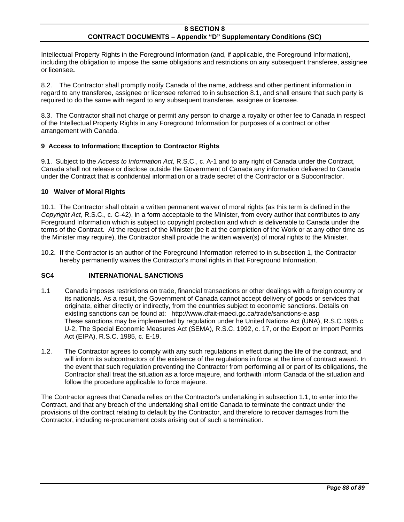Intellectual Property Rights in the Foreground Information (and, if applicable, the Foreground Information), including the obligation to impose the same obligations and restrictions on any subsequent transferee, assignee or licensee**.** 

8.2. The Contractor shall promptly notify Canada of the name, address and other pertinent information in regard to any transferee, assignee or licensee referred to in subsection 8.1, and shall ensure that such party is required to do the same with regard to any subsequent transferee, assignee or licensee.

8.3. The Contractor shall not charge or permit any person to charge a royalty or other fee to Canada in respect of the Intellectual Property Rights in any Foreground Information for purposes of a contract or other arrangement with Canada.

## **9 Access to Information; Exception to Contractor Rights**

9.1. Subject to the *Access to Information Act,* R.S.C., c. A-1 and to any right of Canada under the Contract, Canada shall not release or disclose outside the Government of Canada any information delivered to Canada under the Contract that is confidential information or a trade secret of the Contractor or a Subcontractor.

## **10 Waiver of Moral Rights**

10.1. The Contractor shall obtain a written permanent waiver of moral rights (as this term is defined in the *Copyright Act*, R.S.C., c. C-42), in a form acceptable to the Minister, from every author that contributes to any Foreground Information which is subject to copyright protection and which is deliverable to Canada under the terms of the Contract. At the request of the Minister (be it at the completion of the Work or at any other time as the Minister may require), the Contractor shall provide the written waiver(s) of moral rights to the Minister.

10.2. If the Contractor is an author of the Foreground Information referred to in subsection 1, the Contractor hereby permanently waives the Contractor's moral rights in that Foreground Information.

## **SC4 INTERNATIONAL SANCTIONS**

- 1.1 Canada imposes restrictions on trade, financial transactions or other dealings with a foreign country or its nationals. As a result, the Government of Canada cannot accept delivery of goods or services that originate, either directly or indirectly, from the countries subject to economic sanctions. Details on existing sanctions can be found at: http://www.dfait-maeci.gc.ca/trade/sanctions-e.asp These sanctions may be implemented by regulation under he United Nations Act (UNA), R.S.C.1985 c. U-2, The Special Economic Measures Act (SEMA), R.S.C. 1992, c. 17, or the Export or Import Permits Act (EIPA), R.S.C. 1985, c. E-19.
- 1.2. The Contractor agrees to comply with any such regulations in effect during the life of the contract, and will inform its subcontractors of the existence of the regulations in force at the time of contract award. In the event that such regulation preventing the Contractor from performing all or part of its obligations, the Contractor shall treat the situation as a force majeure, and forthwith inform Canada of the situation and follow the procedure applicable to force majeure.

The Contractor agrees that Canada relies on the Contractor's undertaking in subsection 1.1, to enter into the Contract, and that any breach of the undertaking shall entitle Canada to terminate the contract under the provisions of the contract relating to default by the Contractor, and therefore to recover damages from the Contractor, including re-procurement costs arising out of such a termination.